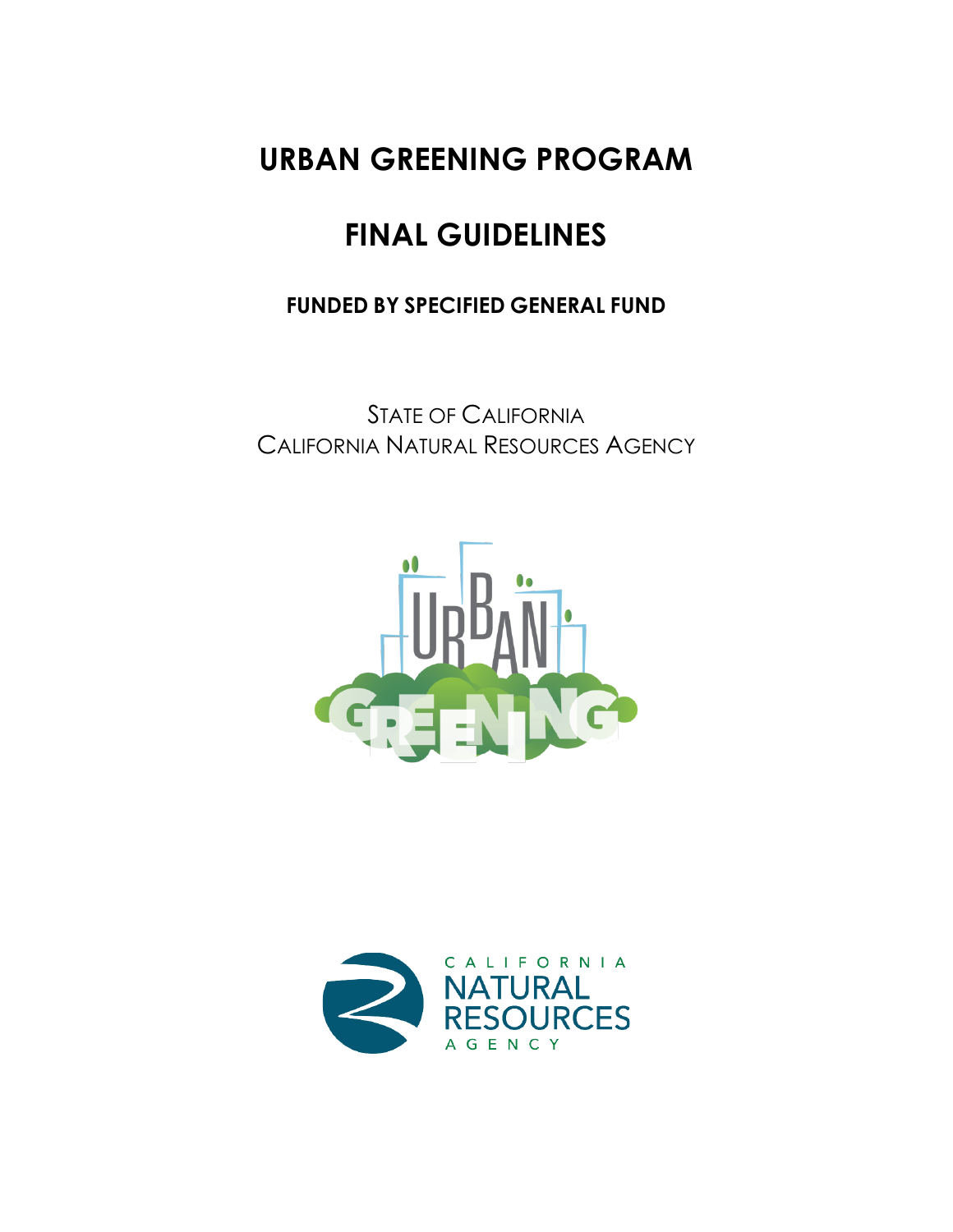# **URBAN GREENING PROGRAM**

# **FINAL GUIDELINES**

**FUNDED BY SPECIFIED GENERAL FUND**

STATE OF CALIFORNIA CALIFORNIA NATURAL RESOURCES AGENCY



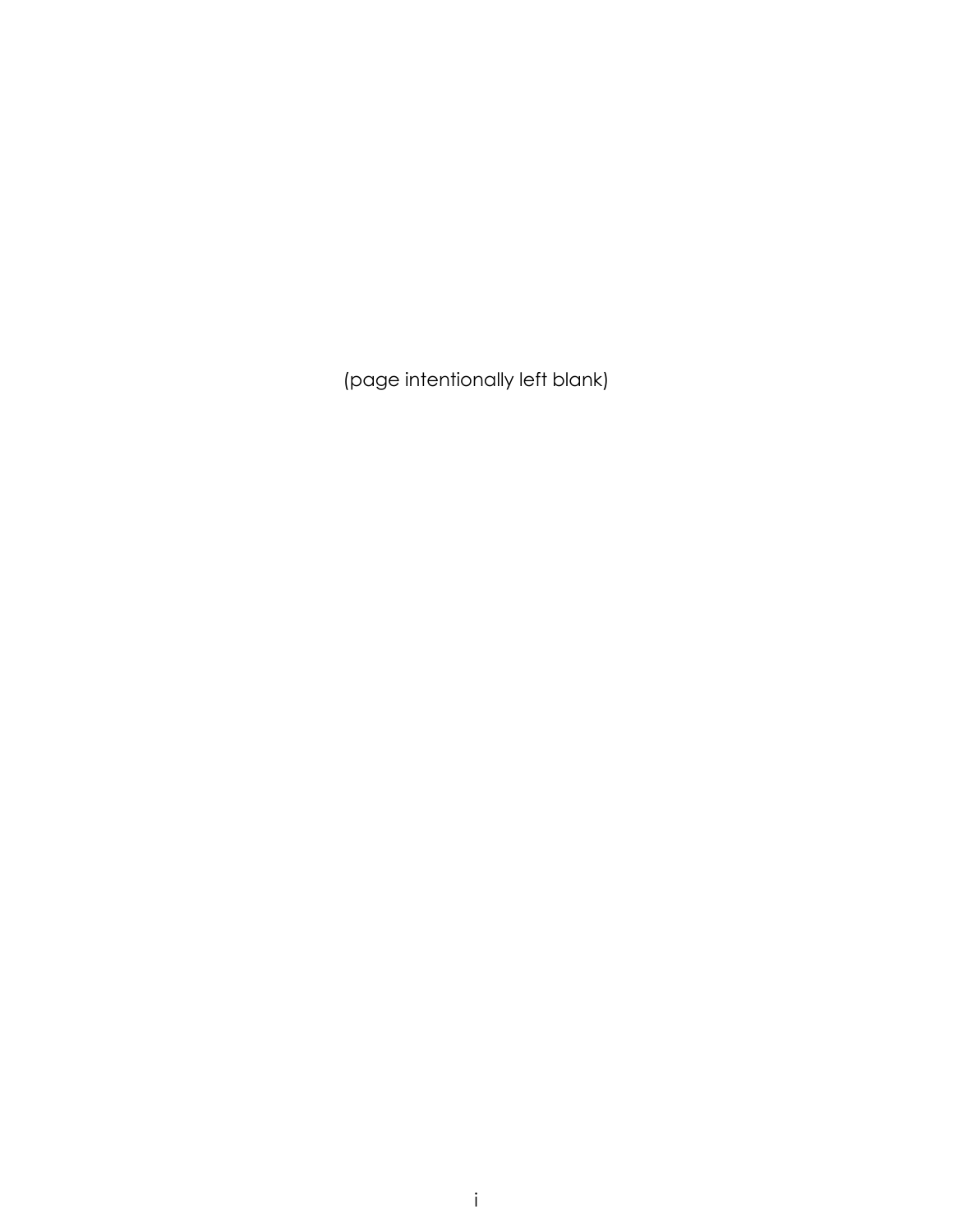(page intentionally left blank)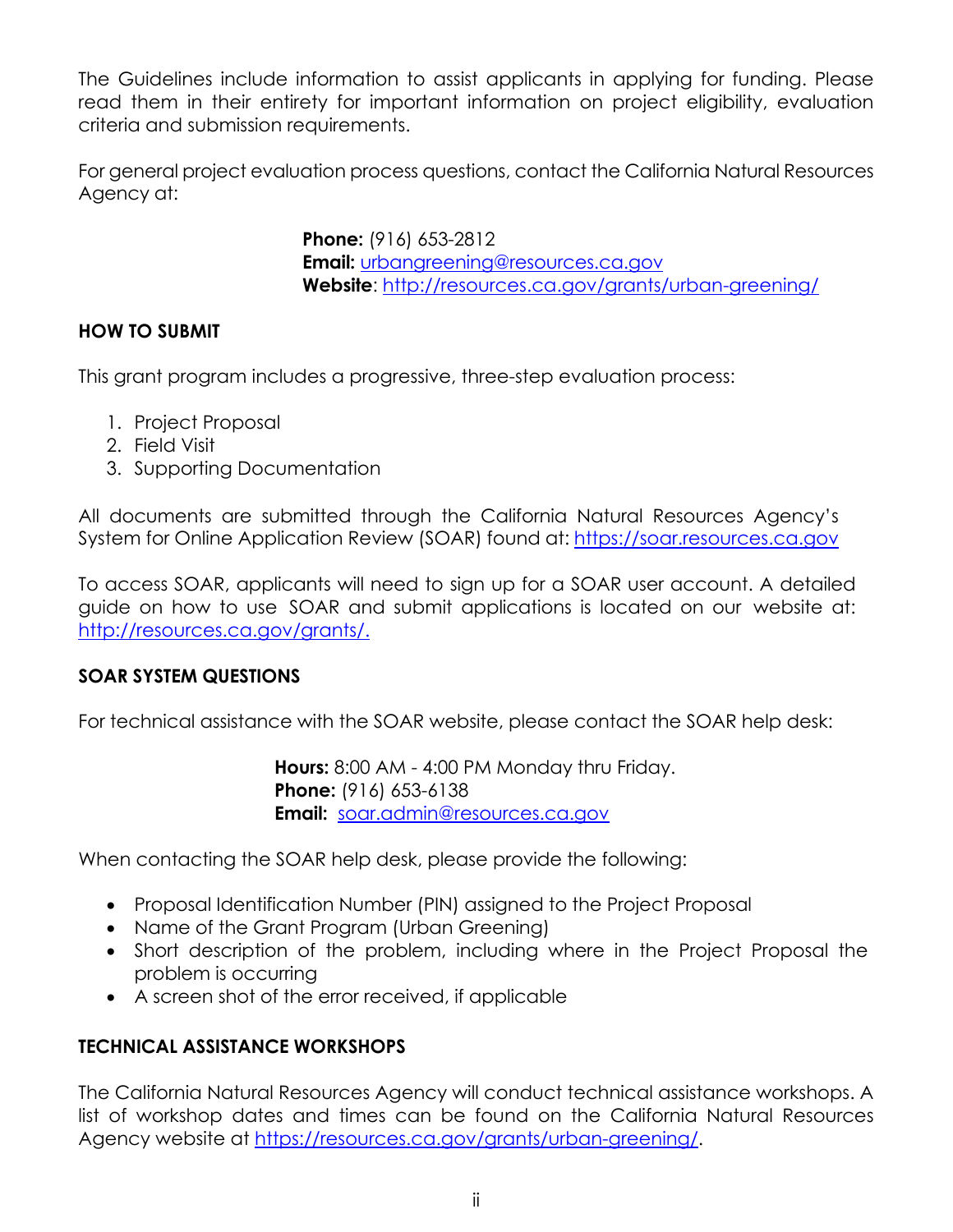The Guidelines include information to assist applicants in applying for funding. Please read them in their entirety for important information on project eligibility, evaluation criteria and submission requirements.

For general project evaluation process questions, contact the California Natural Resources Agency at:

> **Phone:** (916) 653-2812 **Email:** [urbangreening@resources.ca.gov](mailto:urbangreening@resources.ca.gov) **Website**: <http://resources.ca.gov/grants/urban-greening/>

# **HOW TO SUBMIT**

This grant program includes a progressive, three-step evaluation process:

- 1. Project Proposal
- 2. Field Visit
- 3. Supporting Documentation

All documents are submitted through the California Natural Resources Agency's System for Online Application Review (SOAR) found at: [https://soar.resources.ca.gov](https://soar.resources.ca.gov/)

To access SOAR, applicants will need to sign up for a SOAR user account. A detailed guide on how to use SOAR and submit applications is located on our website at: [http://resources.ca.gov/grants/.](http://resources.ca.gov/grants/)

# **SOAR SYSTEM QUESTIONS**

For technical assistance with the SOAR website, please contact the SOAR help desk:

**Hours:** 8:00 AM - 4:00 PM Monday thru Friday. **Phone:** (916) 653-6138 **Email:** [soar.admin@resources.ca.gov](mailto:soar.admin@resources.ca.gov)

When contacting the SOAR help desk, please provide the following:

- Proposal Identification Number (PIN) assigned to the Project Proposal
- Name of the Grant Program (Urban Greening)
- Short description of the problem, including where in the Project Proposal the problem is occurring
- A screen shot of the error received, if applicable

# **TECHNICAL ASSISTANCE WORKSHOPS**

The California Natural Resources Agency will conduct technical assistance workshops. A list of workshop dates and times can be found on the California Natural Resources Agency website at [https://resources.ca.gov/grants/urban-greening/.](https://resources.ca.gov/grants/urban-greening/)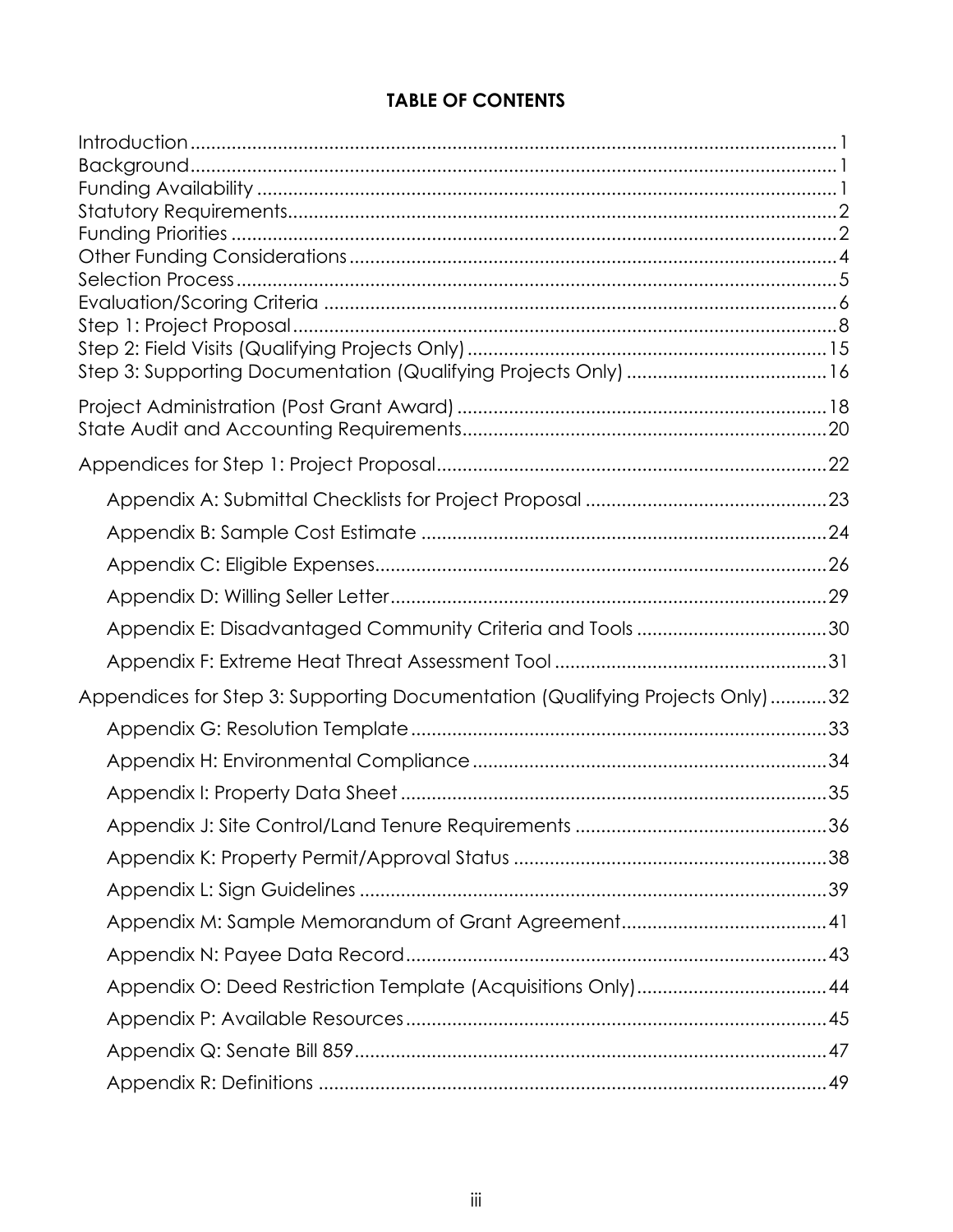| Appendix E: Disadvantaged Community Criteria and Tools 30                    |  |
|------------------------------------------------------------------------------|--|
|                                                                              |  |
| Appendices for Step 3: Supporting Documentation (Qualifying Projects Only)32 |  |
|                                                                              |  |
|                                                                              |  |
|                                                                              |  |
|                                                                              |  |
|                                                                              |  |
|                                                                              |  |
|                                                                              |  |
|                                                                              |  |
| Appendix O: Deed Restriction Template (Acquisitions Only)44                  |  |
|                                                                              |  |
|                                                                              |  |
|                                                                              |  |

# **TABLE OF CONTENTS**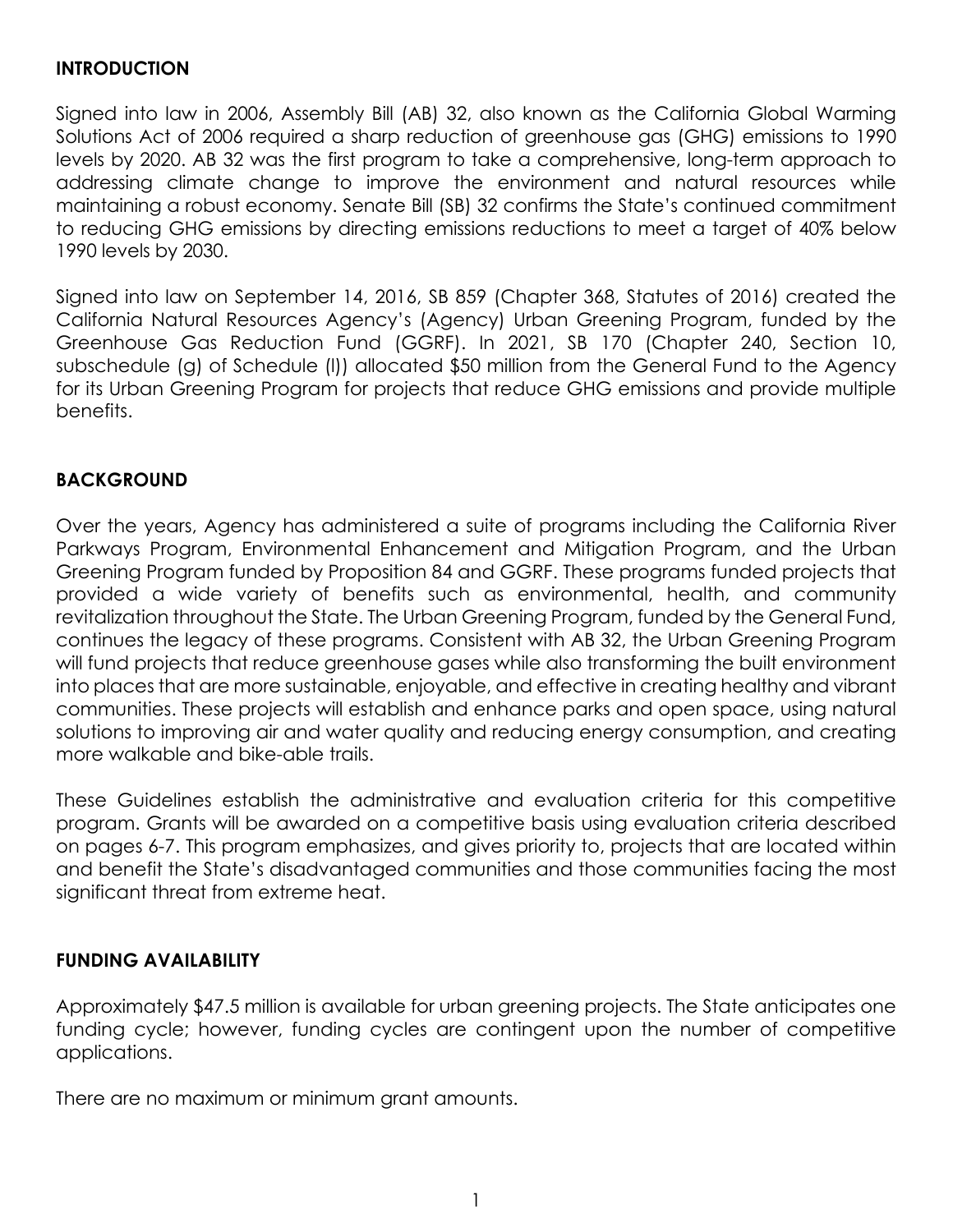#### **INTRODUCTION**

Signed into law in 2006, Assembly Bill (AB) 32, also known as the California Global Warming Solutions Act of 2006 required a sharp reduction of greenhouse gas (GHG) emissions to 1990 levels by 2020. AB 32 was the first program to take a comprehensive, long-term approach to addressing climate change to improve the environment and natural resources while maintaining a robust economy. Senate Bill (SB) 32 confirms the State's continued commitment to reducing GHG emissions by directing emissions reductions to meet a target of 40% below 1990 levels by 2030.

Signed into law on September 14, 2016, SB 859 (Chapter 368, Statutes of 2016) created the California Natural Resources Agency's (Agency) Urban Greening Program, funded by the Greenhouse Gas Reduction Fund (GGRF). In 2021, SB 170 (Chapter 240, Section 10, subschedule (g) of Schedule (l)) allocated \$50 million from the General Fund to the Agency for its Urban Greening Program for projects that reduce GHG emissions and provide multiple benefits.

### **BACKGROUND**

Over the years, Agency has administered a suite of programs including the California River Parkways Program, Environmental Enhancement and Mitigation Program, and the Urban Greening Program funded by Proposition 84 and GGRF. These programs funded projects that provided a wide variety of benefits such as environmental, health, and community revitalization throughout the State. The Urban Greening Program, funded by the General Fund, continues the legacy of these programs. Consistent with AB 32, the Urban Greening Program will fund projects that reduce greenhouse gases while also transforming the built environment into places that are more sustainable, enjoyable, and effective in creating healthy and vibrant communities. These projects will establish and enhance parks and open space, using natural solutions to improving air and water quality and reducing energy consumption, and creating more walkable and bike-able trails.

These Guidelines establish the administrative and evaluation criteria for this competitive program. Grants will be awarded on a competitive basis using evaluation criteria described on pages 6-7. This program emphasizes, and gives priority to, projects that are located within and benefit the State's disadvantaged communities and those communities facing the most significant threat from extreme heat.

#### **FUNDING AVAILABILITY**

Approximately \$47.5 million is available for urban greening projects. The State anticipates one funding cycle; however, funding cycles are contingent upon the number of competitive applications.

There are no maximum or minimum grant amounts.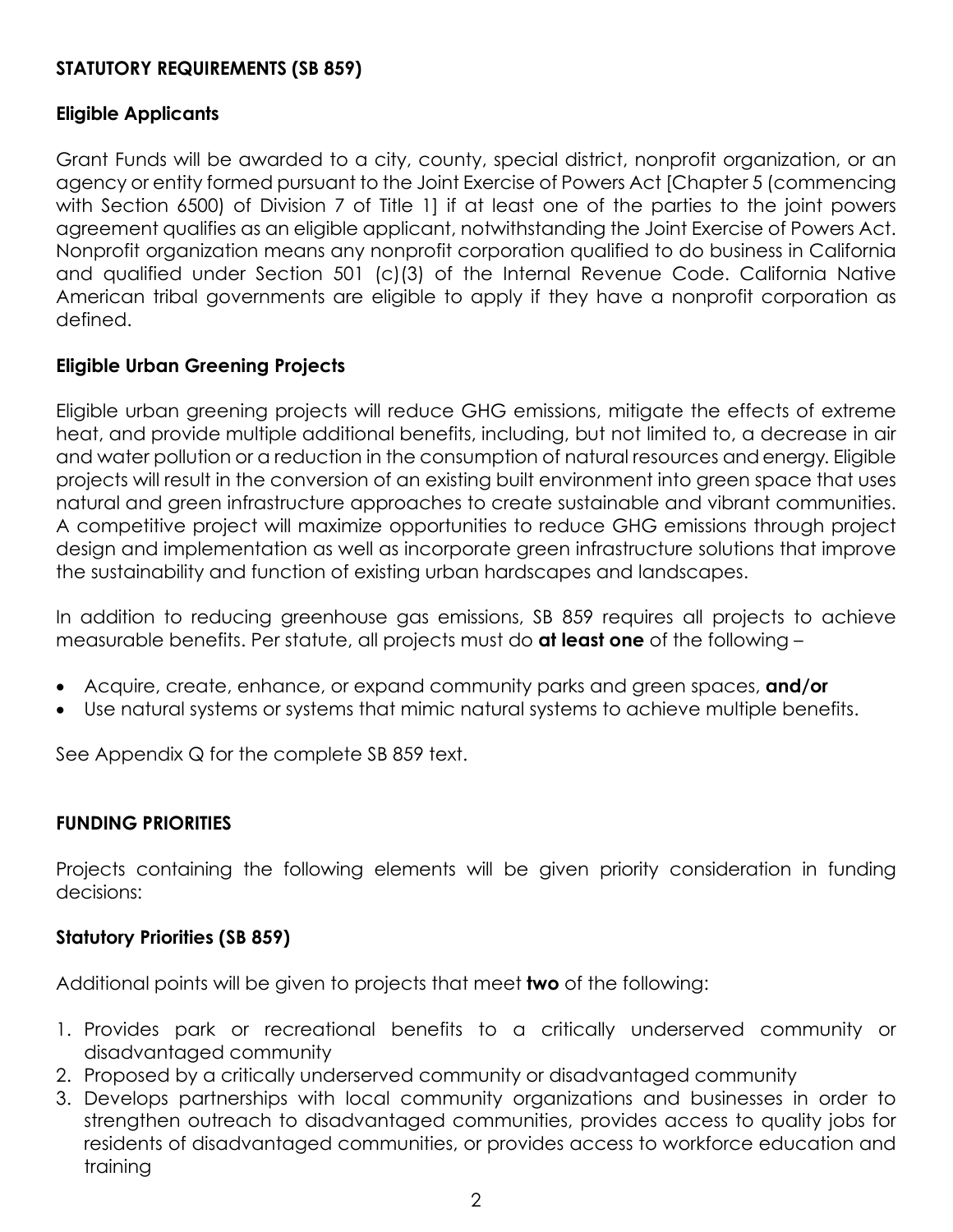# **STATUTORY REQUIREMENTS (SB 859)**

### **Eligible Applicants**

Grant Funds will be awarded to a city, county, special district, nonprofit organization, or an agency or entity formed pursuant to the Joint Exercise of Powers Act [Chapter 5 (commencing with Section 6500) of Division 7 of Title 11 if at least one of the parties to the joint powers agreement qualifies as an eligible applicant, notwithstanding the Joint Exercise of Powers Act. Nonprofit organization means any nonprofit corporation qualified to do business in California and qualified under Section 501 (c)(3) of the Internal Revenue Code. California Native American tribal governments are eligible to apply if they have a nonprofit corporation as defined.

# **Eligible Urban Greening Projects**

Eligible urban greening projects will reduce GHG emissions, mitigate the effects of extreme heat, and provide multiple additional benefits, including, but not limited to, a decrease in air and water pollution or a reduction in the consumption of natural resources and energy. Eligible projects will result in the conversion of an existing built environment into green space that uses natural and green infrastructure approaches to create sustainable and vibrant communities. A competitive project will maximize opportunities to reduce GHG emissions through project design and implementation as well as incorporate green infrastructure solutions that improve the sustainability and function of existing urban hardscapes and landscapes.

In addition to reducing greenhouse gas emissions, SB 859 requires all projects to achieve measurable benefits. Per statute, all projects must do **at least one** of the following –

- Acquire, create, enhance, or expand community parks and green spaces, **and/or**
- Use natural systems or systems that mimic natural systems to achieve multiple benefits.

See Appendix Q for the complete SB 859 text.

### **FUNDING PRIORITIES**

Projects containing the following elements will be given priority consideration in funding decisions:

### **Statutory Priorities (SB 859)**

Additional points will be given to projects that meet **two** of the following:

- 1. Provides park or recreational benefits to a critically underserved community or disadvantaged community
- 2. Proposed by a critically underserved community or disadvantaged community
- 3. Develops partnerships with local community organizations and businesses in order to strengthen outreach to disadvantaged communities, provides access to quality jobs for residents of disadvantaged communities, or provides access to workforce education and training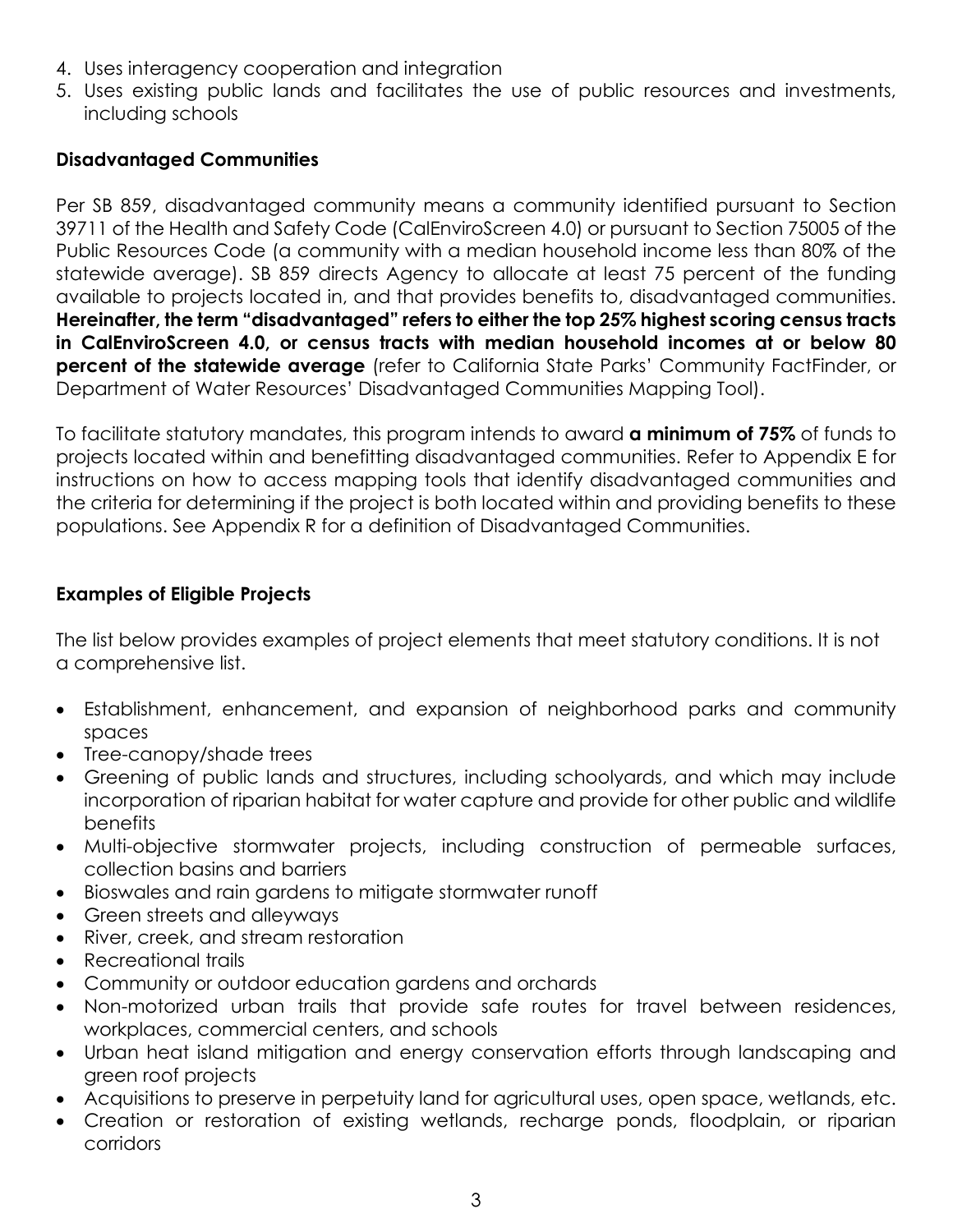- 4. Uses interagency cooperation and integration
- 5. Uses existing public lands and facilitates the use of public resources and investments, including schools

# **Disadvantaged Communities**

Per SB 859, disadvantaged community means a community identified pursuant to Section 39711 of the Health and Safety Code (CalEnviroScreen 4.0) or pursuant to Section 75005 of the Public Resources Code (a community with a median household income less than 80% of the statewide average). SB 859 directs Agency to allocate at least 75 percent of the funding available to projects located in, and that provides benefits to, disadvantaged communities. **Hereinafter, the term "disadvantaged" refers to either the top 25% highest scoring census tracts in CalEnviroScreen 4.0, or census tracts with median household incomes at or below 80 percent of the statewide average** (refer to California State Parks' Community FactFinder, or Department of Water Resources' Disadvantaged Communities Mapping Tool).

To facilitate statutory mandates, this program intends to award **a minimum of 75%** of funds to projects located within and benefitting disadvantaged communities. Refer to Appendix E for instructions on how to access mapping tools that identify disadvantaged communities and the criteria for determining if the project is both located within and providing benefits to these populations. See Appendix R for a definition of Disadvantaged Communities.

# **Examples of Eligible Projects**

The list below provides examples of project elements that meet statutory conditions. It is not a comprehensive list.

- Establishment, enhancement, and expansion of neighborhood parks and community spaces
- Tree-canopy/shade trees
- Greening of public lands and structures, including schoolyards, and which may include incorporation of riparian habitat for water capture and provide for other public and wildlife benefits
- Multi-objective stormwater projects, including construction of permeable surfaces, collection basins and barriers
- Bioswales and rain gardens to mitigate stormwater runoff
- Green streets and alleyways
- River, creek, and stream restoration
- Recreational trails
- Community or outdoor education gardens and orchards
- Non-motorized urban trails that provide safe routes for travel between residences, workplaces, commercial centers, and schools
- Urban heat island mitigation and energy conservation efforts through landscaping and green roof projects
- Acquisitions to preserve in perpetuity land for agricultural uses, open space, wetlands, etc.
- Creation or restoration of existing wetlands, recharge ponds, floodplain, or riparian corridors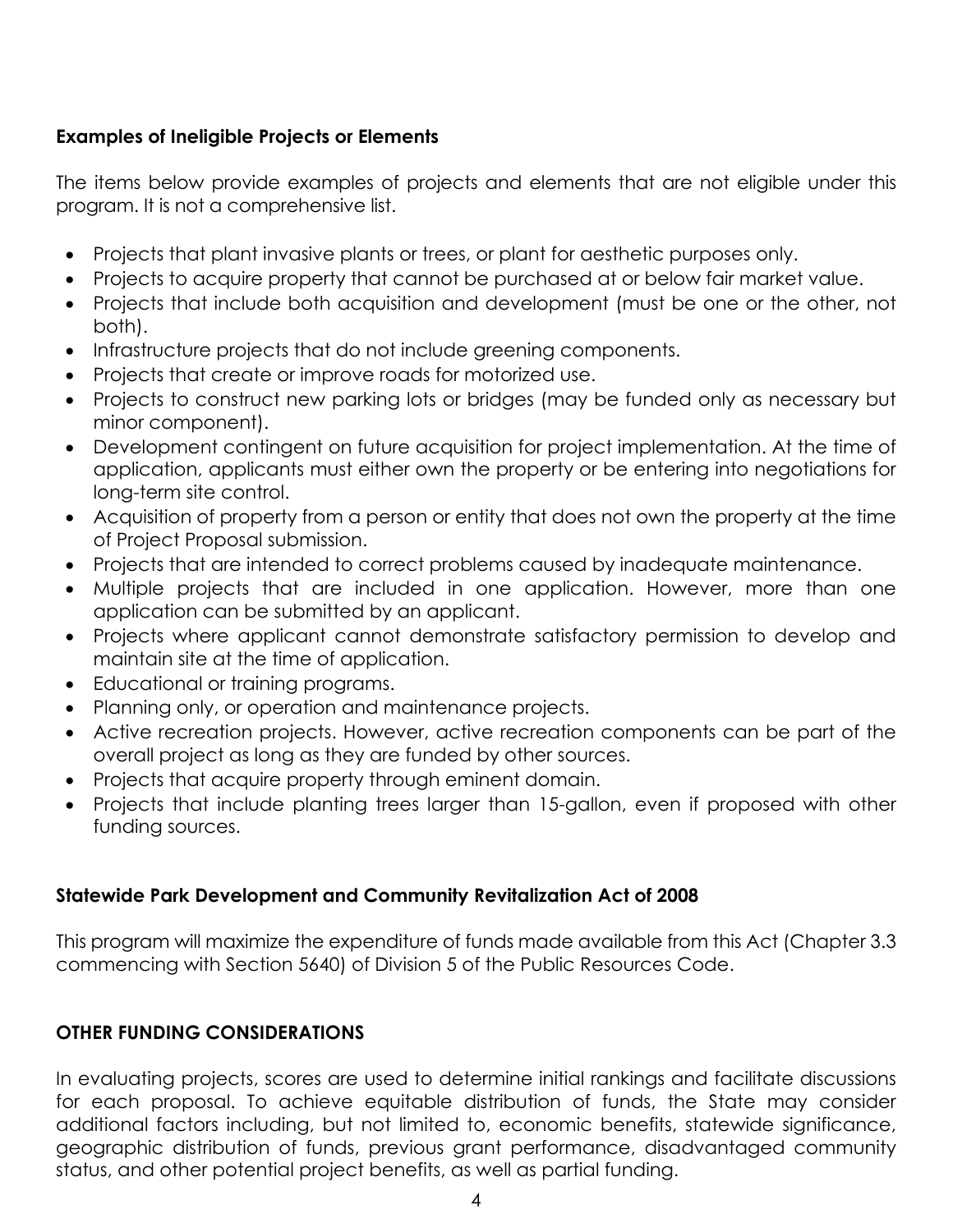# **Examples of Ineligible Projects or Elements**

The items below provide examples of projects and elements that are not eligible under this program. It is not a comprehensive list.

- Projects that plant invasive plants or trees, or plant for aesthetic purposes only.
- Projects to acquire property that cannot be purchased at or below fair market value.
- Projects that include both acquisition and development (must be one or the other, not both).
- Infrastructure projects that do not include greening components.
- Projects that create or improve roads for motorized use.
- Projects to construct new parking lots or bridges (may be funded only as necessary but minor component).
- Development contingent on future acquisition for project implementation. At the time of application, applicants must either own the property or be entering into negotiations for long-term site control.
- Acquisition of property from a person or entity that does not own the property at the time of Project Proposal submission.
- Projects that are intended to correct problems caused by inadequate maintenance.
- Multiple projects that are included in one application. However, more than one application can be submitted by an applicant.
- Projects where applicant cannot demonstrate satisfactory permission to develop and maintain site at the time of application.
- Educational or training programs.
- Planning only, or operation and maintenance projects.
- Active recreation projects. However, active recreation components can be part of the overall project as long as they are funded by other sources.
- Projects that acquire property through eminent domain.
- Projects that include planting trees larger than 15-gallon, even if proposed with other funding sources.

### **Statewide Park Development and Community Revitalization Act of 2008**

This program will maximize the expenditure of funds made available from this Act (Chapter 3.3 commencing with Section 5640) of Division 5 of the Public Resources Code.

# **OTHER FUNDING CONSIDERATIONS**

In evaluating projects, scores are used to determine initial rankings and facilitate discussions for each proposal. To achieve equitable distribution of funds, the State may consider additional factors including, but not limited to, economic benefits, statewide significance, geographic distribution of funds, previous grant performance, disadvantaged community status, and other potential project benefits, as well as partial funding.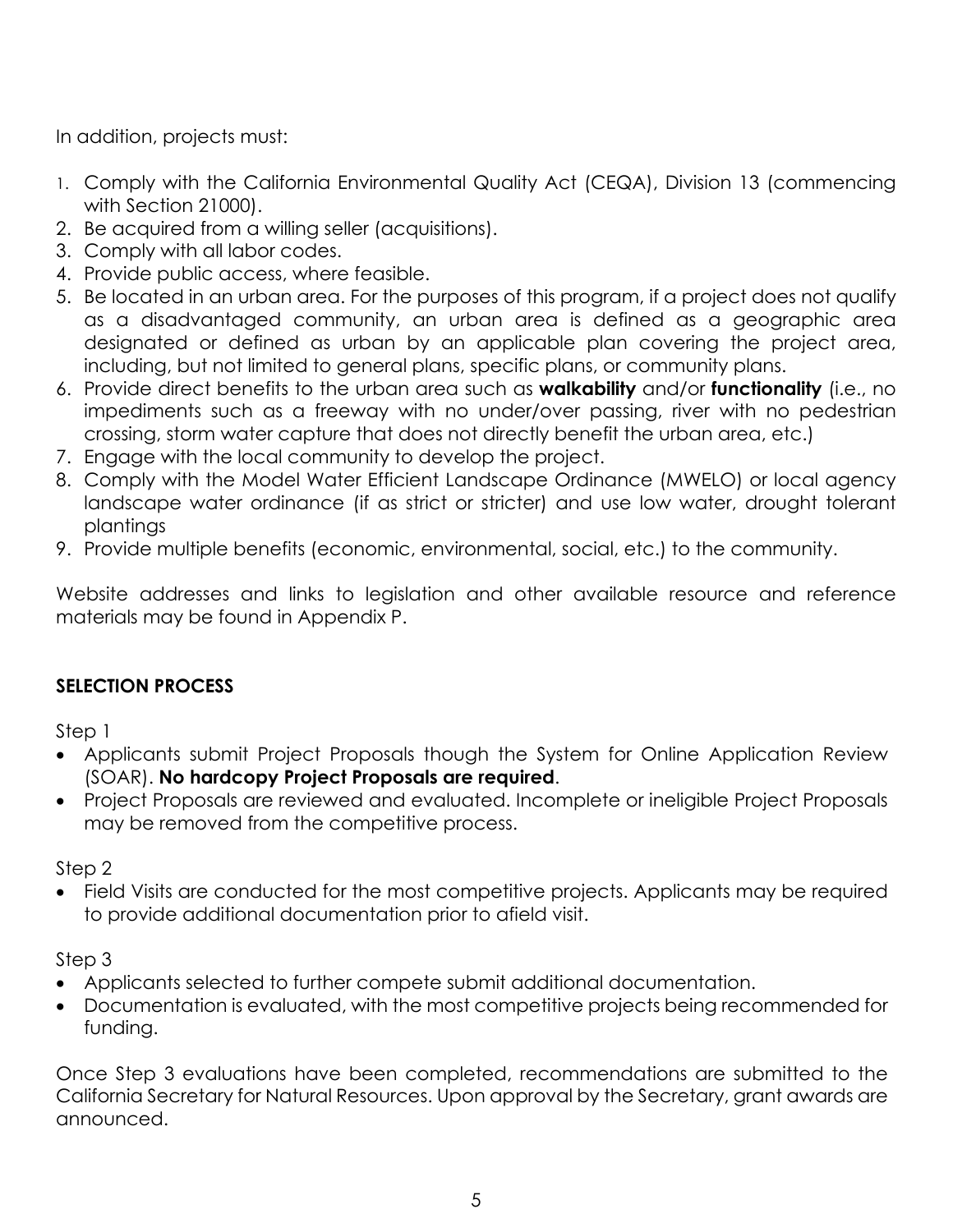In addition, projects must:

- 1. Comply with the California Environmental Quality Act (CEQA), Division 13 (commencing with Section 21000).
- 2. Be acquired from a willing seller (acquisitions).
- 3. Comply with all labor codes.
- 4. Provide public access, where feasible.
- 5. Be located in an urban area. For the purposes of this program, if a project does not qualify as a disadvantaged community, an urban area is defined as a geographic area designated or defined as urban by an applicable plan covering the project area, including, but not limited to general plans, specific plans, or community plans.
- 6. Provide direct benefits to the urban area such as **walkability** and/or **functionality** (i.e., no impediments such as a freeway with no under/over passing, river with no pedestrian crossing, storm water capture that does not directly benefit the urban area, etc.)
- 7. Engage with the local community to develop the project.
- 8. Comply with the Model Water Efficient Landscape Ordinance (MWELO) or local agency landscape water ordinance (if as strict or stricter) and use low water, drought tolerant plantings
- 9. Provide multiple benefits (economic, environmental, social, etc.) to the community.

Website addresses and links to legislation and other available resource and reference materials may be found in Appendix P.

# **SELECTION PROCESS**

Step 1

- Applicants submit Project Proposals though the System for Online Application Review (SOAR). **No hardcopy Project Proposals are required**.
- Project Proposals are reviewed and evaluated. Incomplete or ineligible Project Proposals may be removed from the competitive process.

Step 2

• Field Visits are conducted for the most competitive projects. Applicants may be required to provide additional documentation prior to afield visit.

Step 3

- Applicants selected to further compete submit additional documentation.
- Documentation is evaluated, with the most competitive projects being recommended for funding.

Once Step 3 evaluations have been completed, recommendations are submitted to the California Secretary for Natural Resources. Upon approval by the Secretary, grant awards are announced.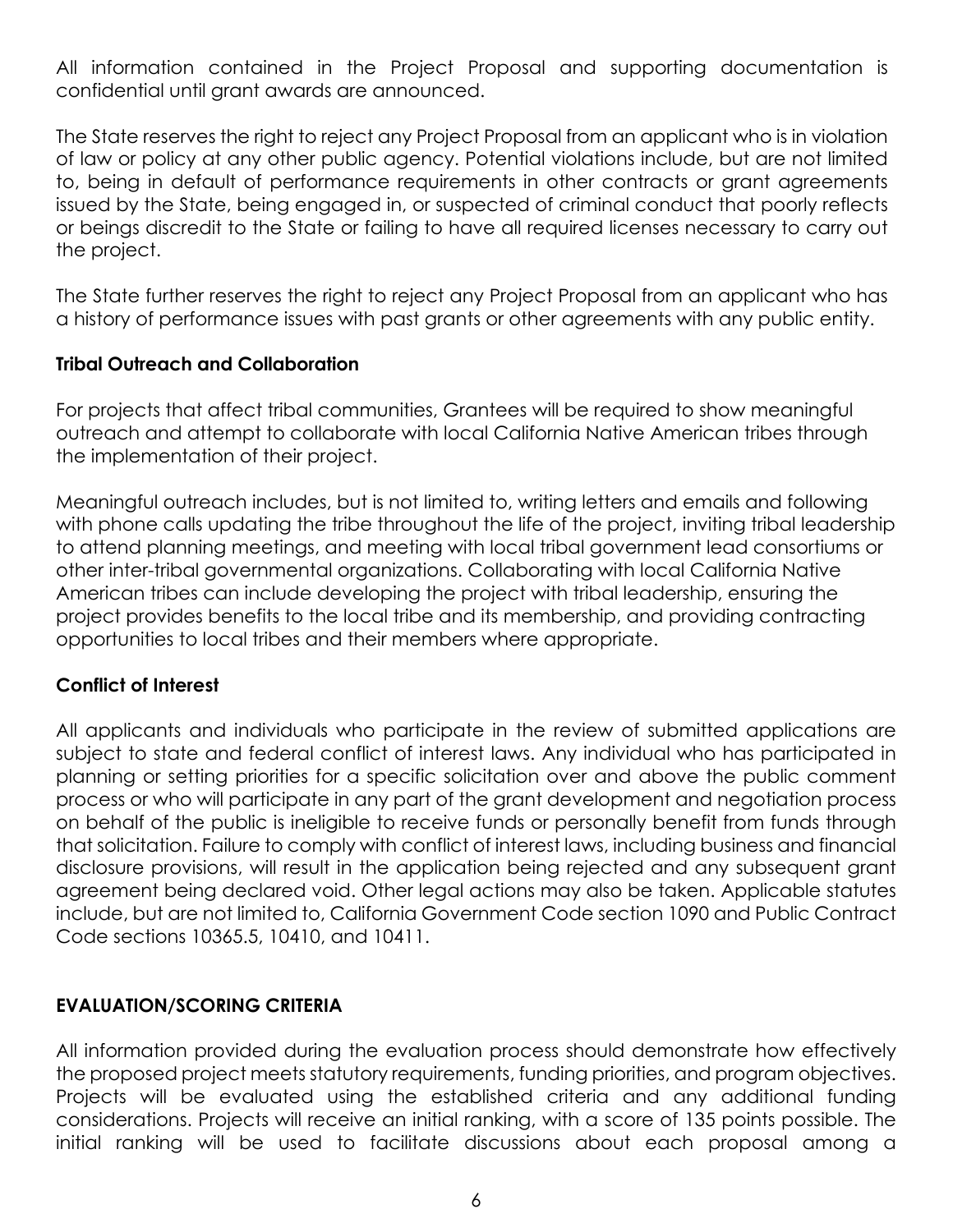All information contained in the Project Proposal and supporting documentation is confidential until grant awards are announced.

The State reserves the right to reject any Project Proposal from an applicant who is in violation of law or policy at any other public agency. Potential violations include, but are not limited to, being in default of performance requirements in other contracts or grant agreements issued by the State, being engaged in, or suspected of criminal conduct that poorly reflects or beings discredit to the State or failing to have all required licenses necessary to carry out the project.

The State further reserves the right to reject any Project Proposal from an applicant who has a history of performance issues with past grants or other agreements with any public entity.

# **Tribal Outreach and Collaboration**

For projects that affect tribal communities, Grantees will be required to show meaningful outreach and attempt to collaborate with local California Native American tribes through the implementation of their project.

Meaningful outreach includes, but is not limited to, writing letters and emails and following with phone calls updating the tribe throughout the life of the project, inviting tribal leadership to attend planning meetings, and meeting with local tribal government lead consortiums or other inter-tribal governmental organizations. Collaborating with local California Native American tribes can include developing the project with tribal leadership, ensuring the project provides benefits to the local tribe and its membership, and providing contracting opportunities to local tribes and their members where appropriate.

### **Conflict of Interest**

All applicants and individuals who participate in the review of submitted applications are subject to state and federal conflict of interest laws. Any individual who has participated in planning or setting priorities for a specific solicitation over and above the public comment process or who will participate in any part of the grant development and negotiation process on behalf of the public is ineligible to receive funds or personally benefit from funds through that solicitation. Failure to comply with conflict of interest laws, including business and financial disclosure provisions, will result in the application being rejected and any subsequent grant agreement being declared void. Other legal actions may also be taken. Applicable statutes include, but are not limited to, California Government Code section 1090 and Public Contract Code sections 10365.5, 10410, and 10411.

### **EVALUATION/SCORING CRITERIA**

All information provided during the evaluation process should demonstrate how effectively the proposed project meets statutory requirements, funding priorities, and program objectives. Projects will be evaluated using the established criteria and any additional funding considerations. Projects will receive an initial ranking, with a score of 135 points possible. The initial ranking will be used to facilitate discussions about each proposal among a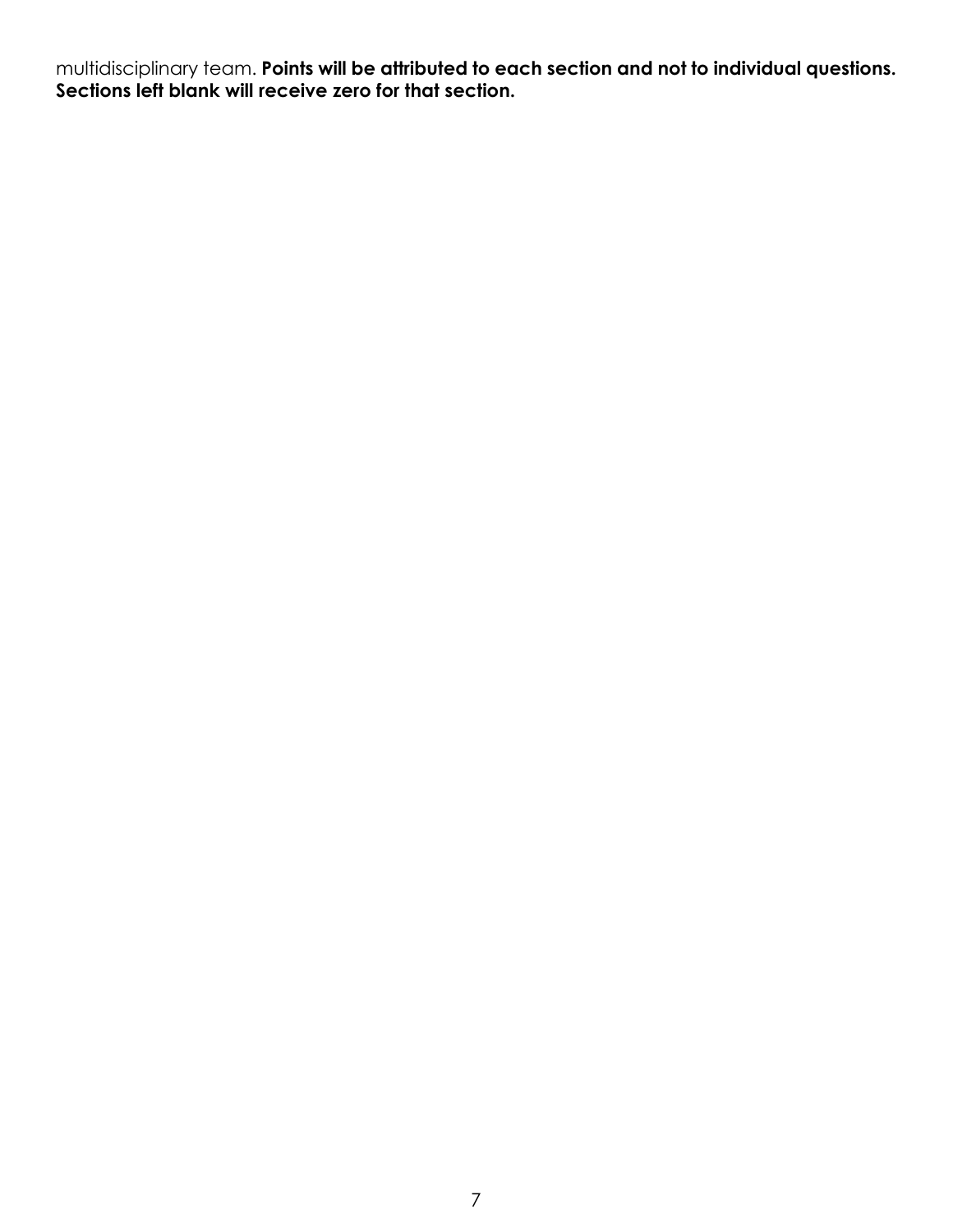multidisciplinary team. **Points will be attributed to each section and not to individual questions. Sections left blank will receive zero for that section.**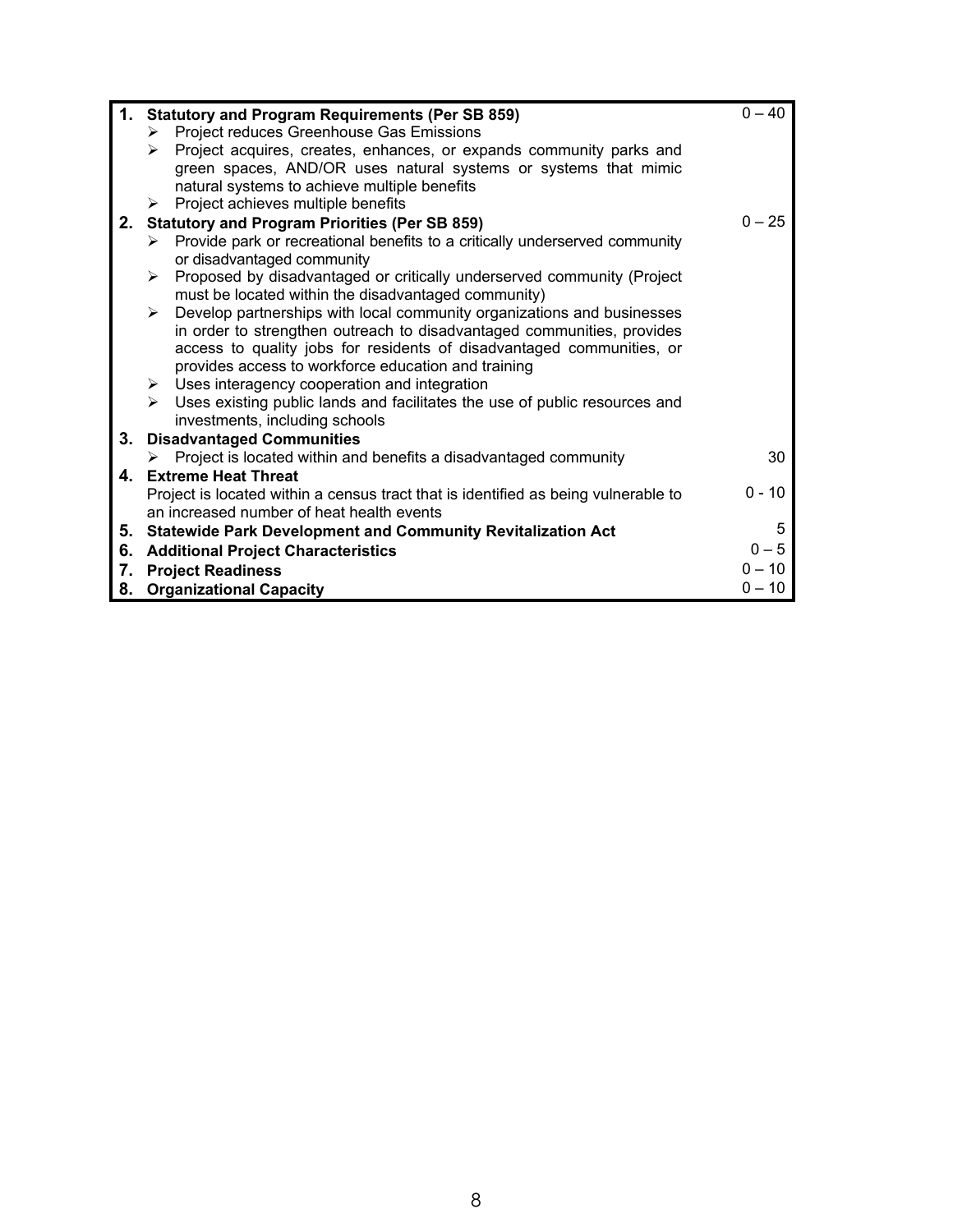|    | 1. Statutory and Program Requirements (Per SB 859)                                                                                                     | $0 - 40$ |
|----|--------------------------------------------------------------------------------------------------------------------------------------------------------|----------|
|    | > Project reduces Greenhouse Gas Emissions                                                                                                             |          |
|    | $\triangleright$ Project acquires, creates, enhances, or expands community parks and                                                                   |          |
|    | green spaces, AND/OR uses natural systems or systems that mimic                                                                                        |          |
|    | natural systems to achieve multiple benefits                                                                                                           |          |
|    | $\triangleright$ Project achieves multiple benefits                                                                                                    |          |
|    | 2. Statutory and Program Priorities (Per SB 859)                                                                                                       | $0 - 25$ |
|    | Provide park or recreational benefits to a critically underserved community<br>≻                                                                       |          |
|    | or disadvantaged community                                                                                                                             |          |
|    | Proposed by disadvantaged or critically underserved community (Project<br>$\blacktriangleright$<br>must be located within the disadvantaged community) |          |
|    | $\triangleright$ Develop partnerships with local community organizations and businesses                                                                |          |
|    | in order to strengthen outreach to disadvantaged communities, provides                                                                                 |          |
|    | access to quality jobs for residents of disadvantaged communities, or                                                                                  |          |
|    | provides access to workforce education and training                                                                                                    |          |
|    | $\triangleright$ Uses interagency cooperation and integration                                                                                          |          |
|    | $\triangleright$ Uses existing public lands and facilitates the use of public resources and<br>investments, including schools                          |          |
| 3. | <b>Disadvantaged Communities</b>                                                                                                                       |          |
|    | $\triangleright$ Project is located within and benefits a disadvantaged community                                                                      | 30       |
|    | 4. Extreme Heat Threat                                                                                                                                 |          |
|    | Project is located within a census tract that is identified as being vulnerable to                                                                     | $0 - 10$ |
|    | an increased number of heat health events                                                                                                              |          |
|    | 5. Statewide Park Development and Community Revitalization Act                                                                                         | 5        |
| 6. | <b>Additional Project Characteristics</b>                                                                                                              | $0 - 5$  |
| 7. | <b>Project Readiness</b>                                                                                                                               | $0 - 10$ |
|    | 8. Organizational Capacity                                                                                                                             | $0 - 10$ |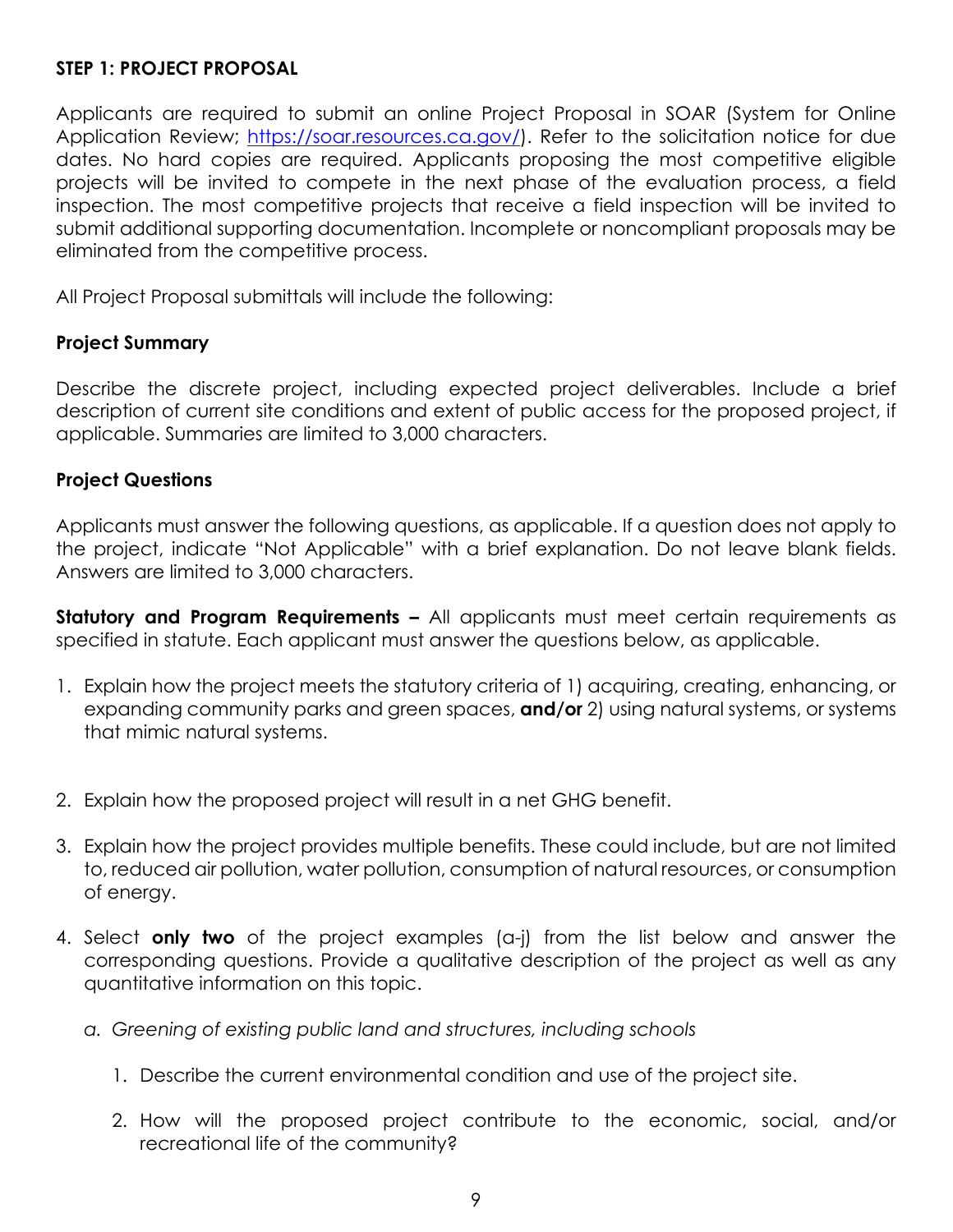# **STEP 1: PROJECT PROPOSAL**

Applicants are required to submit an online Project Proposal in SOAR (System for Online Application Review; [https://soar.resources.ca.gov/\)](https://soar.resources.ca.gov/). Refer to the solicitation notice for due dates. No hard copies are required. Applicants proposing the most competitive eligible projects will be invited to compete in the next phase of the evaluation process, a field inspection. The most competitive projects that receive a field inspection will be invited to submit additional supporting documentation. Incomplete or noncompliant proposals may be eliminated from the competitive process.

All Project Proposal submittals will include the following:

#### **Project Summary**

Describe the discrete project, including expected project deliverables. Include a brief description of current site conditions and extent of public access for the proposed project, if applicable. Summaries are limited to 3,000 characters.

#### **Project Questions**

Applicants must answer the following questions, as applicable. If a question does not apply to the project, indicate "Not Applicable" with a brief explanation. Do not leave blank fields. Answers are limited to 3,000 characters.

**Statutory and Program Requirements –** All applicants must meet certain requirements as specified in statute. Each applicant must answer the questions below, as applicable.

- 1. Explain how the project meets the statutory criteria of 1) acquiring, creating, enhancing, or expanding community parks and green spaces, **and/or** 2) using natural systems, or systems that mimic natural systems.
- 2. Explain how the proposed project will result in a net GHG benefit.
- 3. Explain how the project provides multiple benefits. These could include, but are not limited to, reduced air pollution, water pollution, consumption of natural resources, or consumption of energy.
- 4. Select **only two** of the project examples (a-j) from the list below and answer the corresponding questions. Provide a qualitative description of the project as well as any quantitative information on this topic.
	- *a. Greening of existing public land and structures, including schools*
		- 1. Describe the current environmental condition and use of the project site.
		- 2. How will the proposed project contribute to the economic, social, and/or recreational life of the community?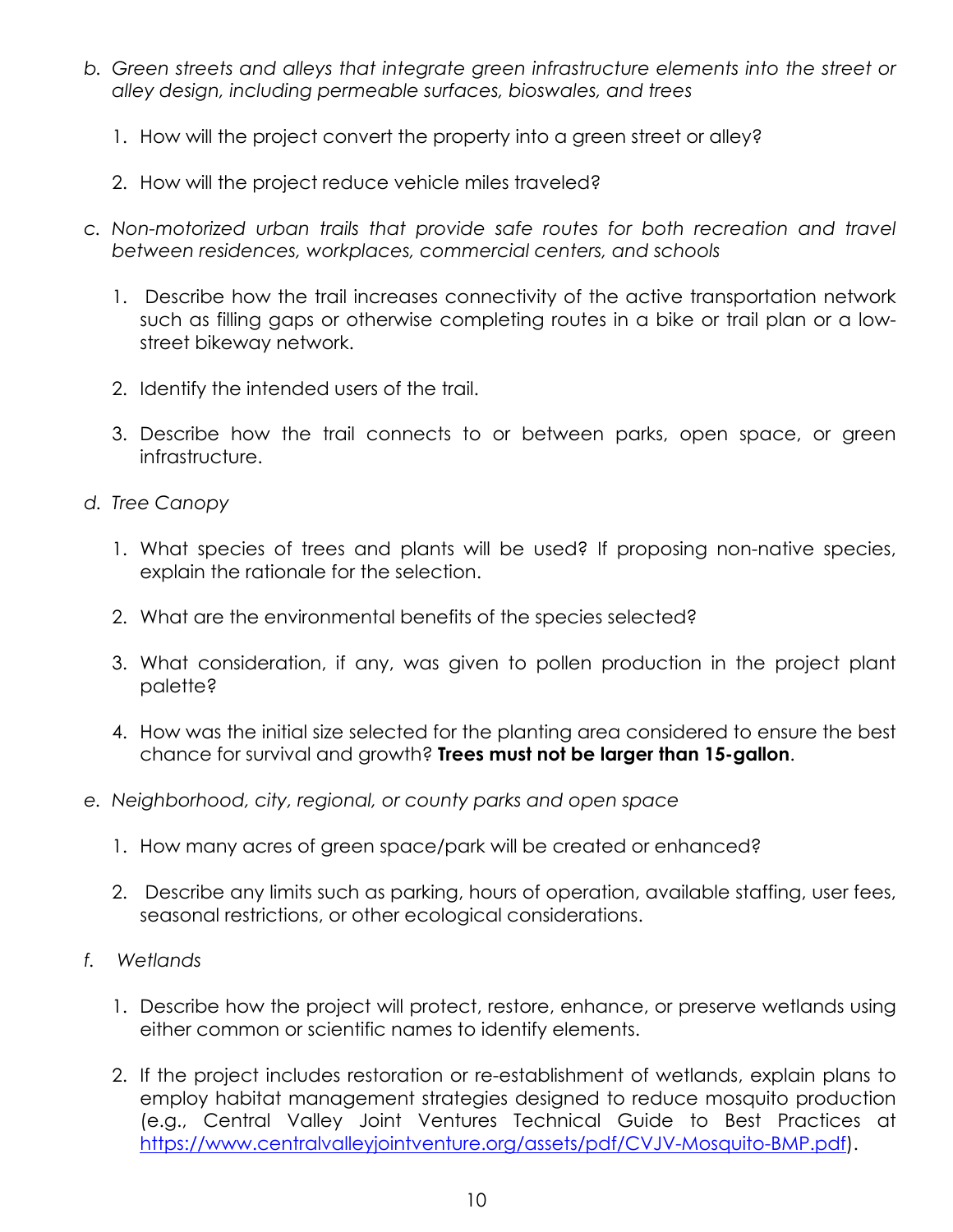- *b. Green streets and alleys that integrate green infrastructure elements into the street or alley design, including permeable surfaces, bioswales, and trees*
	- 1. How will the project convert the property into a green street or alley?
	- 2. How will the project reduce vehicle miles traveled?
- *c. Non-motorized urban trails that provide safe routes for both recreation and travel between residences, workplaces, commercial centers, and schools*
	- 1. Describe how the trail increases connectivity of the active transportation network such as filling gaps or otherwise completing routes in a bike or trail plan or a lowstreet bikeway network.
	- 2. Identify the intended users of the trail.
	- 3. Describe how the trail connects to or between parks, open space, or green infrastructure.
- *d. Tree Canopy*
	- 1. What species of trees and plants will be used? If proposing non-native species, explain the rationale for the selection.
	- 2. What are the environmental benefits of the species selected?
	- 3. What consideration, if any, was given to pollen production in the project plant palette?
	- 4. How was the initial size selected for the planting area considered to ensure the best chance for survival and growth? **Trees must not be larger than 15-gallon**.
- *e. Neighborhood, city, regional, or county parks and open space*
	- 1. How many acres of green space/park will be created or enhanced?
	- 2. Describe any limits such as parking, hours of operation, available staffing, user fees, seasonal restrictions, or other ecological considerations.
- *f. Wetlands*
	- 1. Describe how the project will protect, restore, enhance, or preserve wetlands using either common or scientific names to identify elements.
	- 2. If the project includes restoration or re-establishment of wetlands, explain plans to employ habitat management strategies designed to reduce mosquito production (e.g., Central Valley Joint Ventures Technical Guide to Best Practices at [https://www.centralvalleyjointventure.org/assets/pdf/CVJV-Mosquito-BMP.pdf\)](https://www.centralvalleyjointventure.org/assets/pdf/CVJV-Mosquito-BMP.pdf).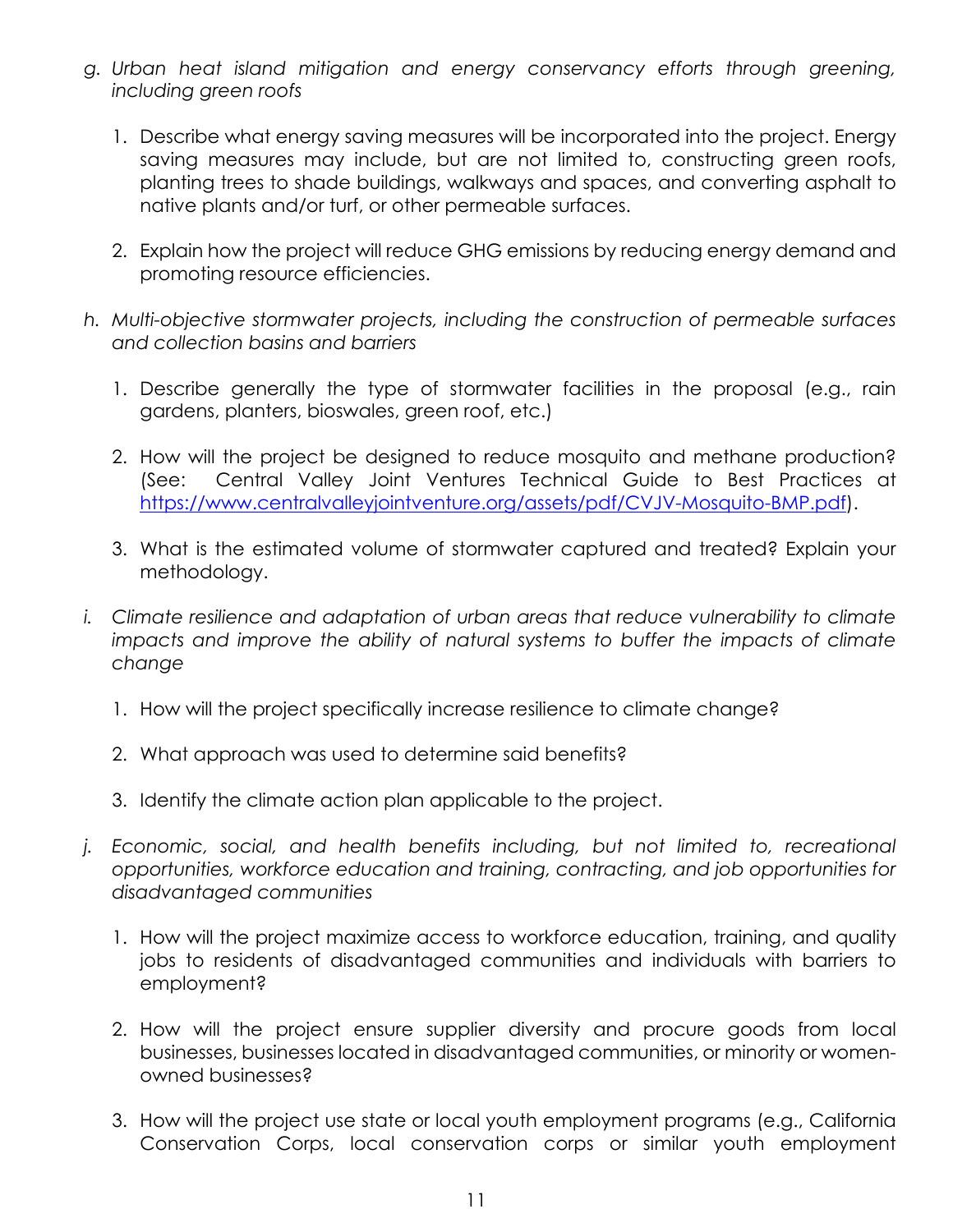- *g. Urban heat island mitigation and energy conservancy efforts through greening, including green roofs*
	- 1. Describe what energy saving measures will be incorporated into the project. Energy saving measures may include, but are not limited to, constructing green roofs, planting trees to shade buildings, walkways and spaces, and converting asphalt to native plants and/or turf, or other permeable surfaces.
	- 2. Explain how the project will reduce GHG emissions by reducing energy demand and promoting resource efficiencies.
- *h. Multi-objective stormwater projects, including the construction of permeable surfaces and collection basins and barriers*
	- 1. Describe generally the type of stormwater facilities in the proposal (e.g., rain gardens, planters, bioswales, green roof, etc.)
	- 2. How will the project be designed to reduce mosquito and methane production? (See: Central Valley Joint Ventures Technical Guide to Best Practices at [https://www.centralvalleyjointventure.org/assets/pdf/CVJV-Mosquito-BMP.pdf\)](https://www.centralvalleyjointventure.org/assets/pdf/CVJV-Mosquito-BMP.pdf).
	- 3. What is the estimated volume of stormwater captured and treated? Explain your methodology.
- *i. Climate resilience and adaptation of urban areas that reduce vulnerability to climate*  impacts and improve the ability of natural systems to buffer the impacts of climate *change*
	- 1. How will the project specifically increase resilience to climate change?
	- 2. What approach was used to determine said benefits?
	- 3. Identify the climate action plan applicable to the project.
- *j.* Economic, social, and health benefits including, but not limited to, recreational *opportunities, workforce education and training, contracting, and job opportunities for disadvantaged communities*
	- 1. How will the project maximize access to workforce education, training, and quality jobs to residents of disadvantaged communities and individuals with barriers to employment?
	- 2. How will the project ensure supplier diversity and procure goods from local businesses, businesses located in disadvantaged communities, or minority or womenowned businesses?
	- 3. How will the project use state or local youth employment programs (e.g., California Conservation Corps, local conservation corps or similar youth employment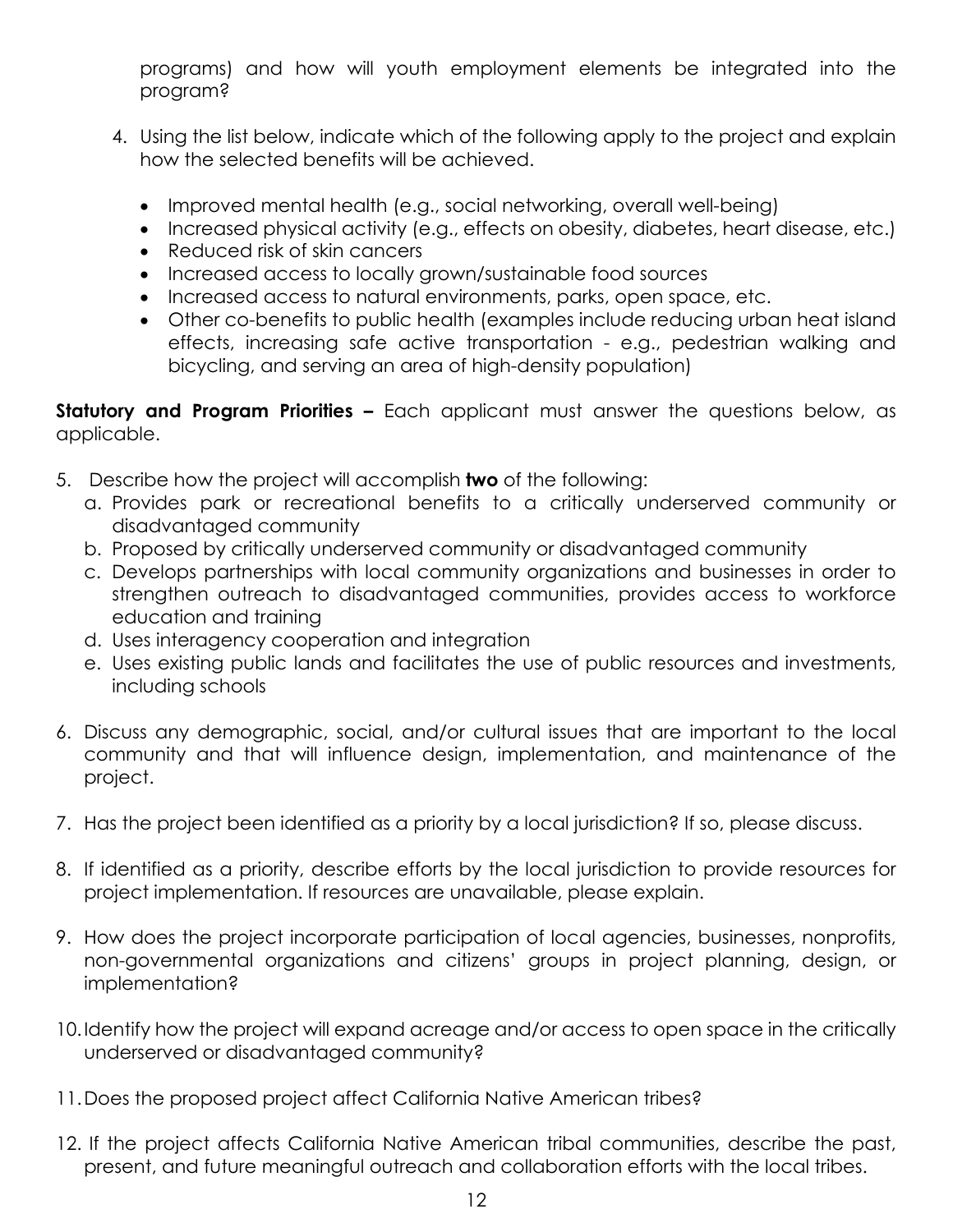programs) and how will youth employment elements be integrated into the program?

- 4. Using the list below, indicate which of the following apply to the project and explain how the selected benefits will be achieved.
	- Improved mental health (e.g., social networking, overall well-being)
	- Increased physical activity (e.g., effects on obesity, diabetes, heart disease, etc.)
	- Reduced risk of skin cancers
	- Increased access to locally grown/sustainable food sources
	- Increased access to natural environments, parks, open space, etc.
	- Other co-benefits to public health (examples include reducing urban heat island effects, increasing safe active transportation - e.g., pedestrian walking and bicycling, and serving an area of high-density population)

**Statutory and Program Priorities –** Each applicant must answer the questions below, as applicable.

- 5. Describe how the project will accomplish **two** of the following:
	- a. Provides park or recreational benefits to a critically underserved community or disadvantaged community
	- b. Proposed by critically underserved community or disadvantaged community
	- c. Develops partnerships with local community organizations and businesses in order to strengthen outreach to disadvantaged communities, provides access to workforce education and training
	- d. Uses interagency cooperation and integration
	- e. Uses existing public lands and facilitates the use of public resources and investments, including schools
- 6. Discuss any demographic, social, and/or cultural issues that are important to the local community and that will influence design, implementation, and maintenance of the project.
- 7. Has the project been identified as a priority by a local jurisdiction? If so, please discuss.
- 8. If identified as a priority, describe efforts by the local jurisdiction to provide resources for project implementation. If resources are unavailable, please explain.
- 9. How does the project incorporate participation of local agencies, businesses, nonprofits, non-governmental organizations and citizens' groups in project planning, design, or implementation?
- 10.Identify how the project will expand acreage and/or access to open space in the critically underserved or disadvantaged community?
- 11.Does the proposed project affect California Native American tribes?
- 12. If the project affects California Native American tribal communities, describe the past, present, and future meaningful outreach and collaboration efforts with the local tribes.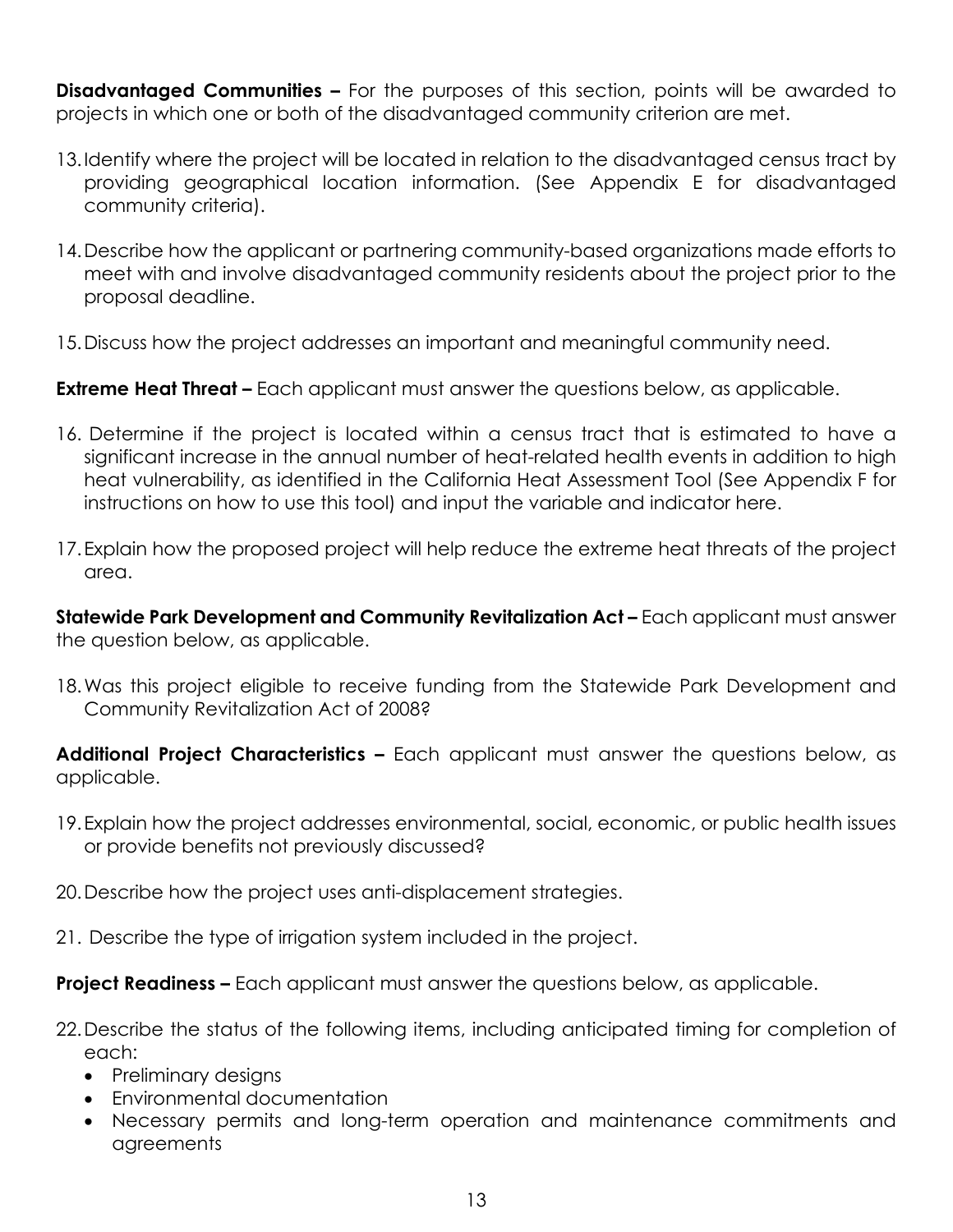**Disadvantaged Communities –** For the purposes of this section, points will be awarded to projects in which one or both of the disadvantaged community criterion are met.

- 13.Identify where the project will be located in relation to the disadvantaged census tract by providing geographical location information. (See Appendix E for disadvantaged community criteria).
- 14.Describe how the applicant or partnering community-based organizations made efforts to meet with and involve disadvantaged community residents about the project prior to the proposal deadline.
- 15.Discuss how the project addresses an important and meaningful community need.

**Extreme Heat Threat –** Each applicant must answer the questions below, as applicable.

- 16. Determine if the project is located within a census tract that is estimated to have a significant increase in the annual number of heat-related health events in addition to high heat vulnerability, as identified in the California Heat Assessment Tool (See Appendix F for instructions on how to use this tool) and input the variable and indicator here.
- 17.Explain how the proposed project will help reduce the extreme heat threats of the project area.

**Statewide Park Development and Community Revitalization Act –** Each applicant must answer the question below, as applicable.

18.Was this project eligible to receive funding from the Statewide Park Development and Community Revitalization Act of 2008?

**Additional Project Characteristics –** Each applicant must answer the questions below, as applicable.

- 19.Explain how the project addresses environmental, social, economic, or public health issues or provide benefits not previously discussed?
- 20.Describe how the project uses anti-displacement strategies.
- 21. Describe the type of irrigation system included in the project.

**Project Readiness –** Each applicant must answer the questions below, as applicable.

- 22.Describe the status of the following items, including anticipated timing for completion of each:
	- Preliminary designs
	- Environmental documentation
	- Necessary permits and long-term operation and maintenance commitments and agreements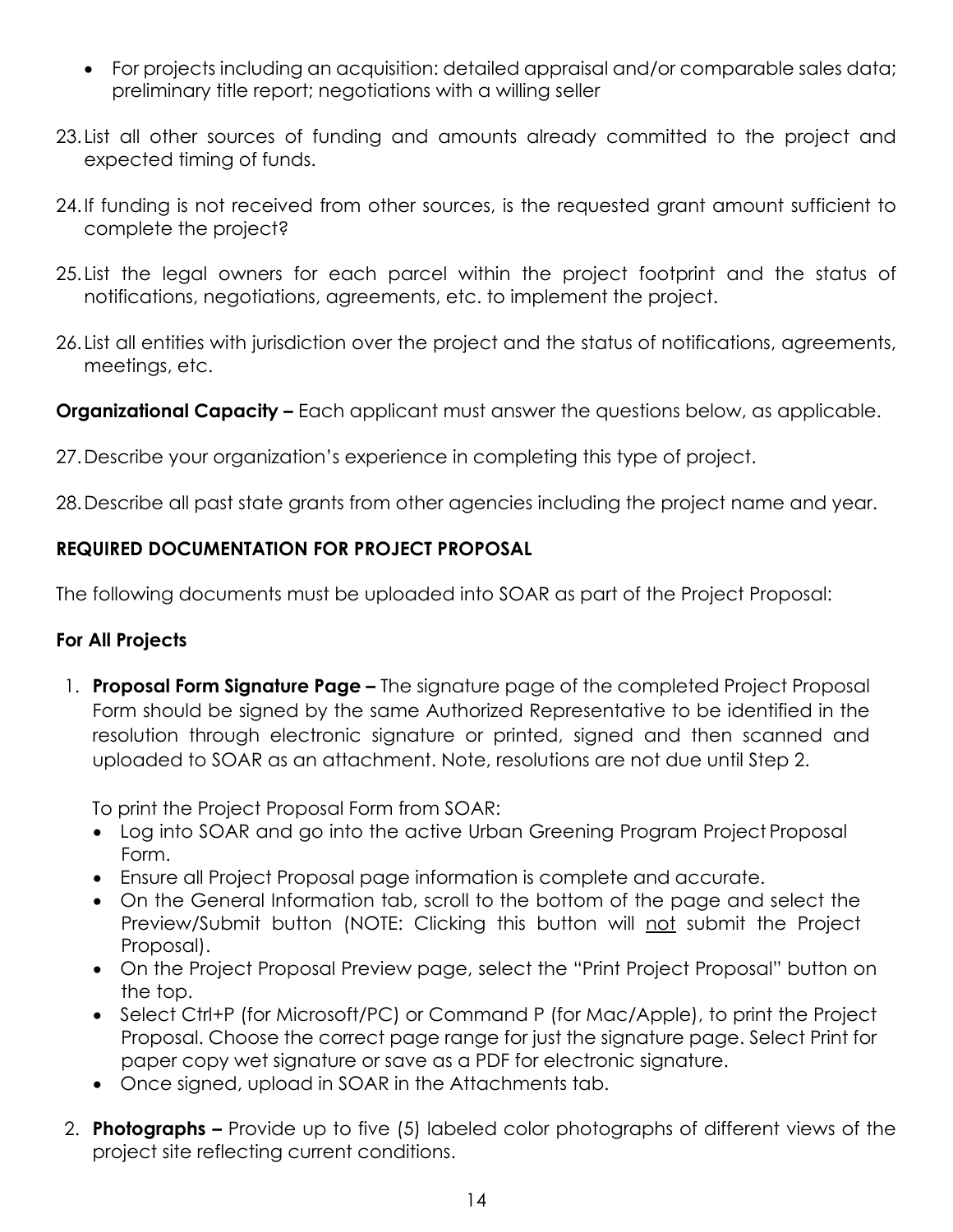- For projects including an acquisition: detailed appraisal and/or comparable sales data; preliminary title report; negotiations with a willing seller
- 23.List all other sources of funding and amounts already committed to the project and expected timing of funds.
- 24.If funding is not received from other sources, is the requested grant amount sufficient to complete the project?
- 25.List the legal owners for each parcel within the project footprint and the status of notifications, negotiations, agreements, etc. to implement the project.
- 26.List all entities with jurisdiction over the project and the status of notifications, agreements, meetings, etc.
- **Organizational Capacity –** Each applicant must answer the questions below, as applicable.

27.Describe your organization's experience in completing this type of project.

28.Describe all past state grants from other agencies including the project name and year.

# **REQUIRED DOCUMENTATION FOR PROJECT PROPOSAL**

The following documents must be uploaded into SOAR as part of the Project Proposal:

# **For All Projects**

1. **Proposal Form Signature Page –** The signature page of the completed Project Proposal Form should be signed by the same Authorized Representative to be identified in the resolution through electronic signature or printed, signed and then scanned and uploaded to SOAR as an attachment. Note, resolutions are not due until Step 2.

To print the Project Proposal Form from SOAR:

- Log into SOAR and go into the active Urban Greening Program Project Proposal Form.
- Ensure all Project Proposal page information is complete and accurate.
- On the General Information tab, scroll to the bottom of the page and select the Preview/Submit button (NOTE: Clicking this button will not submit the Project Proposal).
- On the Project Proposal Preview page, select the "Print Project Proposal" button on the top.
- Select Ctrl+P (for Microsoft/PC) or Command P (for Mac/Apple), to print the Project Proposal. Choose the correct page range for just the signature page. Select Print for paper copy wet signature or save as a PDF for electronic signature.
- Once signed, upload in SOAR in the Attachments tab.
- 2. **Photographs –** Provide up to five (5) labeled color photographs of different views of the project site reflecting current conditions.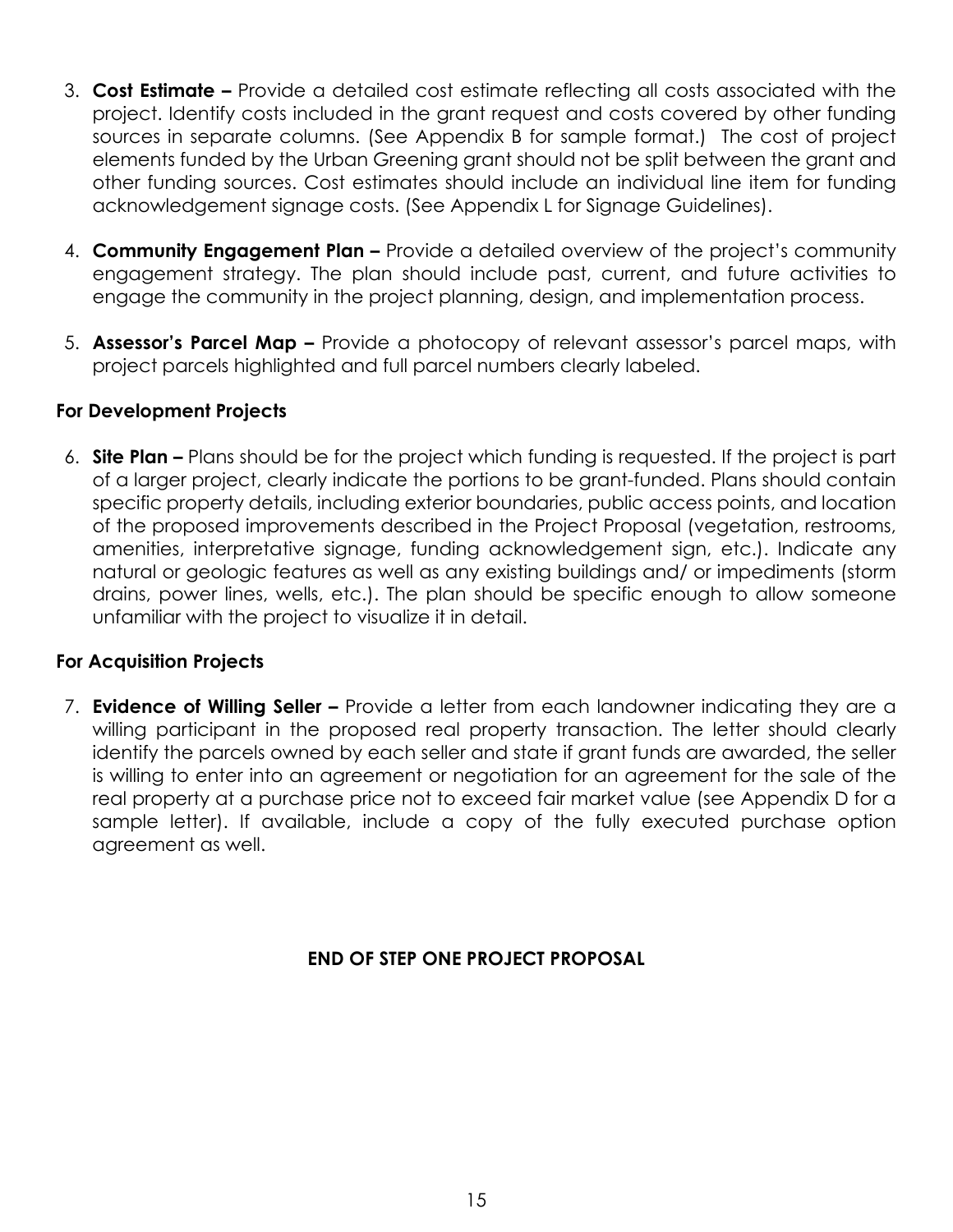- 3. **Cost Estimate –** Provide a detailed cost estimate reflecting all costs associated with the project. Identify costs included in the grant request and costs covered by other funding sources in separate columns. (See Appendix B for sample format.) The cost of project elements funded by the Urban Greening grant should not be split between the grant and other funding sources. Cost estimates should include an individual line item for funding acknowledgement signage costs. (See Appendix L for Signage Guidelines).
- 4. **Community Engagement Plan –** Provide a detailed overview of the project's community engagement strategy. The plan should include past, current, and future activities to engage the community in the project planning, design, and implementation process.
- 5. **Assessor's Parcel Map –** Provide a photocopy of relevant assessor's parcel maps, with project parcels highlighted and full parcel numbers clearly labeled.

# **For Development Projects**

6. **Site Plan –** Plans should be for the project which funding is requested. If the project is part of a larger project, clearly indicate the portions to be grant-funded. Plans should contain specific property details, including exterior boundaries, public access points, and location of the proposed improvements described in the Project Proposal (vegetation, restrooms, amenities, interpretative signage, funding acknowledgement sign, etc.). Indicate any natural or geologic features as well as any existing buildings and/ or impediments (storm drains, power lines, wells, etc.). The plan should be specific enough to allow someone unfamiliar with the project to visualize it in detail.

# **For Acquisition Projects**

7. **Evidence of Willing Seller –** Provide a letter from each landowner indicating they are a willing participant in the proposed real property transaction. The letter should clearly identify the parcels owned by each seller and state if grant funds are awarded, the seller is willing to enter into an agreement or negotiation for an agreement for the sale of the real property at a purchase price not to exceed fair market value (see Appendix D for a sample letter). If available, include a copy of the fully executed purchase option agreement as well.

# **END OF STEP ONE PROJECT PROPOSAL**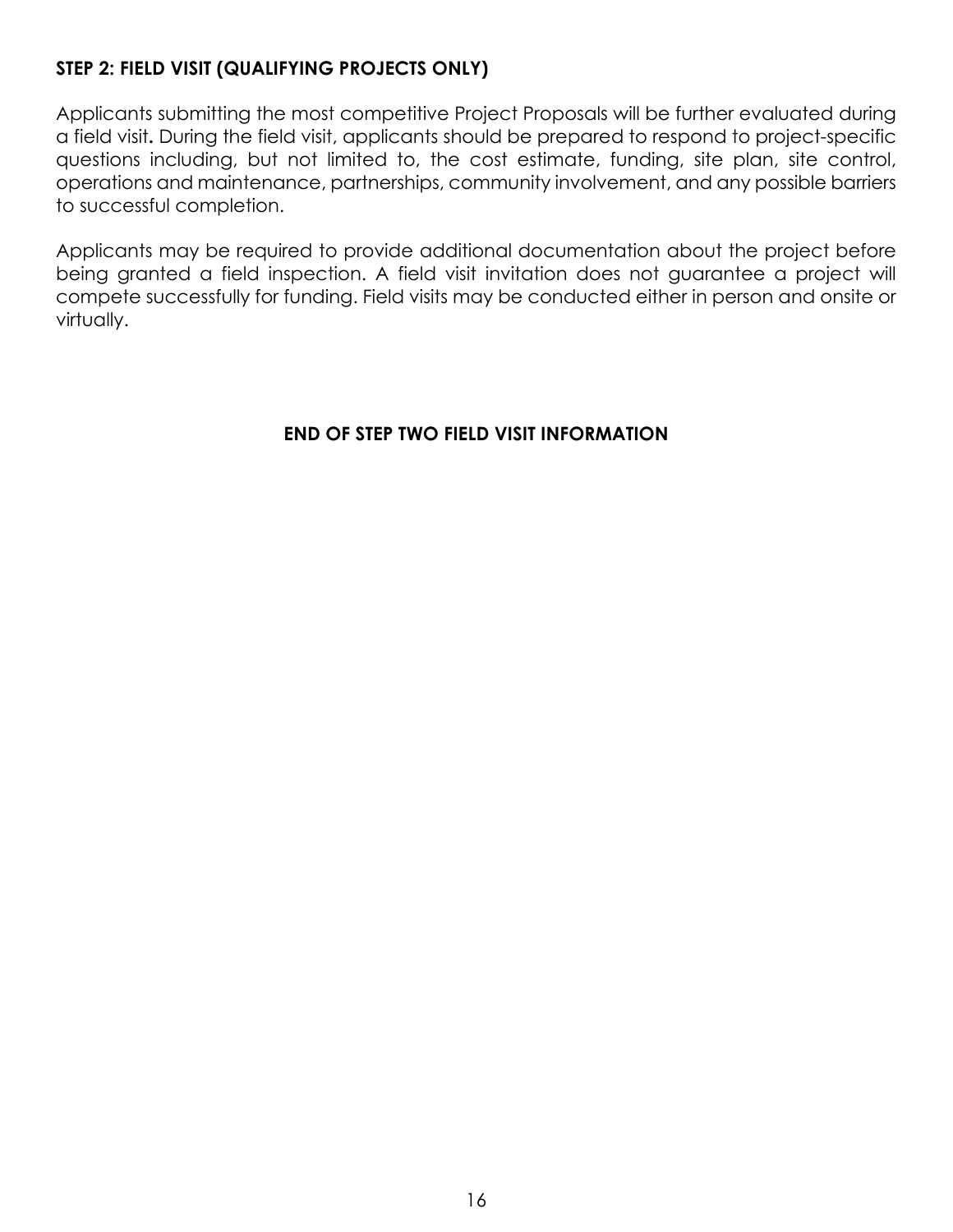# **STEP 2: FIELD VISIT (QUALIFYING PROJECTS ONLY)**

Applicants submitting the most competitive Project Proposals will be further evaluated during a field visit**.** During the field visit, applicants should be prepared to respond to project-specific questions including, but not limited to, the cost estimate, funding, site plan, site control, operations and maintenance, partnerships, community involvement, and any possible barriers to successful completion.

Applicants may be required to provide additional documentation about the project before being granted a field inspection. A field visit invitation does not guarantee a project will compete successfully for funding. Field visits may be conducted either in person and onsite or virtually.

### **END OF STEP TWO FIELD VISIT INFORMATION**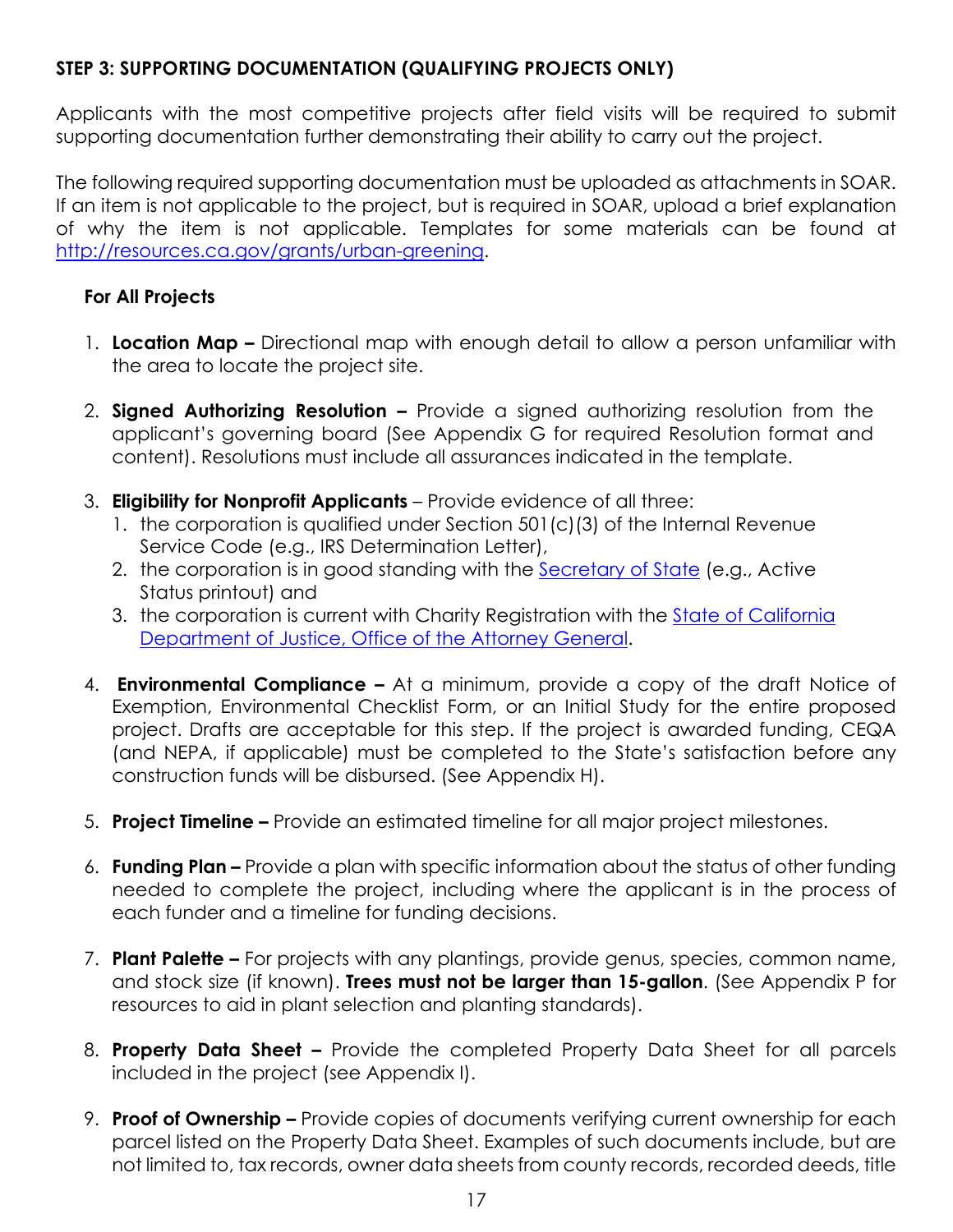# **STEP 3: SUPPORTING DOCUMENTATION (QUALIFYING PROJECTS ONLY)**

Applicants with the most competitive projects after field visits will be required to submit supporting documentation further demonstrating their ability to carry out the project.

The following required supporting documentation must be uploaded as attachments in SOAR. If an item is not applicable to the project, but is required in SOAR, upload a brief explanation of why the item is not applicable. Templates for some materials can be found at [http://resources.ca.gov/grants/urban-greening.](http://resources.ca.gov/grants/urban-greening)

# **For All Projects**

- 1. **Location Map –** Directional map with enough detail to allow a person unfamiliar with the area to locate the project site.
- 2. **Signed Authorizing Resolution –** Provide a signed authorizing resolution from the applicant's governing board (See Appendix G for required Resolution format and content). Resolutions must include all assurances indicated in the template.
- 3. **Eligibility for Nonprofit Applicants**  Provide evidence of all three:
	- 1. the corporation is qualified under Section 501(c)(3) of the Internal Revenue Service Code (e.g., IRS Determination Letter),
	- 2. the corporation is in good standing with the **Secretary of State** (e.g., Active Status printout) and
	- 3. the corporation is current with Charity Registration with the [State of California](http://rct.doj.ca.gov/Verification/Web/Search.aspx?facility=Y)  [Department of Justice, Office of the Attorney General.](http://rct.doj.ca.gov/Verification/Web/Search.aspx?facility=Y)
- 4. **Environmental Compliance –** At a minimum, provide a copy of the draft Notice of Exemption, Environmental Checklist Form, or an Initial Study for the entire proposed project. Drafts are acceptable for this step. If the project is awarded funding, CEQA (and NEPA, if applicable) must be completed to the State's satisfaction before any construction funds will be disbursed. (See Appendix H).
- 5. **Project Timeline –** Provide an estimated timeline for all major project milestones.
- 6. **Funding Plan –** Provide a plan with specific information about the status of other funding needed to complete the project, including where the applicant is in the process of each funder and a timeline for funding decisions.
- 7. **Plant Palette –** For projects with any plantings, provide genus, species, common name, and stock size (if known). **Trees must not be larger than 15-gallon**. (See Appendix P for resources to aid in plant selection and planting standards).
- 8. **Property Data Sheet –** Provide the completed Property Data Sheet for all parcels included in the project (see Appendix I).
- 9. **Proof of Ownership –** Provide copies of documents verifying current ownership for each parcel listed on the Property Data Sheet. Examples of such documents include, but are not limited to, tax records, owner data sheets from county records, recorded deeds, title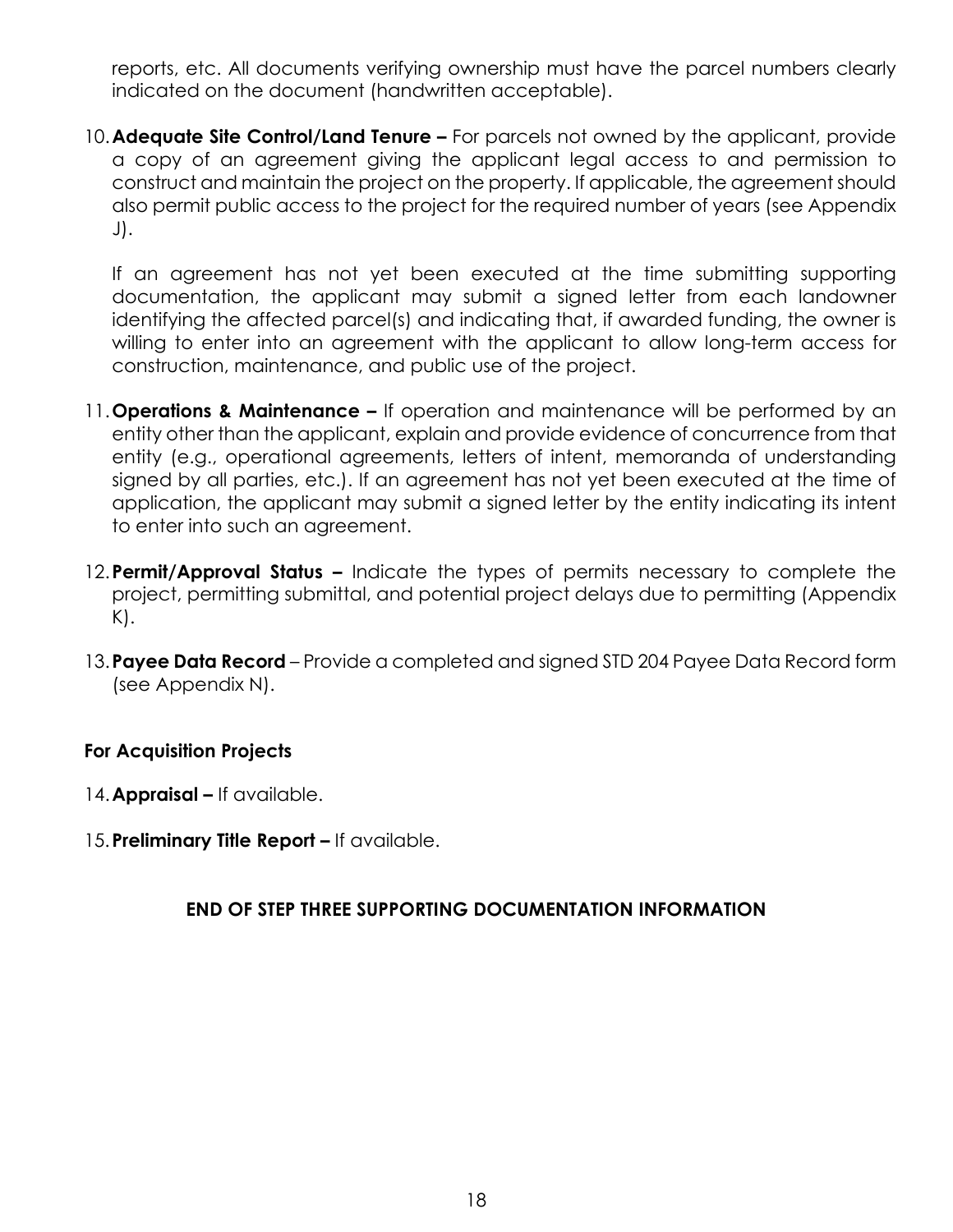reports, etc. All documents verifying ownership must have the parcel numbers clearly indicated on the document (handwritten acceptable).

10.**Adequate Site Control/Land Tenure –** For parcels not owned by the applicant, provide a copy of an agreement giving the applicant legal access to and permission to construct and maintain the project on the property. If applicable, the agreement should also permit public access to the project for the required number of years (see Appendix J).

If an agreement has not yet been executed at the time submitting supporting documentation, the applicant may submit a signed letter from each landowner identifying the affected parcel(s) and indicating that, if awarded funding, the owner is willing to enter into an agreement with the applicant to allow long-term access for construction, maintenance, and public use of the project.

- 11.**Operations & Maintenance –** If operation and maintenance will be performed by an entity other than the applicant, explain and provide evidence of concurrence from that entity (e.g., operational agreements, letters of intent, memoranda of understanding signed by all parties, etc.). If an agreement has not yet been executed at the time of application, the applicant may submit a signed letter by the entity indicating its intent to enter into such an agreement.
- 12.**Permit/Approval Status –** Indicate the types of permits necessary to complete the project, permitting submittal, and potential project delays due to permitting (Appendix  $K$ ).
- 13.**Payee Data Record** Provide a completed and signed STD 204 Payee Data Record form (see Appendix N).

# **For Acquisition Projects**

- 14.**Appraisal –** If available.
- 15.**Preliminary Title Report –** If available.

### **END OF STEP THREE SUPPORTING DOCUMENTATION INFORMATION**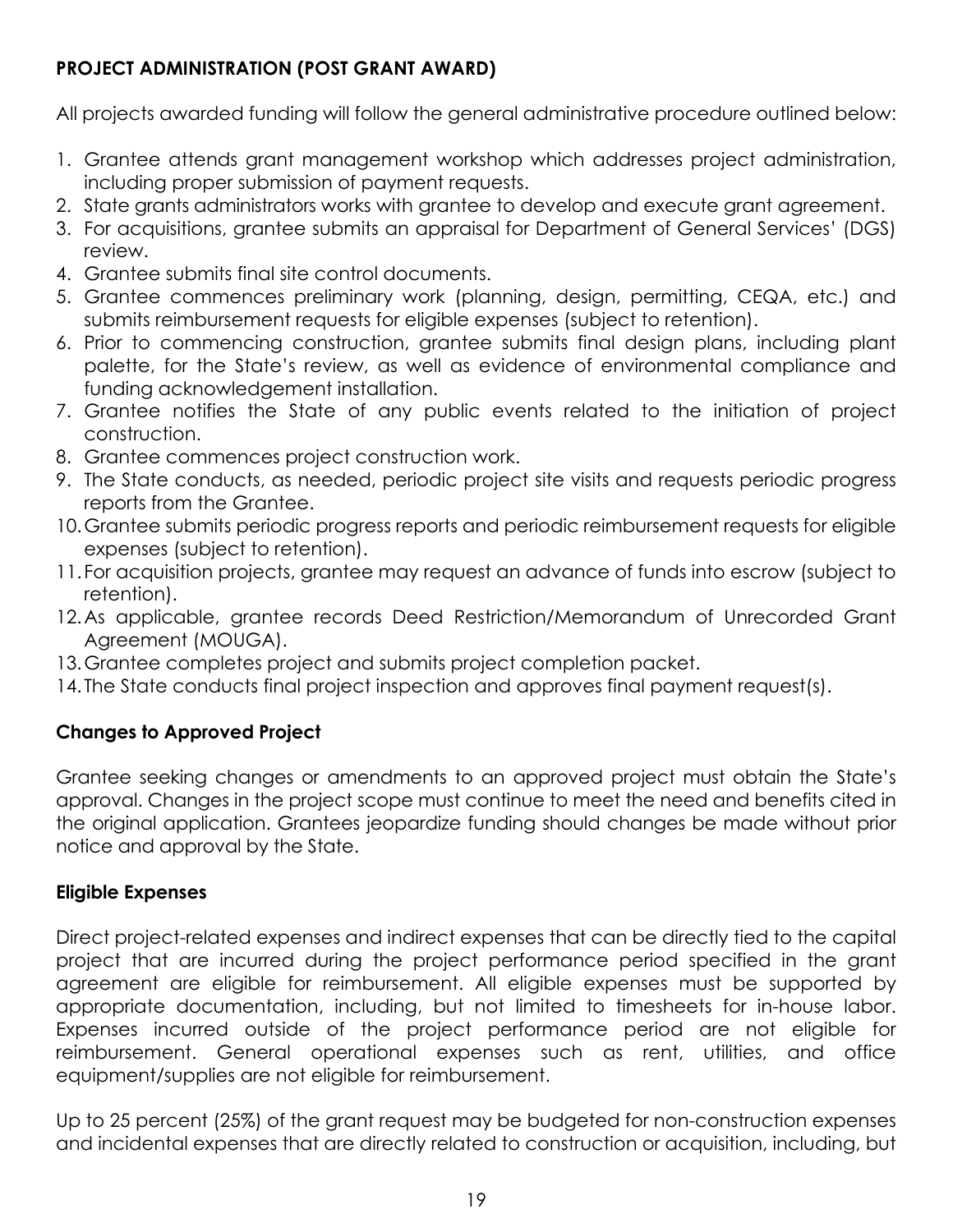# **PROJECT ADMINISTRATION (POST GRANT AWARD)**

All projects awarded funding will follow the general administrative procedure outlined below:

- 1. Grantee attends grant management workshop which addresses project administration, including proper submission of payment requests.
- 2. State grants administrators works with grantee to develop and execute grant agreement.
- 3. For acquisitions, grantee submits an appraisal for Department of General Services' (DGS) review.
- 4. Grantee submits final site control documents.
- 5. Grantee commences preliminary work (planning, design, permitting, CEQA, etc.) and submits reimbursement requests for eligible expenses (subject to retention).
- 6. Prior to commencing construction, grantee submits final design plans, including plant palette, for the State's review, as well as evidence of environmental compliance and funding acknowledgement installation.
- 7. Grantee notifies the State of any public events related to the initiation of project construction.
- 8. Grantee commences project construction work.
- 9. The State conducts, as needed, periodic project site visits and requests periodic progress reports from the Grantee.
- 10.Grantee submits periodic progress reports and periodic reimbursement requests for eligible expenses (subject to retention).
- 11.For acquisition projects, grantee may request an advance of funds into escrow (subject to retention).
- 12.As applicable, grantee records Deed Restriction/Memorandum of Unrecorded Grant Agreement (MOUGA).
- 13.Grantee completes project and submits project completion packet.
- 14. The State conducts final project inspection and approves final payment request(s).

# **Changes to Approved Project**

Grantee seeking changes or amendments to an approved project must obtain the State's approval. Changes in the project scope must continue to meet the need and benefits cited in the original application. Grantees jeopardize funding should changes be made without prior notice and approval by the State.

# **Eligible Expenses**

Direct project-related expenses and indirect expenses that can be directly tied to the capital project that are incurred during the project performance period specified in the grant agreement are eligible for reimbursement. All eligible expenses must be supported by appropriate documentation, including, but not limited to timesheets for in-house labor. Expenses incurred outside of the project performance period are not eligible for reimbursement. General operational expenses such as rent, utilities, and office equipment/supplies are not eligible for reimbursement.

Up to 25 percent (25%) of the grant request may be budgeted for non-construction expenses and incidental expenses that are directly related to construction or acquisition, including, but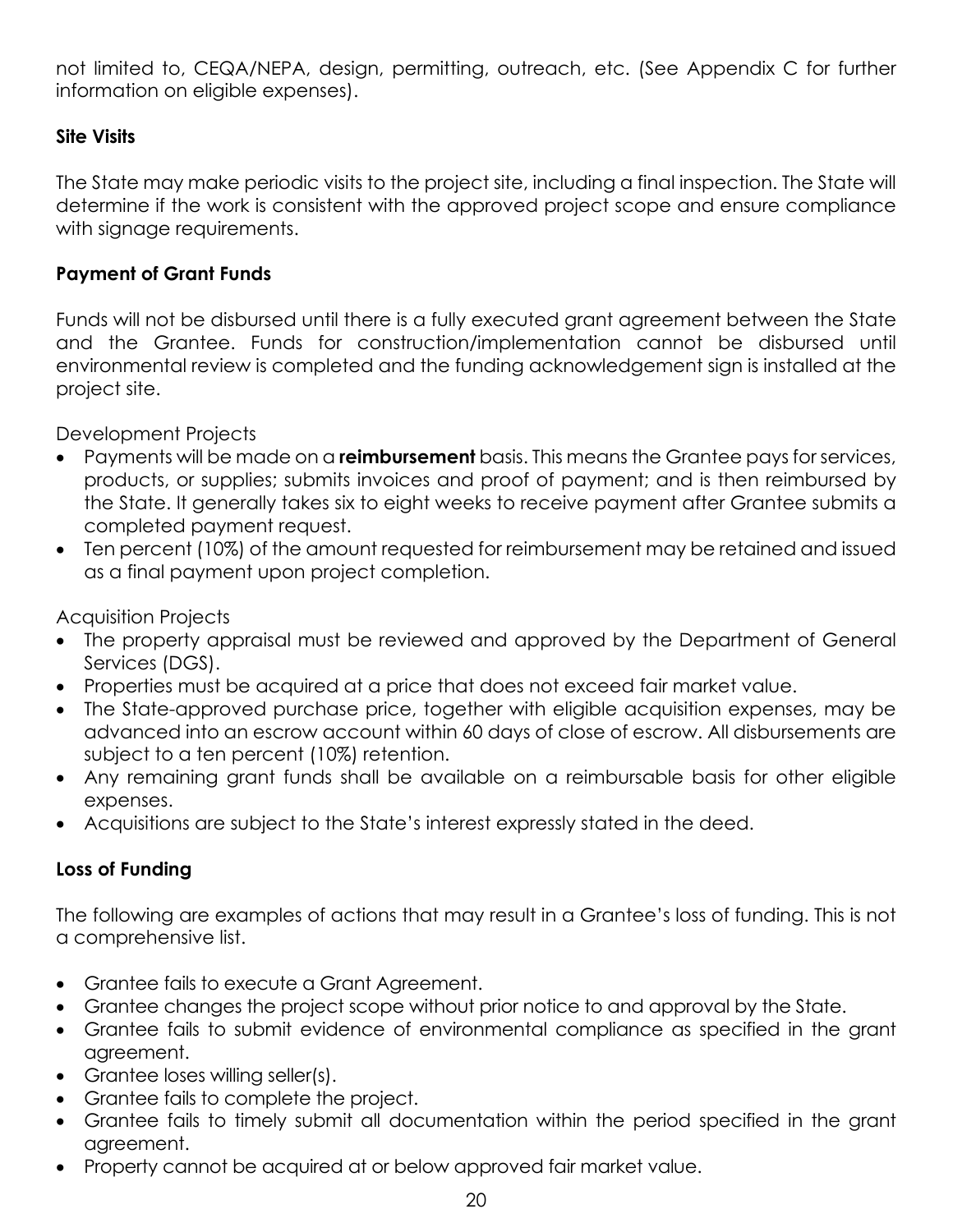not limited to, CEQA/NEPA, design, permitting, outreach, etc. (See Appendix C for further information on eligible expenses).

# **Site Visits**

The State may make periodic visits to the project site, including a final inspection. The State will determine if the work is consistent with the approved project scope and ensure compliance with signage requirements.

# **Payment of Grant Funds**

Funds will not be disbursed until there is a fully executed grant agreement between the State and the Grantee. Funds for construction/implementation cannot be disbursed until environmental review is completed and the funding acknowledgement sign is installed at the project site.

Development Projects

- Payments will be made on a **reimbursement** basis. This means the Grantee pays for services, products, or supplies; submits invoices and proof of payment; and is then reimbursed by the State. It generally takes six to eight weeks to receive payment after Grantee submits a completed payment request.
- Ten percent (10%) of the amount requested for reimbursement may be retained and issued as a final payment upon project completion.

Acquisition Projects

- The property appraisal must be reviewed and approved by the Department of General Services (DGS).
- Properties must be acquired at a price that does not exceed fair market value.
- The State-approved purchase price, together with eligible acquisition expenses, may be advanced into an escrow account within 60 days of close of escrow. All disbursements are subject to a ten percent (10%) retention.
- Any remaining grant funds shall be available on a reimbursable basis for other eligible expenses.
- Acquisitions are subject to the State's interest expressly stated in the deed.

# **Loss of Funding**

The following are examples of actions that may result in a Grantee's loss of funding. This is not a comprehensive list.

- Grantee fails to execute a Grant Agreement.
- Grantee changes the project scope without prior notice to and approval by the State.
- Grantee fails to submit evidence of environmental compliance as specified in the grant agreement.
- Grantee loses willing seller(s).
- Grantee fails to complete the project.
- Grantee fails to timely submit all documentation within the period specified in the grant agreement.
- Property cannot be acquired at or below approved fair market value.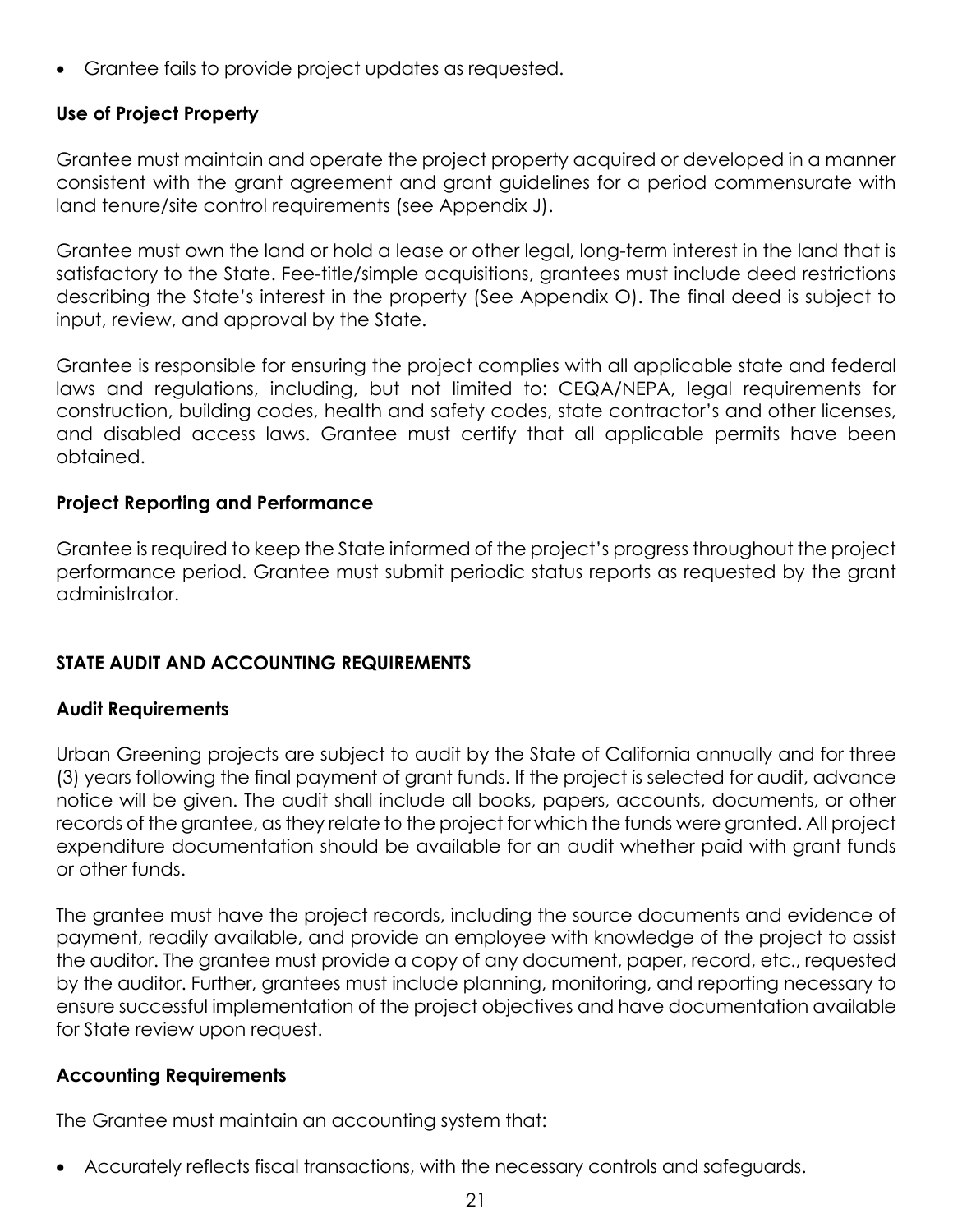• Grantee fails to provide project updates as requested.

# **Use of Project Property**

Grantee must maintain and operate the project property acquired or developed in a manner consistent with the grant agreement and grant guidelines for a period commensurate with land tenure/site control requirements (see Appendix J).

Grantee must own the land or hold a lease or other legal, long-term interest in the land that is satisfactory to the State. Fee-title/simple acquisitions, grantees must include deed restrictions describing the State's interest in the property (See Appendix O). The final deed is subject to input, review, and approval by the State.

Grantee is responsible for ensuring the project complies with all applicable state and federal laws and regulations, including, but not limited to: CEQA/NEPA, legal requirements for construction, building codes, health and safety codes, state contractor's and other licenses, and disabled access laws. Grantee must certify that all applicable permits have been obtained.

# **Project Reporting and Performance**

Grantee is required to keep the State informed of the project's progress throughout the project performance period. Grantee must submit periodic status reports as requested by the grant administrator.

# **STATE AUDIT AND ACCOUNTING REQUIREMENTS**

### **Audit Requirements**

Urban Greening projects are subject to audit by the State of California annually and for three (3) years following the final payment of grant funds. If the project is selected for audit, advance notice will be given. The audit shall include all books, papers, accounts, documents, or other records of the grantee, as they relate to the project for which the funds were granted. All project expenditure documentation should be available for an audit whether paid with grant funds or other funds.

The grantee must have the project records, including the source documents and evidence of payment, readily available, and provide an employee with knowledge of the project to assist the auditor. The grantee must provide a copy of any document, paper, record, etc., requested by the auditor. Further, grantees must include planning, monitoring, and reporting necessary to ensure successful implementation of the project objectives and have documentation available for State review upon request.

#### **Accounting Requirements**

The Grantee must maintain an accounting system that:

• Accurately reflects fiscal transactions, with the necessary controls and safeguards.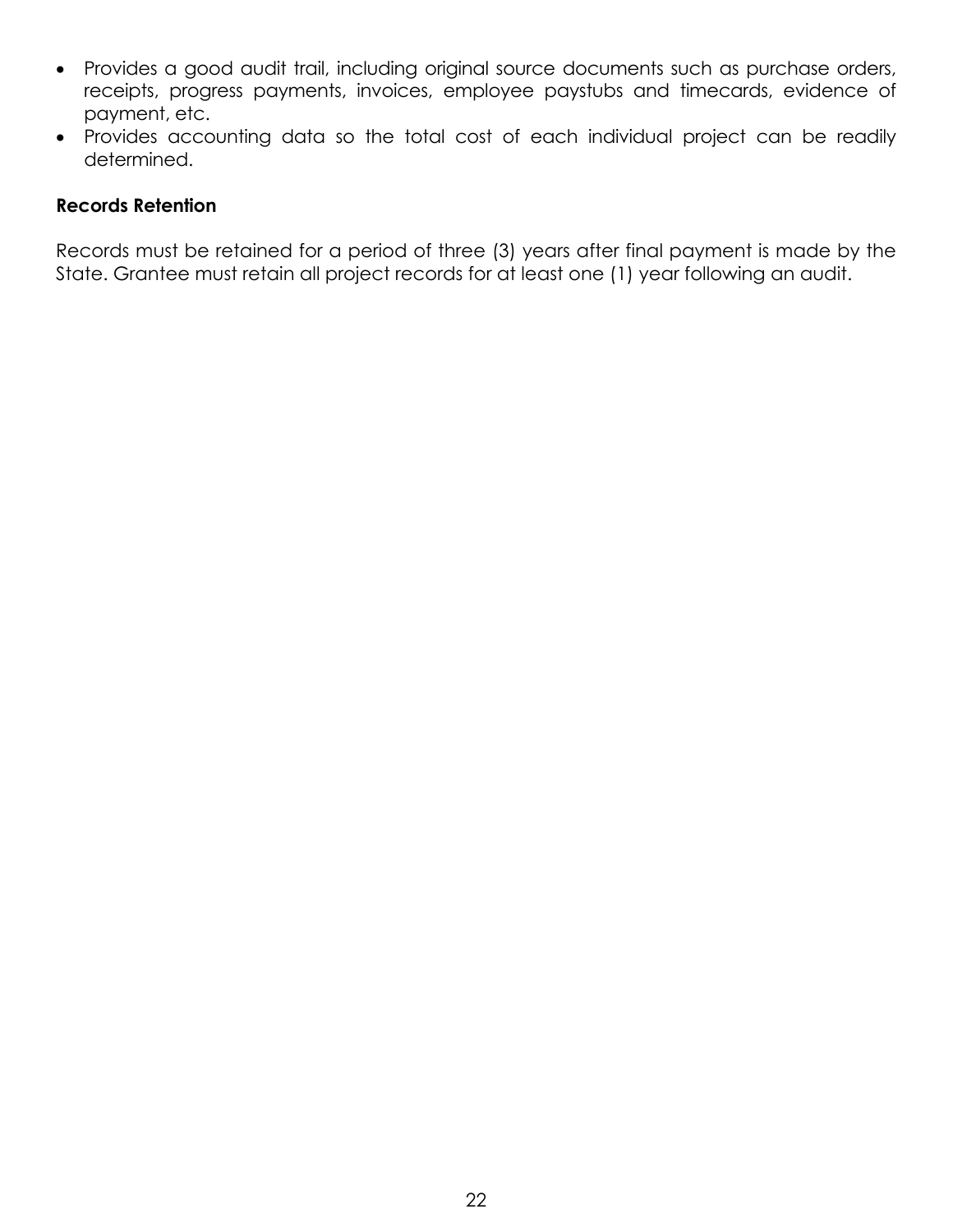- Provides a good audit trail, including original source documents such as purchase orders, receipts, progress payments, invoices, employee paystubs and timecards, evidence of payment, etc.
- Provides accounting data so the total cost of each individual project can be readily determined.

#### **Records Retention**

Records must be retained for a period of three (3) years after final payment is made by the State. Grantee must retain all project records for at least one (1) year following an audit.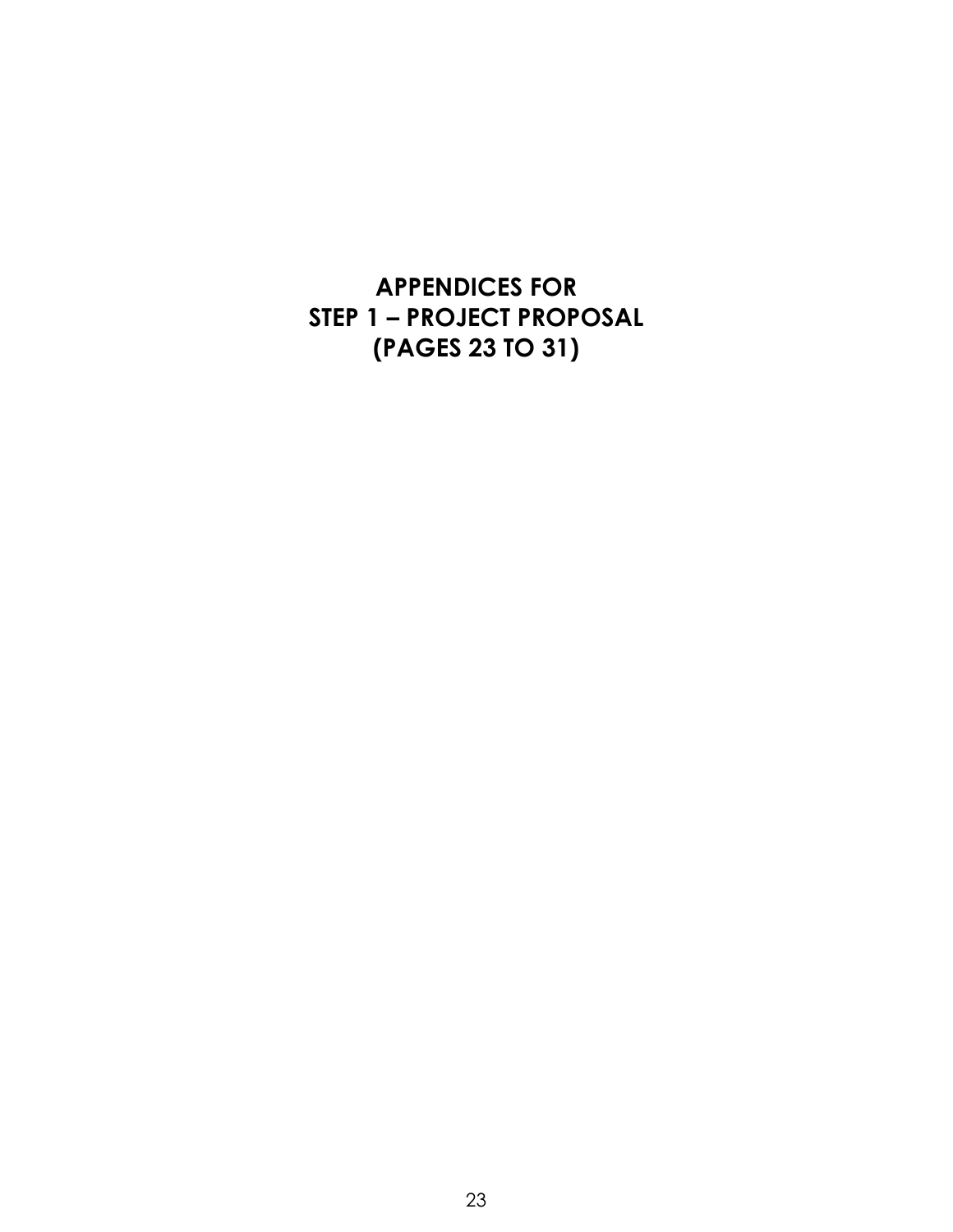**APPENDICES FOR STEP 1 – PROJECT PROPOSAL (PAGES 23 TO 31)**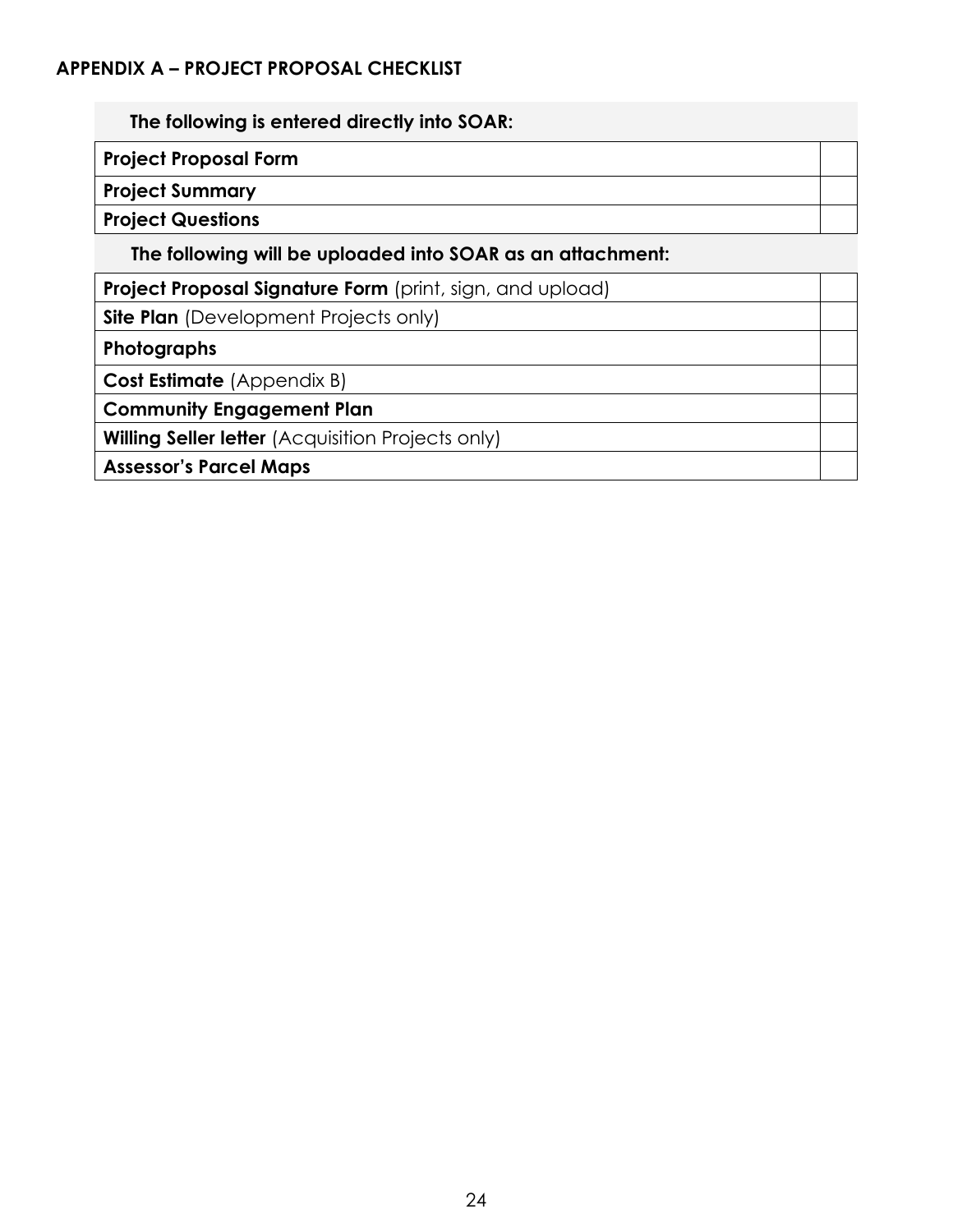# **The following is entered directly into SOAR:**

**Project Proposal Form** 

**Project Summary**

**Project Questions** 

**The following will be uploaded into SOAR as an attachment:**

**Project Proposal Signature Form** (print, sign, and upload)

**Site Plan** (Development Projects only)

**Photographs**

**Cost Estimate** (Appendix B)

**Community Engagement Plan** 

**Willing Seller letter** (Acquisition Projects only)

**Assessor's Parcel Maps**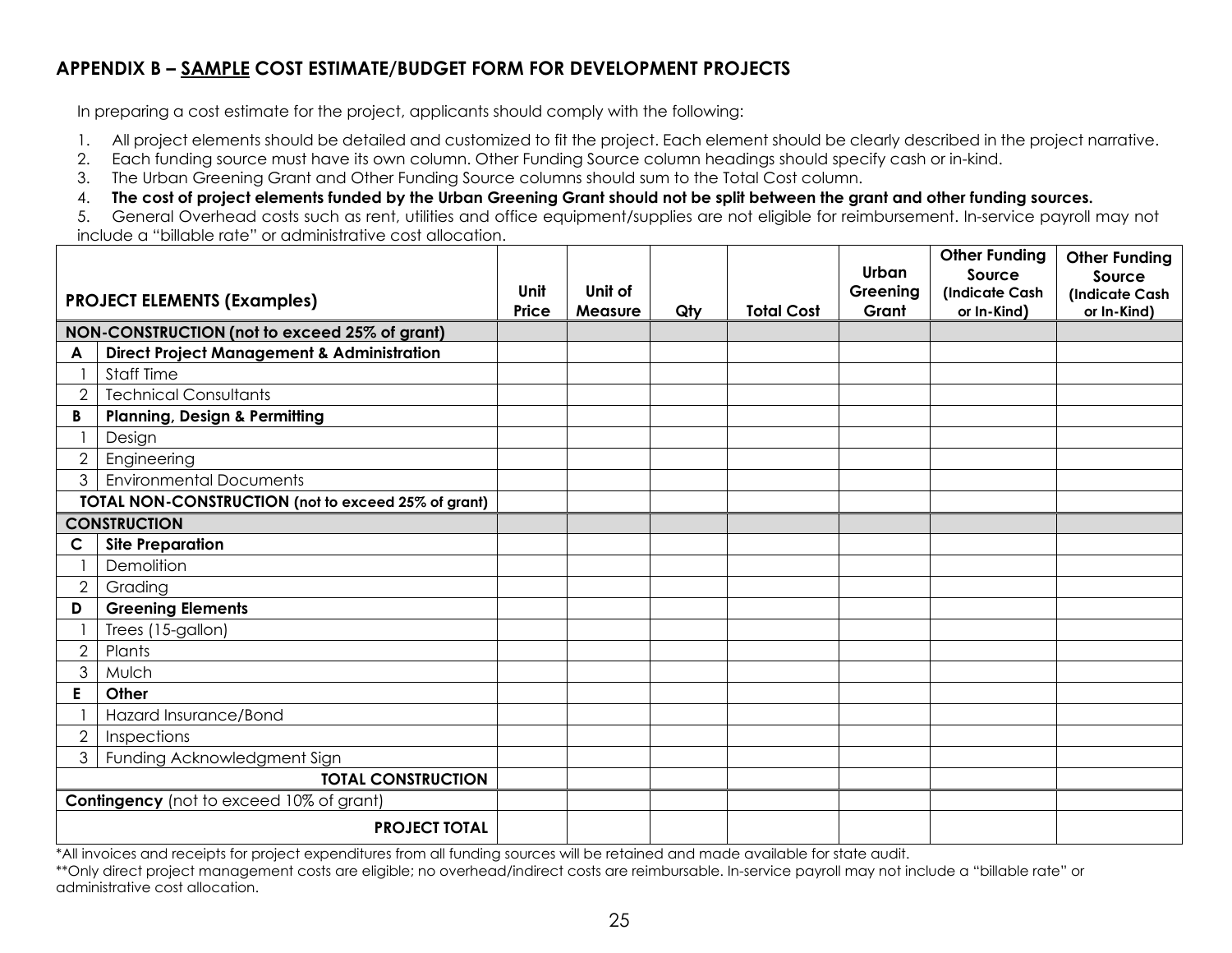# **APPENDIX B – SAMPLE COST ESTIMATE/BUDGET FORM FOR DEVELOPMENT PROJECTS**

In preparing a cost estimate for the project, applicants should comply with the following:

- 1. All project elements should be detailed and customized to fit the project. Each element should be clearly described in the project narrative.
- 2. Each funding source must have its own column. Other Funding Source column headings should specify cash or in-kind.
- 3. The Urban Greening Grant and Other Funding Source columns should sum to the Total Cost column.
- 4. **The cost of project elements funded by the Urban Greening Grant should not be split between the grant and other funding sources.**

5. General Overhead costs such as rent, utilities and office equipment/supplies are not eligible for reimbursement. In-service payroll may not include a "billable rate" or administrative cost allocation.

|                                    |                                                       | Unit  | Unit of |     |                   | Urban<br>Greening | <b>Other Funding</b><br>Source<br>(Indicate Cash | <b>Other Funding</b><br>Source<br>(Indicate Cash |
|------------------------------------|-------------------------------------------------------|-------|---------|-----|-------------------|-------------------|--------------------------------------------------|--------------------------------------------------|
| <b>PROJECT ELEMENTS (Examples)</b> |                                                       | Price | Measure | Qty | <b>Total Cost</b> | Grant             | or In-Kind)                                      | or In-Kind)                                      |
|                                    | NON-CONSTRUCTION (not to exceed 25% of grant)         |       |         |     |                   |                   |                                                  |                                                  |
| A                                  | <b>Direct Project Management &amp; Administration</b> |       |         |     |                   |                   |                                                  |                                                  |
|                                    | <b>Staff Time</b>                                     |       |         |     |                   |                   |                                                  |                                                  |
| $\overline{2}$                     | <b>Technical Consultants</b>                          |       |         |     |                   |                   |                                                  |                                                  |
| B                                  | <b>Planning, Design &amp; Permitting</b>              |       |         |     |                   |                   |                                                  |                                                  |
|                                    | Design                                                |       |         |     |                   |                   |                                                  |                                                  |
| $\mathbf{2}$                       | Engineering                                           |       |         |     |                   |                   |                                                  |                                                  |
| 3                                  | <b>Environmental Documents</b>                        |       |         |     |                   |                   |                                                  |                                                  |
|                                    | TOTAL NON-CONSTRUCTION (not to exceed 25% of grant)   |       |         |     |                   |                   |                                                  |                                                  |
|                                    | <b>CONSTRUCTION</b>                                   |       |         |     |                   |                   |                                                  |                                                  |
| C                                  | <b>Site Preparation</b>                               |       |         |     |                   |                   |                                                  |                                                  |
|                                    | Demolition                                            |       |         |     |                   |                   |                                                  |                                                  |
| $\overline{2}$                     | Grading                                               |       |         |     |                   |                   |                                                  |                                                  |
| D                                  | <b>Greening Elements</b>                              |       |         |     |                   |                   |                                                  |                                                  |
|                                    | Trees (15-gallon)                                     |       |         |     |                   |                   |                                                  |                                                  |
| $\overline{2}$                     | Plants                                                |       |         |     |                   |                   |                                                  |                                                  |
| 3                                  | Mulch                                                 |       |         |     |                   |                   |                                                  |                                                  |
| E.                                 | Other                                                 |       |         |     |                   |                   |                                                  |                                                  |
|                                    | Hazard Insurance/Bond                                 |       |         |     |                   |                   |                                                  |                                                  |
| $\mathbf{2}$                       | Inspections                                           |       |         |     |                   |                   |                                                  |                                                  |
| 3                                  | Funding Acknowledgment Sign                           |       |         |     |                   |                   |                                                  |                                                  |
|                                    | <b>TOTAL CONSTRUCTION</b>                             |       |         |     |                   |                   |                                                  |                                                  |
|                                    | <b>Contingency</b> (not to exceed 10% of grant)       |       |         |     |                   |                   |                                                  |                                                  |
|                                    | <b>PROJECT TOTAL</b>                                  |       |         |     |                   |                   |                                                  |                                                  |

\*All invoices and receipts for project expenditures from all funding sources will be retained and made available for state audit.

\*\*Only direct project management costs are eligible; no overhead/indirect costs are reimbursable. In-service payroll may not include a "billable rate" or administrative cost allocation.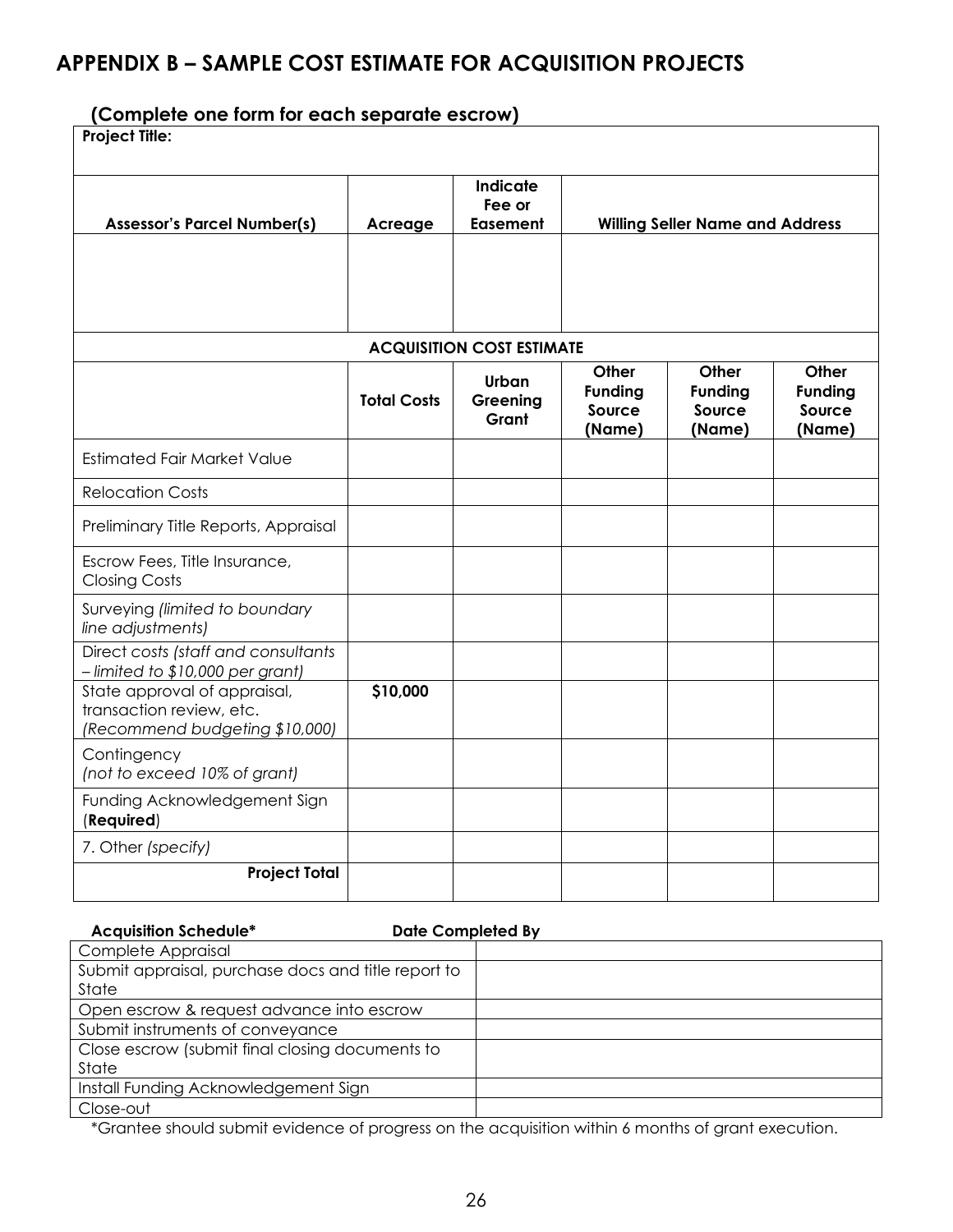# **APPENDIX B – SAMPLE COST ESTIMATE FOR ACQUISITION PROJECTS**

# **(Complete one form for each separate escrow)**

**Project Title:**

| <b>Assessor's Parcel Number(s)</b>                                                         | Acreage            | Indicate<br>Fee or<br><b>Easement</b> | <b>Willing Seller Name and Address</b>      |                                             |                                             |  |  |
|--------------------------------------------------------------------------------------------|--------------------|---------------------------------------|---------------------------------------------|---------------------------------------------|---------------------------------------------|--|--|
|                                                                                            |                    |                                       |                                             |                                             |                                             |  |  |
|                                                                                            |                    | <b>ACQUISITION COST ESTIMATE</b>      |                                             |                                             |                                             |  |  |
|                                                                                            | <b>Total Costs</b> | <b>Urban</b><br>Greening<br>Grant     | Other<br><b>Funding</b><br>Source<br>(Name) | Other<br><b>Funding</b><br>Source<br>(Name) | Other<br><b>Funding</b><br>Source<br>(Name) |  |  |
| Estimated Fair Market Value                                                                |                    |                                       |                                             |                                             |                                             |  |  |
| <b>Relocation Costs</b>                                                                    |                    |                                       |                                             |                                             |                                             |  |  |
| Preliminary Title Reports, Appraisal                                                       |                    |                                       |                                             |                                             |                                             |  |  |
| Escrow Fees, Title Insurance,<br><b>Closing Costs</b>                                      |                    |                                       |                                             |                                             |                                             |  |  |
| Surveying (limited to boundary<br>line adjustments)                                        |                    |                                       |                                             |                                             |                                             |  |  |
| Direct costs (staff and consultants<br>$-$ limited to \$10,000 per grant)                  |                    |                                       |                                             |                                             |                                             |  |  |
| State approval of appraisal,<br>transaction review, etc.<br>(Recommend budgeting \$10,000) | \$10,000           |                                       |                                             |                                             |                                             |  |  |
| Contingency<br>(not to exceed 10% of grant)                                                |                    |                                       |                                             |                                             |                                             |  |  |
| Funding Acknowledgement Sign<br>(Required)                                                 |                    |                                       |                                             |                                             |                                             |  |  |
| 7. Other (specify)                                                                         |                    |                                       |                                             |                                             |                                             |  |  |
| <b>Project Total</b>                                                                       |                    |                                       |                                             |                                             |                                             |  |  |

#### **Acquisition Schedule\* Date Completed By**

| Complete Appraisal                                  |  |
|-----------------------------------------------------|--|
| Submit appraisal, purchase docs and title report to |  |
| State                                               |  |
| Open escrow & request advance into escrow           |  |
| Submit instruments of conveyance                    |  |
| Close escrow (submit final closing documents to     |  |
| State                                               |  |
| Install Funding Acknowledgement Sign                |  |
| Close-out                                           |  |

\*Grantee should submit evidence of progress on the acquisition within 6 months of grant execution.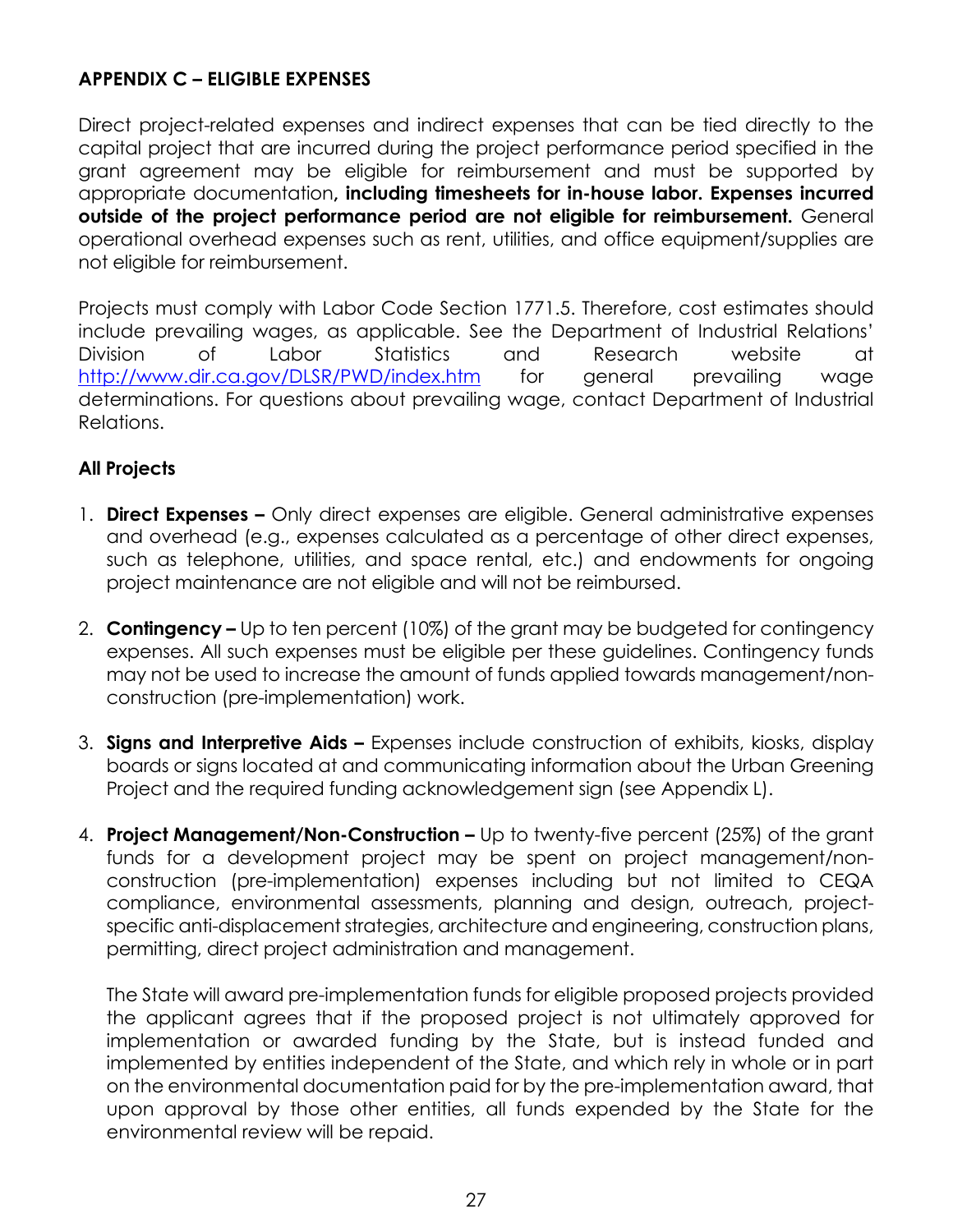# **APPENDIX C – ELIGIBLE EXPENSES**

Direct project-related expenses and indirect expenses that can be tied directly to the capital project that are incurred during the project performance period specified in the grant agreement may be eligible for reimbursement and must be supported by appropriate documentation**, including timesheets for in-house labor. Expenses incurred outside of the project performance period are not eligible for reimbursement.** General operational overhead expenses such as rent, utilities, and office equipment/supplies are not eligible for reimbursement.

Projects must comply with Labor Code Section 1771.5. Therefore, cost estimates should include prevailing wages, as applicable. See the Department of Industrial Relations' Division of Labor Statistics and Research website at <http://www.dir.ca.gov/DLSR/PWD/index.htm> for general prevailing wage determinations. For questions about prevailing wage, contact Department of Industrial Relations.

# **All Projects**

- 1. **Direct Expenses –** Only direct expenses are eligible. General administrative expenses and overhead (e.g., expenses calculated as a percentage of other direct expenses, such as telephone, utilities, and space rental, etc.) and endowments for ongoing project maintenance are not eligible and will not be reimbursed.
- 2. **Contingency –** Up to ten percent (10%) of the grant may be budgeted for contingency expenses. All such expenses must be eligible per these guidelines. Contingency funds may not be used to increase the amount of funds applied towards management/nonconstruction (pre-implementation) work.
- 3. **Signs and Interpretive Aids –** Expenses include construction of exhibits, kiosks, display boards or signs located at and communicating information about the Urban Greening Project and the required funding acknowledgement sign (see Appendix L).
- 4. **Project Management/Non-Construction –** Up to twenty-five percent (25%) of the grant funds for a development project may be spent on project management/nonconstruction (pre-implementation) expenses including but not limited to CEQA compliance, environmental assessments, planning and design, outreach, projectspecific anti-displacement strategies, architecture and engineering, construction plans, permitting, direct project administration and management.

The State will award pre-implementation funds for eligible proposed projects provided the applicant agrees that if the proposed project is not ultimately approved for implementation or awarded funding by the State, but is instead funded and implemented by entities independent of the State, and which rely in whole or in part on the environmental documentation paid for by the pre-implementation award, that upon approval by those other entities, all funds expended by the State for the environmental review will be repaid.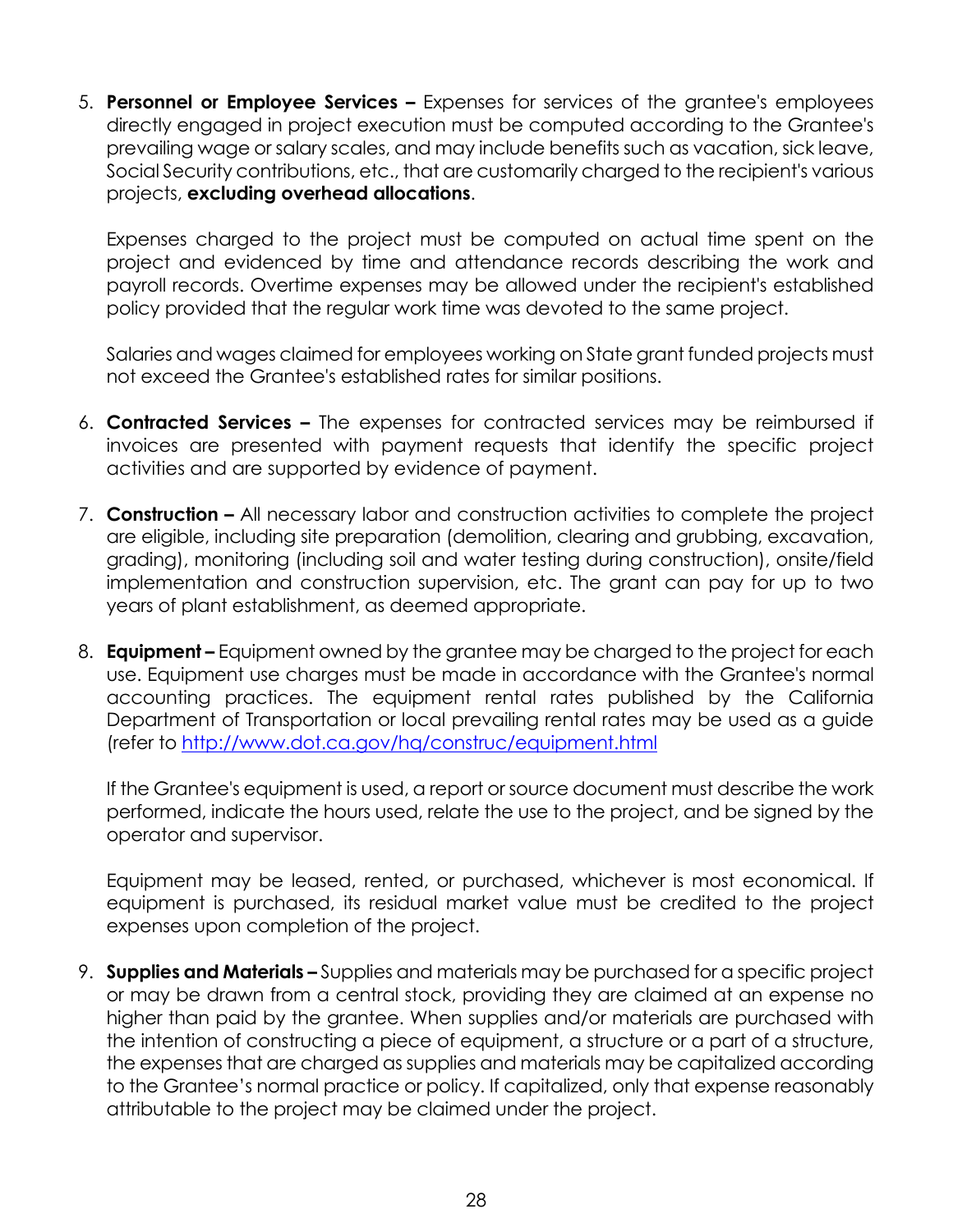5. **Personnel or Employee Services –** Expenses for services of the grantee's employees directly engaged in project execution must be computed according to the Grantee's prevailing wage or salary scales, and may include benefits such as vacation, sick leave, Social Security contributions, etc., that are customarily charged to the recipient's various projects, **excluding overhead allocations**.

Expenses charged to the project must be computed on actual time spent on the project and evidenced by time and attendance records describing the work and payroll records. Overtime expenses may be allowed under the recipient's established policy provided that the regular work time was devoted to the same project.

Salaries and wages claimed for employees working on State grant funded projects must not exceed the Grantee's established rates for similar positions.

- 6. **Contracted Services –** The expenses for contracted services may be reimbursed if invoices are presented with payment requests that identify the specific project activities and are supported by evidence of payment.
- 7. **Construction –** All necessary labor and construction activities to complete the project are eligible, including site preparation (demolition, clearing and grubbing, excavation, grading), monitoring (including soil and water testing during construction), onsite/field implementation and construction supervision, etc. The grant can pay for up to two years of plant establishment, as deemed appropriate.
- 8. **Equipment –** Equipment owned by the grantee may be charged to the project for each use. Equipment use charges must be made in accordance with the Grantee's normal accounting practices. The equipment rental rates published by the California Department of Transportation or local prevailing rental rates may be used as a guide (refer to<http://www.dot.ca.gov/hq/construc/equipment.html>

If the Grantee's equipment is used, a report or source document must describe the work performed, indicate the hours used, relate the use to the project, and be signed by the operator and supervisor.

Equipment may be leased, rented, or purchased, whichever is most economical. If equipment is purchased, its residual market value must be credited to the project expenses upon completion of the project.

9. **Supplies and Materials –** Supplies and materials may be purchased for a specific project or may be drawn from a central stock, providing they are claimed at an expense no higher than paid by the grantee. When supplies and/or materials are purchased with the intention of constructing a piece of equipment, a structure or a part of a structure, the expenses that are charged as supplies and materials may be capitalized according to the Grantee's normal practice or policy. If capitalized, only that expense reasonably attributable to the project may be claimed under the project.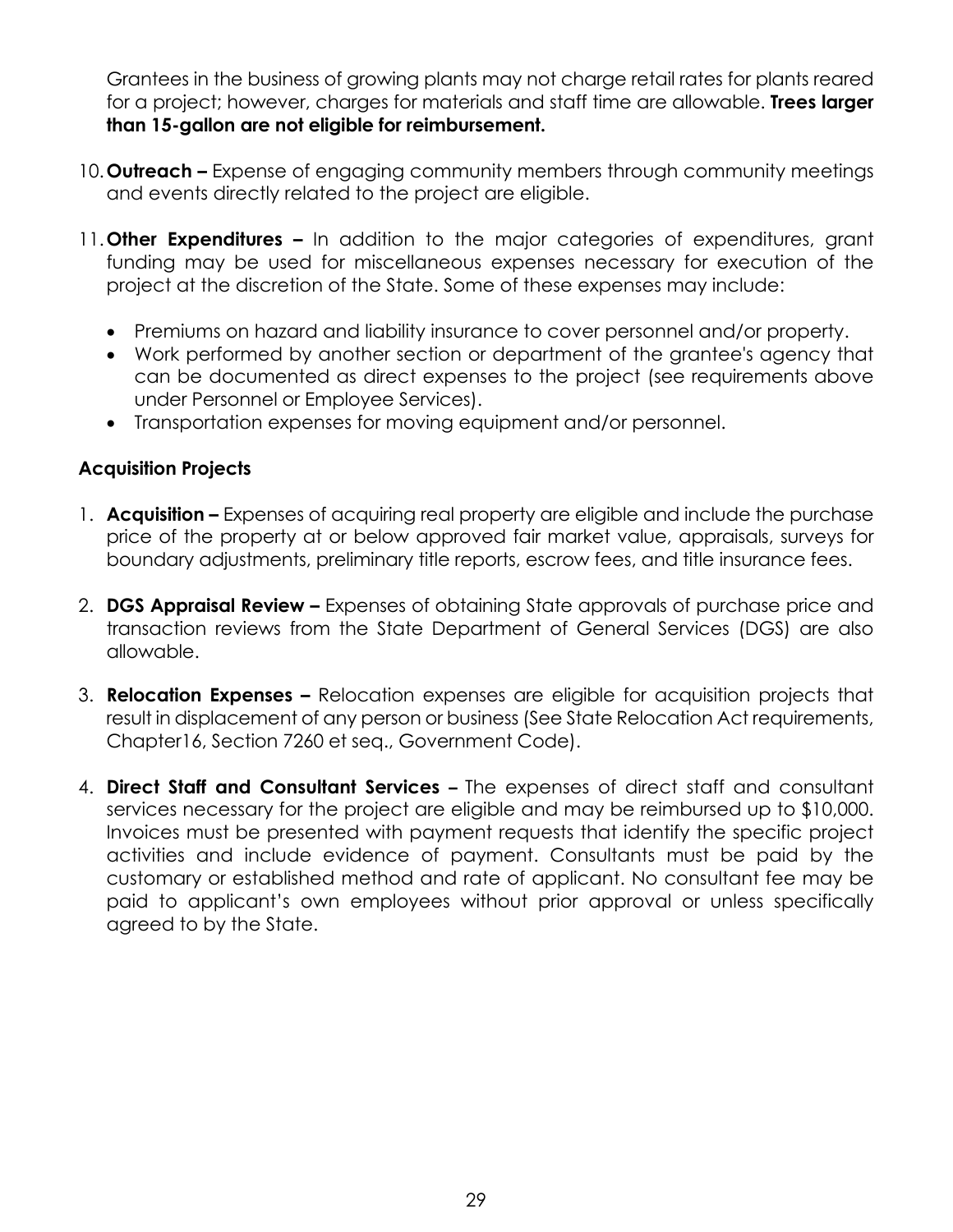Grantees in the business of growing plants may not charge retail rates for plants reared for a project; however, charges for materials and staff time are allowable. **Trees larger than 15-gallon are not eligible for reimbursement.**

- 10.**Outreach –** Expense of engaging community members through community meetings and events directly related to the project are eligible.
- 11.**Other Expenditures –** In addition to the major categories of expenditures, grant funding may be used for miscellaneous expenses necessary for execution of the project at the discretion of the State. Some of these expenses may include:
	- Premiums on hazard and liability insurance to cover personnel and/or property.
	- Work performed by another section or department of the grantee's agency that can be documented as direct expenses to the project (see requirements above under Personnel or Employee Services).
	- Transportation expenses for moving equipment and/or personnel.

# **Acquisition Projects**

- 1. **Acquisition –** Expenses of acquiring real property are eligible and include the purchase price of the property at or below approved fair market value, appraisals, surveys for boundary adjustments, preliminary title reports, escrow fees, and title insurance fees.
- 2. **DGS Appraisal Review –** Expenses of obtaining State approvals of purchase price and transaction reviews from the State Department of General Services (DGS) are also allowable.
- 3. **Relocation Expenses –** Relocation expenses are eligible for acquisition projects that result in displacement of any person or business (See State Relocation Act requirements, Chapter16, Section 7260 et seq., Government Code).
- 4. **Direct Staff and Consultant Services –** The expenses of direct staff and consultant services necessary for the project are eligible and may be reimbursed up to \$10,000. Invoices must be presented with payment requests that identify the specific project activities and include evidence of payment. Consultants must be paid by the customary or established method and rate of applicant. No consultant fee may be paid to applicant's own employees without prior approval or unless specifically agreed to by the State.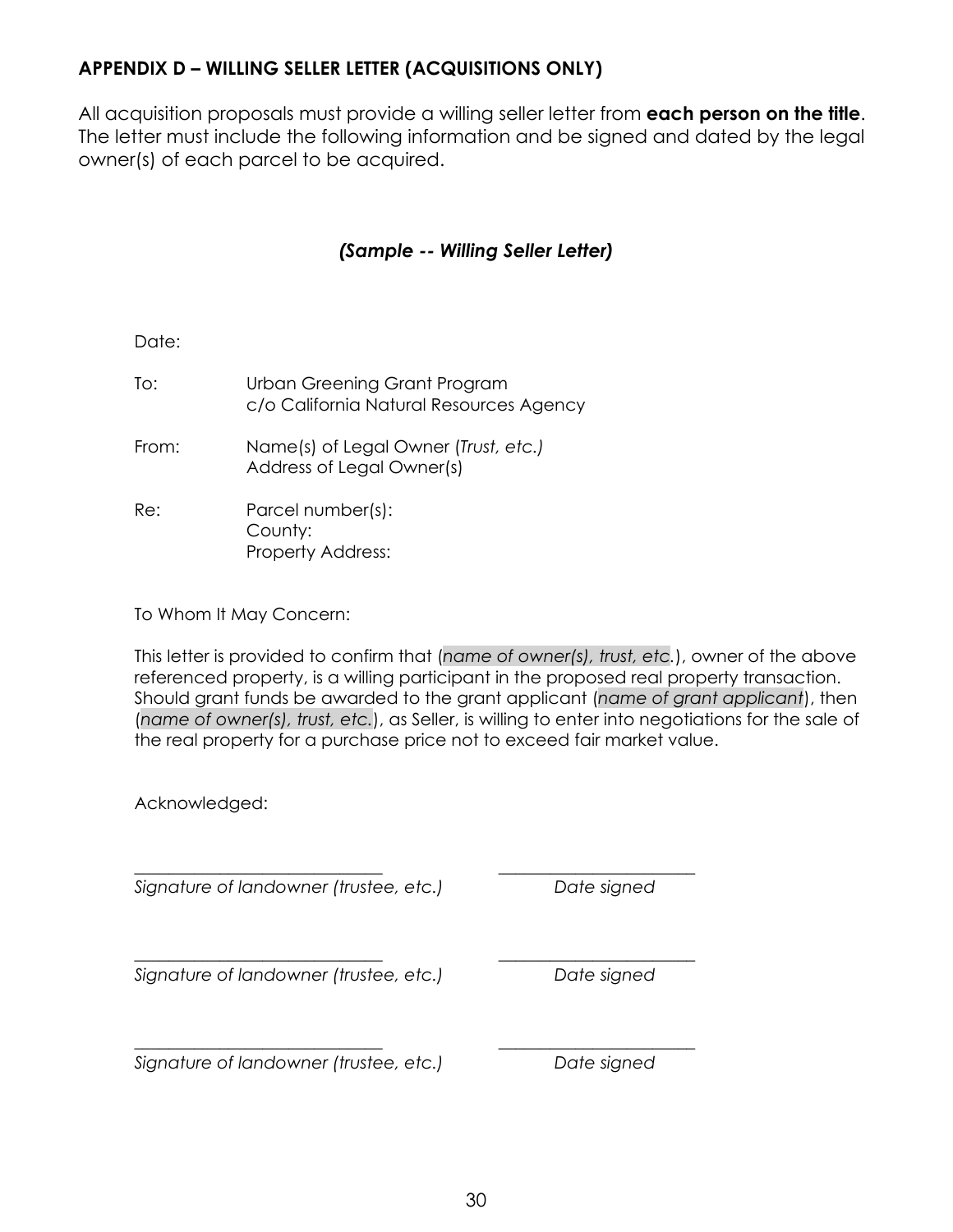# **APPENDIX D – WILLING SELLER LETTER (ACQUISITIONS ONLY)**

All acquisition proposals must provide a willing seller letter from **each person on the title**. The letter must include the following information and be signed and dated by the legal owner(s) of each parcel to be acquired.

# *(Sample -- Willing Seller Letter)*

Date:

- To: Urban Greening Grant Program c/o California Natural Resources Agency
- From: Name(s) of Legal Owner (*Trust, etc.)* Address of Legal Owner(s)
- Re: Parcel number(s): County: Property Address:

To Whom It May Concern:

This letter is provided to confirm that (*name of owner(s), trust, etc.*), owner of the above referenced property, is a willing participant in the proposed real property transaction. Should grant funds be awarded to the grant applicant (*name of grant applicant*), then (*name of owner(s), trust, etc.*), as Seller, is willing to enter into negotiations for the sale of the real property for a purchase price not to exceed fair market value.

Acknowledged:

\_\_\_\_\_\_\_\_\_\_\_\_\_\_\_\_\_\_\_\_\_\_\_\_\_\_\_\_\_ \_\_\_\_\_\_\_\_\_\_\_\_\_\_\_\_\_\_\_\_\_\_\_ *Signature of landowner (trustee, etc.) Date signed*

\_\_\_\_\_\_\_\_\_\_\_\_\_\_\_\_\_\_\_\_\_\_\_\_\_\_\_\_\_ \_\_\_\_\_\_\_\_\_\_\_\_\_\_\_\_\_\_\_\_\_\_\_ *Signature of landowner (trustee, etc.) Date signed*

\_\_\_\_\_\_\_\_\_\_\_\_\_\_\_\_\_\_\_\_\_\_\_\_\_\_\_\_\_ \_\_\_\_\_\_\_\_\_\_\_\_\_\_\_\_\_\_\_\_\_\_\_ *Signature of landowner (trustee, etc.) Date signed*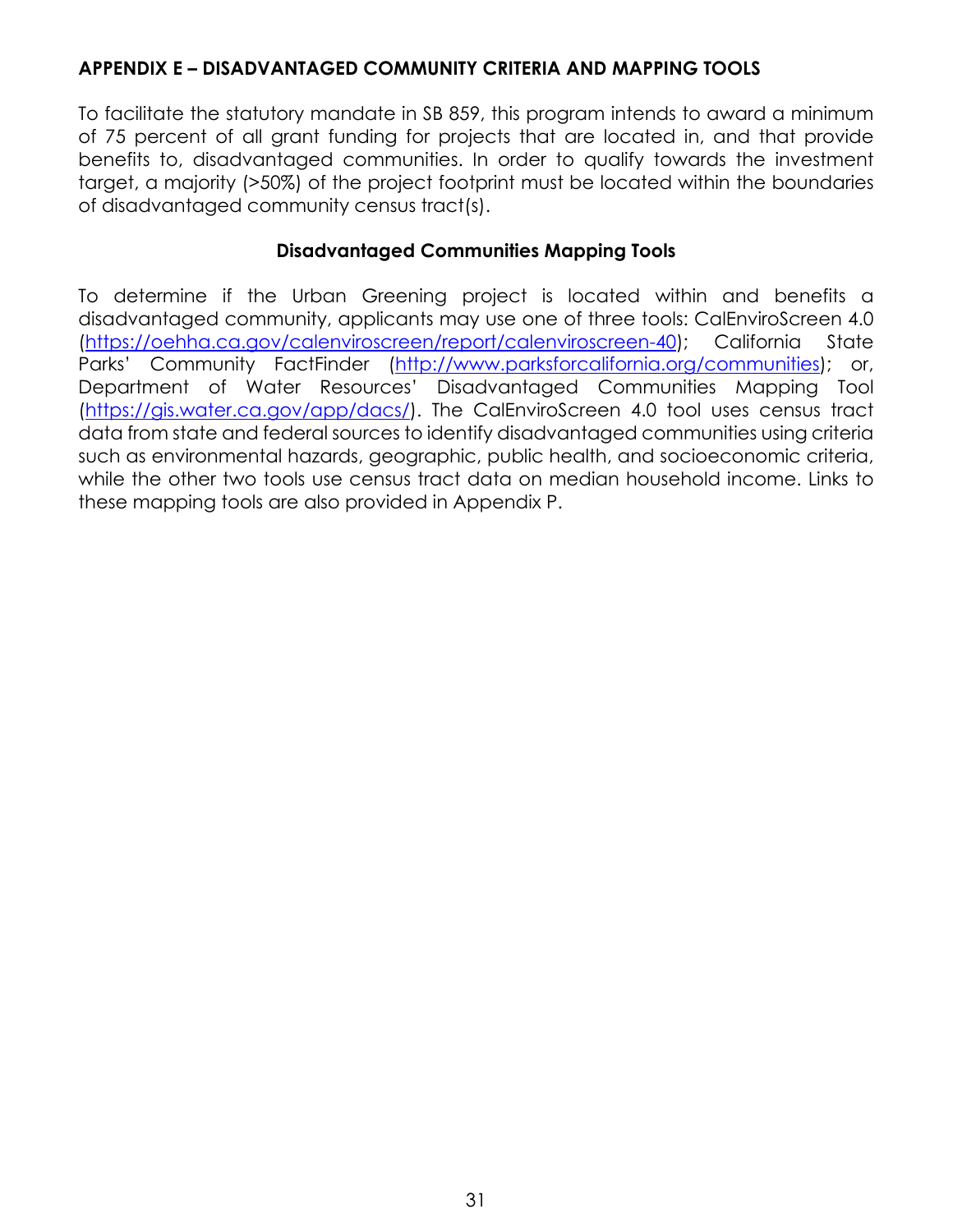# **APPENDIX E – DISADVANTAGED COMMUNITY CRITERIA AND MAPPING TOOLS**

To facilitate the statutory mandate in SB 859, this program intends to award a minimum of 75 percent of all grant funding for projects that are located in, and that provide benefits to, disadvantaged communities. In order to qualify towards the investment target, a majority (>50%) of the project footprint must be located within the boundaries of disadvantaged community census tract(s).

### **Disadvantaged Communities Mapping Tools**

To determine if the Urban Greening project is located within and benefits a disadvantaged community, applicants may use one of three tools: CalEnviroScreen 4.0 [\(https://oehha.ca.gov/calenviroscreen/report/calenviroscreen-40\)](https://oehha.ca.gov/calenviroscreen/report/calenviroscreen-40); California State Parks' Community FactFinder [\(http://www.parksforcalifornia.org/communities\)](http://www.parksforcalifornia.org/communities); or, Department of Water Resources' Disadvantaged Communities Mapping Tool [\(https://gis.water.ca.gov/app/dacs/\)](https://gis.water.ca.gov/app/dacs/). The CalEnviroScreen 4.0 tool uses census tract data from state and federal sources to identify disadvantaged communities using criteria such as environmental hazards, geographic, public health, and socioeconomic criteria, while the other two tools use census tract data on median household income. Links to these mapping tools are also provided in Appendix P.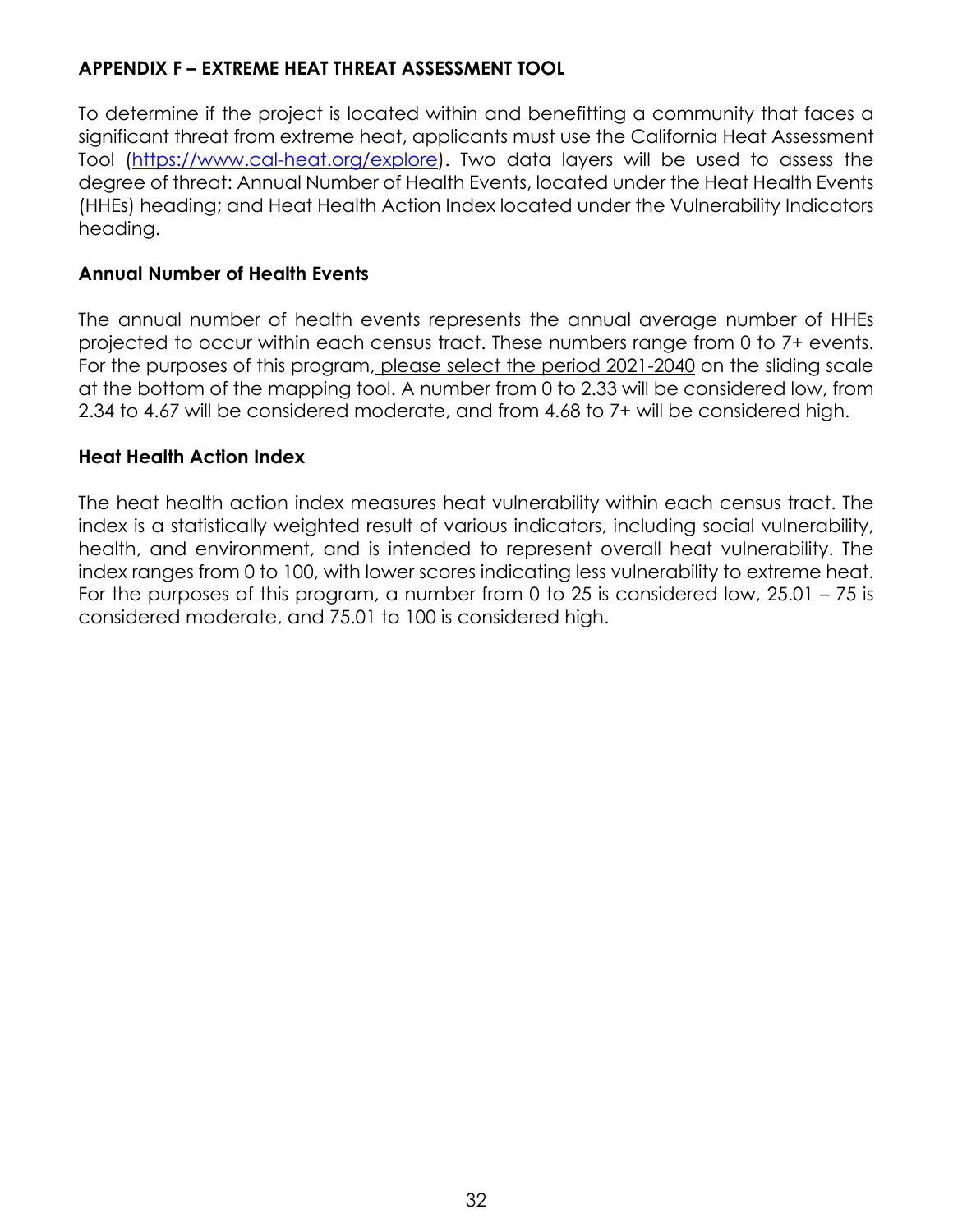# **APPENDIX F – EXTREME HEAT THREAT ASSESSMENT TOOL**

To determine if the project is located within and benefitting a community that faces a significant threat from extreme heat, applicants must use the California Heat Assessment Tool [\(https://www.cal-heat.org/explore\)](https://www.cal-heat.org/explore). Two data layers will be used to assess the degree of threat: Annual Number of Health Events, located under the Heat Health Events (HHEs) heading; and Heat Health Action Index located under the Vulnerability Indicators heading.

# **Annual Number of Health Events**

The annual number of health events represents the annual average number of HHEs projected to occur within each census tract. These numbers range from 0 to 7+ events. For the purposes of this program, please select the period 2021-2040 on the sliding scale at the bottom of the mapping tool. A number from 0 to 2.33 will be considered low, from 2.34 to 4.67 will be considered moderate, and from 4.68 to 7+ will be considered high.

# **Heat Health Action Index**

The heat health action index measures heat vulnerability within each census tract. The index is a statistically weighted result of various indicators, including social vulnerability, health, and environment, and is intended to represent overall heat vulnerability. The index ranges from 0 to 100, with lower scores indicating less vulnerability to extreme heat. For the purposes of this program, a number from 0 to 25 is considered low, 25.01 – 75 is considered moderate, and 75.01 to 100 is considered high.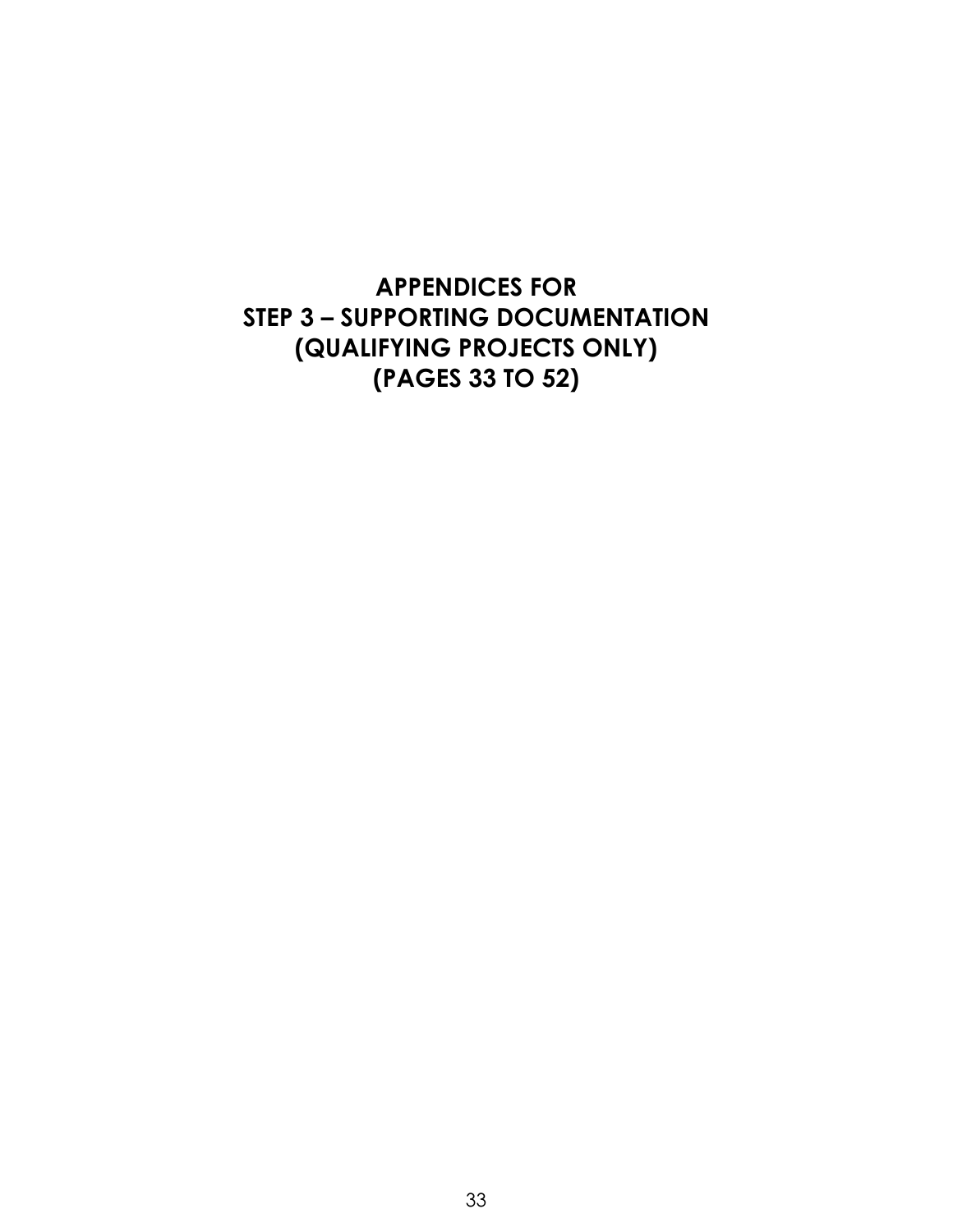**APPENDICES FOR STEP 3 – SUPPORTING DOCUMENTATION (QUALIFYING PROJECTS ONLY) (PAGES 33 TO 52)**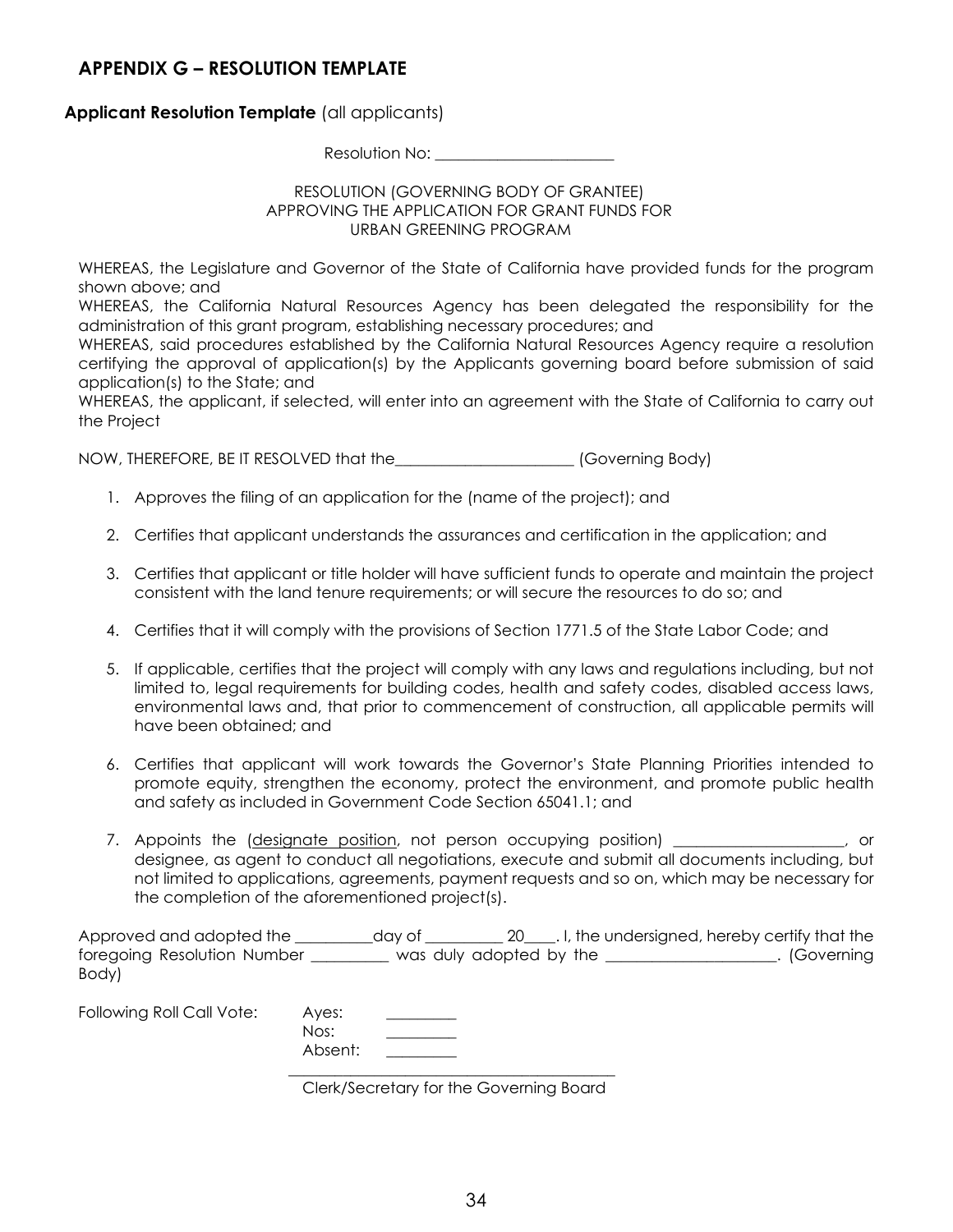### **APPENDIX G – RESOLUTION TEMPLATE**

**Applicant Resolution Template** (all applicants)

Resolution No: \_\_\_\_\_\_\_\_\_\_\_\_\_\_\_\_\_\_\_\_\_\_\_

#### RESOLUTION (GOVERNING BODY OF GRANTEE) APPROVING THE APPLICATION FOR GRANT FUNDS FOR URBAN GREENING PROGRAM

WHEREAS, the Legislature and Governor of the State of California have provided funds for the program shown above; and

WHEREAS, the California Natural Resources Agency has been delegated the responsibility for the administration of this grant program, establishing necessary procedures; and

WHEREAS, said procedures established by the California Natural Resources Agency require a resolution certifying the approval of application(s) by the Applicants governing board before submission of said application(s) to the State; and

WHEREAS, the applicant, if selected, will enter into an agreement with the State of California to carry out the Project

NOW, THEREFORE, BE IT RESOLVED that the\_\_\_\_\_\_\_\_\_\_\_\_\_\_\_\_\_\_\_\_\_\_\_ (Governing Body)

- 1. Approves the filing of an application for the (name of the project); and
- 2. Certifies that applicant understands the assurances and certification in the application; and
- 3. Certifies that applicant or title holder will have sufficient funds to operate and maintain the project consistent with the land tenure requirements; or will secure the resources to do so; and
- 4. Certifies that it will comply with the provisions of Section 1771.5 of the State Labor Code; and
- 5. If applicable, certifies that the project will comply with any laws and regulations including, but not limited to, legal requirements for building codes, health and safety codes, disabled access laws, environmental laws and, that prior to commencement of construction, all applicable permits will have been obtained; and
- 6. Certifies that applicant will work towards the Governor's State Planning Priorities intended to promote equity, strengthen the economy, protect the environment, and promote public health and safety as included in Government Code Section 65041.1; and
- 7. Appoints the (designate position, not person occupying position) and the same of the state of the state of designee, as agent to conduct all negotiations, execute and submit all documents including, but not limited to applications, agreements, payment requests and so on, which may be necessary for the completion of the aforementioned project(s).

| Approved and adopted the    | dav of |                         | .I, the undersigned, hereby certify that the |
|-----------------------------|--------|-------------------------|----------------------------------------------|
| foregoing Resolution Number |        | was duly adopted by the | (Governing                                   |
| Body)                       |        |                         |                                              |

| Following Roll Call Vote:<br>Ayes:<br>Nos:<br>Absent: |  |
|-------------------------------------------------------|--|
|-------------------------------------------------------|--|

Clerk/Secretary for the Governing Board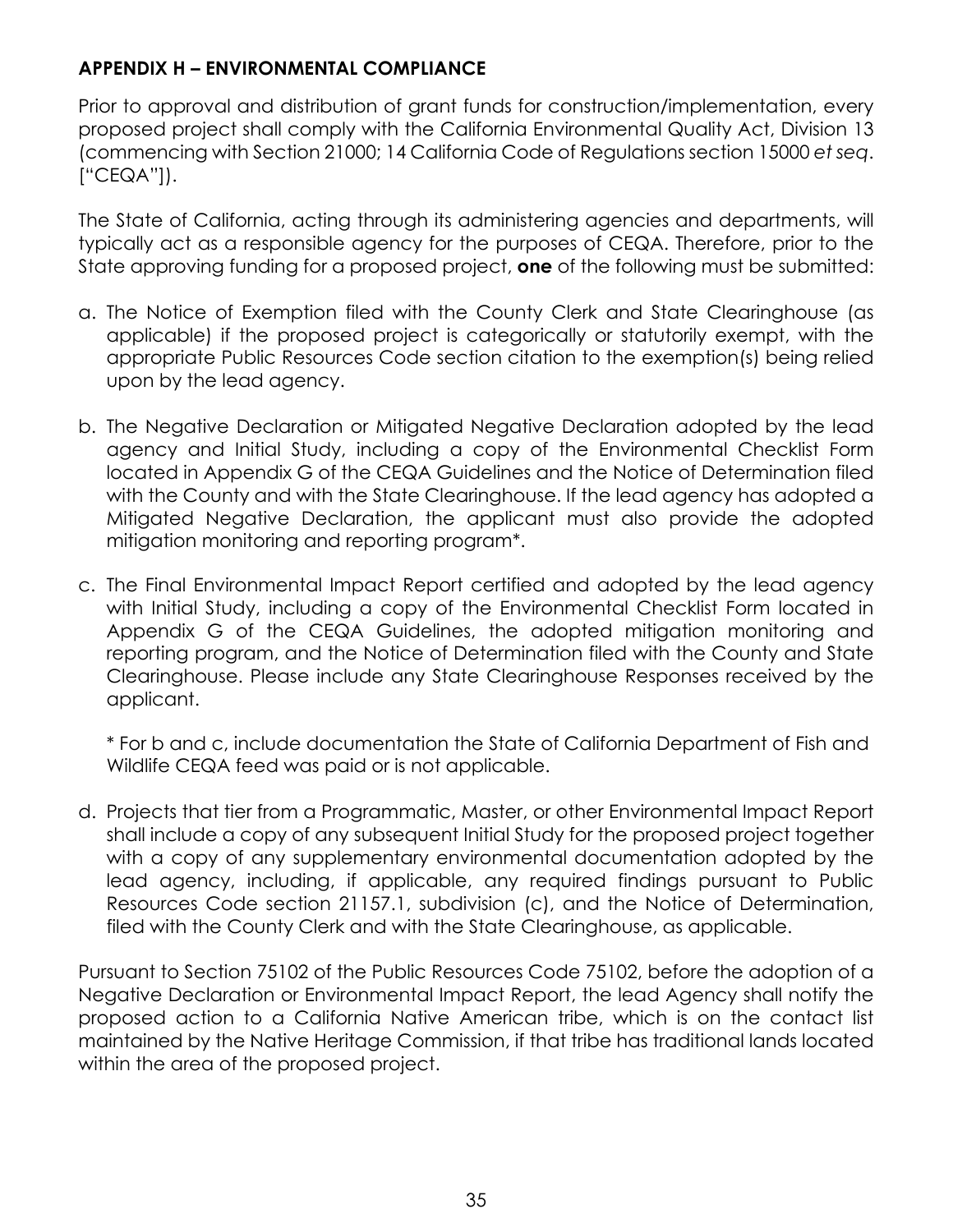# **APPENDIX H – ENVIRONMENTAL COMPLIANCE**

Prior to approval and distribution of grant funds for construction/implementation, every proposed project shall comply with the California Environmental Quality Act, Division 13 (commencing with Section 21000; 14 California Code of Regulations section 15000 *et seq*. ["CEQA"]).

The State of California, acting through its administering agencies and departments, will typically act as a responsible agency for the purposes of CEQA. Therefore, prior to the State approving funding for a proposed project, **one** of the following must be submitted:

- a. The Notice of Exemption filed with the County Clerk and State Clearinghouse (as applicable) if the proposed project is categorically or statutorily exempt, with the appropriate Public Resources Code section citation to the exemption(s) being relied upon by the lead agency.
- b. The Negative Declaration or Mitigated Negative Declaration adopted by the lead agency and Initial Study, including a copy of the Environmental Checklist Form located in Appendix G of the CEQA Guidelines and the Notice of Determination filed with the County and with the State Clearinghouse. If the lead agency has adopted a Mitigated Negative Declaration, the applicant must also provide the adopted mitigation monitoring and reporting program\*.
- c. The Final Environmental Impact Report certified and adopted by the lead agency with Initial Study, including a copy of the Environmental Checklist Form located in Appendix G of the CEQA Guidelines, the adopted mitigation monitoring and reporting program, and the Notice of Determination filed with the County and State Clearinghouse. Please include any State Clearinghouse Responses received by the applicant.

\* For b and c, include documentation the State of California Department of Fish and Wildlife CEQA feed was paid or is not applicable.

d. Projects that tier from a Programmatic, Master, or other Environmental Impact Report shall include a copy of any subsequent Initial Study for the proposed project together with a copy of any supplementary environmental documentation adopted by the lead agency, including, if applicable, any required findings pursuant to Public Resources Code section 21157.1, subdivision (c), and the Notice of Determination, filed with the County Clerk and with the State Clearinghouse, as applicable.

Pursuant to Section 75102 of the Public Resources Code 75102, before the adoption of a Negative Declaration or Environmental Impact Report, the lead Agency shall notify the proposed action to a California Native American tribe, which is on the contact list maintained by the Native Heritage Commission, if that tribe has traditional lands located within the area of the proposed project.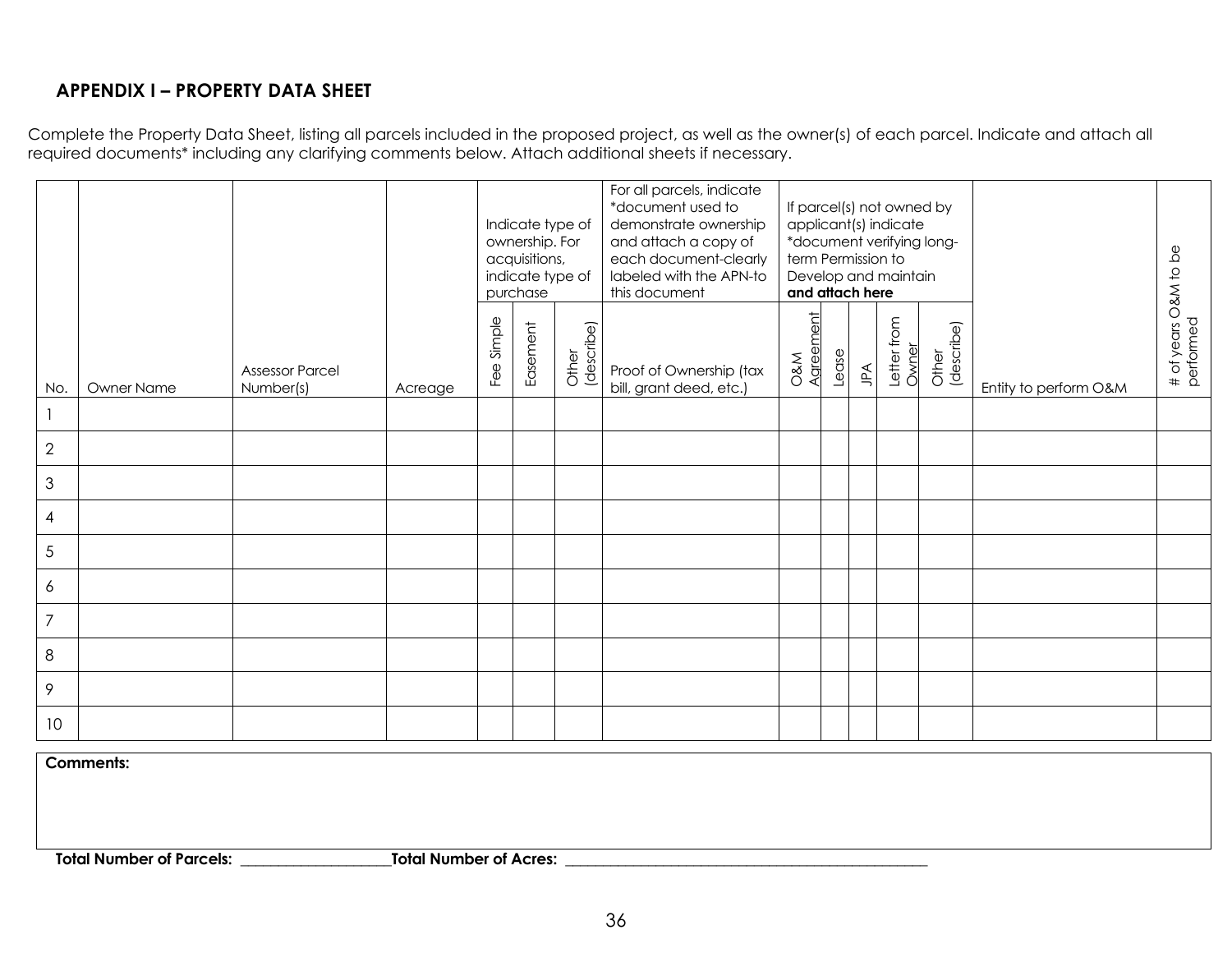# **APPENDIX I – PROPERTY DATA SHEET**

Complete the Property Data Sheet, listing all parcels included in the proposed project, as well as the owner(s) of each parcel. Indicate and attach all required documents\* including any clarifying comments below. Attach additional sheets if necessary.

|                |            |                                     |         |            | ownership. For<br>acquisitions,<br>purchase | Indicate type of<br>indicate type of | For all parcels, indicate<br>*document used to<br>demonstrate ownership<br>and attach a copy of<br>each document-clearly<br>labeled with the APN-to<br>this document | If parcel(s) not owned by<br>applicant(s) indicate<br>*document verifying long-<br>term Permission to<br>Develop and maintain<br>and attach here |       |             |                      |                     |                       |                                   |
|----------------|------------|-------------------------------------|---------|------------|---------------------------------------------|--------------------------------------|----------------------------------------------------------------------------------------------------------------------------------------------------------------------|--------------------------------------------------------------------------------------------------------------------------------------------------|-------|-------------|----------------------|---------------------|-----------------------|-----------------------------------|
| No.            | Owner Name | <b>Assessor Parcel</b><br>Number(s) | Acreage | Fee Simple | Easement                                    | Other<br>(describe)                  | Proof of Ownership (tax<br>bill, grant deed, etc.)                                                                                                                   | Agreement<br><b>O&amp;M</b>                                                                                                                      | Lease | $\exists P$ | Letter from<br>Owner | Other<br>(describe) | Entity to perform O&M | # of years O&M to be<br>performed |
|                |            |                                     |         |            |                                             |                                      |                                                                                                                                                                      |                                                                                                                                                  |       |             |                      |                     |                       |                                   |
| $\mathbf{2}$   |            |                                     |         |            |                                             |                                      |                                                                                                                                                                      |                                                                                                                                                  |       |             |                      |                     |                       |                                   |
| 3              |            |                                     |         |            |                                             |                                      |                                                                                                                                                                      |                                                                                                                                                  |       |             |                      |                     |                       |                                   |
| $\overline{A}$ |            |                                     |         |            |                                             |                                      |                                                                                                                                                                      |                                                                                                                                                  |       |             |                      |                     |                       |                                   |
| 5              |            |                                     |         |            |                                             |                                      |                                                                                                                                                                      |                                                                                                                                                  |       |             |                      |                     |                       |                                   |
| 6              |            |                                     |         |            |                                             |                                      |                                                                                                                                                                      |                                                                                                                                                  |       |             |                      |                     |                       |                                   |
| $\overline{7}$ |            |                                     |         |            |                                             |                                      |                                                                                                                                                                      |                                                                                                                                                  |       |             |                      |                     |                       |                                   |
| 8              |            |                                     |         |            |                                             |                                      |                                                                                                                                                                      |                                                                                                                                                  |       |             |                      |                     |                       |                                   |
| 9              |            |                                     |         |            |                                             |                                      |                                                                                                                                                                      |                                                                                                                                                  |       |             |                      |                     |                       |                                   |
| 10             |            |                                     |         |            |                                             |                                      |                                                                                                                                                                      |                                                                                                                                                  |       |             |                      |                     |                       |                                   |

**Comments:**

**Total Number of Parcels: \_\_\_\_\_\_\_\_\_\_\_\_\_\_\_\_\_\_\_\_Total Number of Acres: \_\_\_\_\_\_\_\_\_\_\_\_\_\_\_\_\_\_\_\_\_\_\_\_\_\_\_\_\_\_\_\_\_\_\_\_\_\_\_\_\_\_\_\_\_\_\_\_**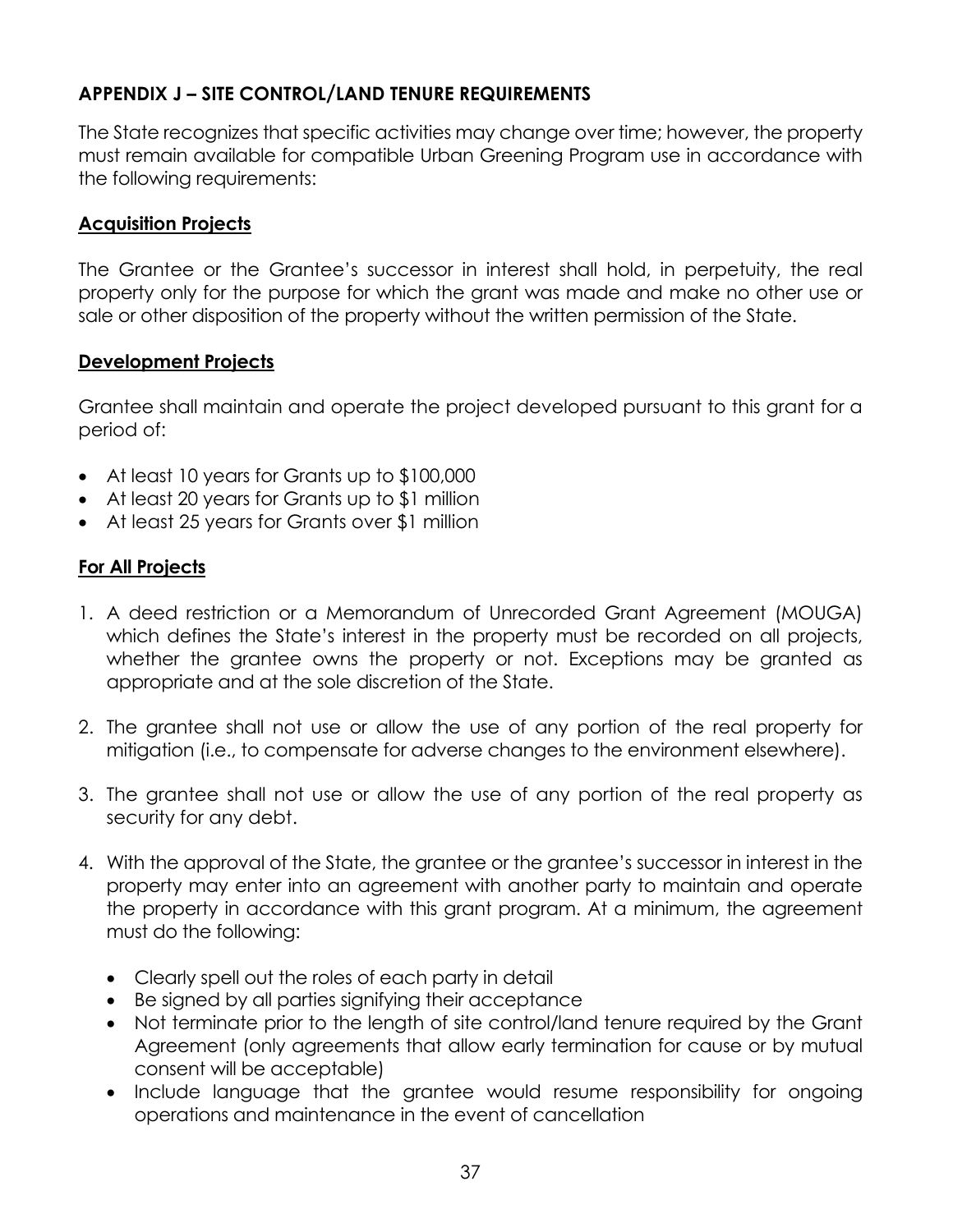# **APPENDIX J – SITE CONTROL/LAND TENURE REQUIREMENTS**

The State recognizes that specific activities may change over time; however, the property must remain available for compatible Urban Greening Program use in accordance with the following requirements:

# **Acquisition Projects**

The Grantee or the Grantee's successor in interest shall hold, in perpetuity, the real property only for the purpose for which the grant was made and make no other use or sale or other disposition of the property without the written permission of the State.

### **Development Projects**

Grantee shall maintain and operate the project developed pursuant to this grant for a period of:

- At least 10 years for Grants up to \$100,000
- At least 20 years for Grants up to \$1 million
- At least 25 years for Grants over \$1 million

### **For All Projects**

- 1. A deed restriction or a Memorandum of Unrecorded Grant Agreement (MOUGA) which defines the State's interest in the property must be recorded on all projects, whether the grantee owns the property or not. Exceptions may be granted as appropriate and at the sole discretion of the State.
- 2. The grantee shall not use or allow the use of any portion of the real property for mitigation (i.e., to compensate for adverse changes to the environment elsewhere).
- 3. The grantee shall not use or allow the use of any portion of the real property as security for any debt.
- 4. With the approval of the State, the grantee or the grantee's successor in interest in the property may enter into an agreement with another party to maintain and operate the property in accordance with this grant program. At a minimum, the agreement must do the following:
	- Clearly spell out the roles of each party in detail
	- Be signed by all parties signifying their acceptance
	- Not terminate prior to the length of site control/land tenure required by the Grant Agreement (only agreements that allow early termination for cause or by mutual consent will be acceptable)
	- Include language that the grantee would resume responsibility for ongoing operations and maintenance in the event of cancellation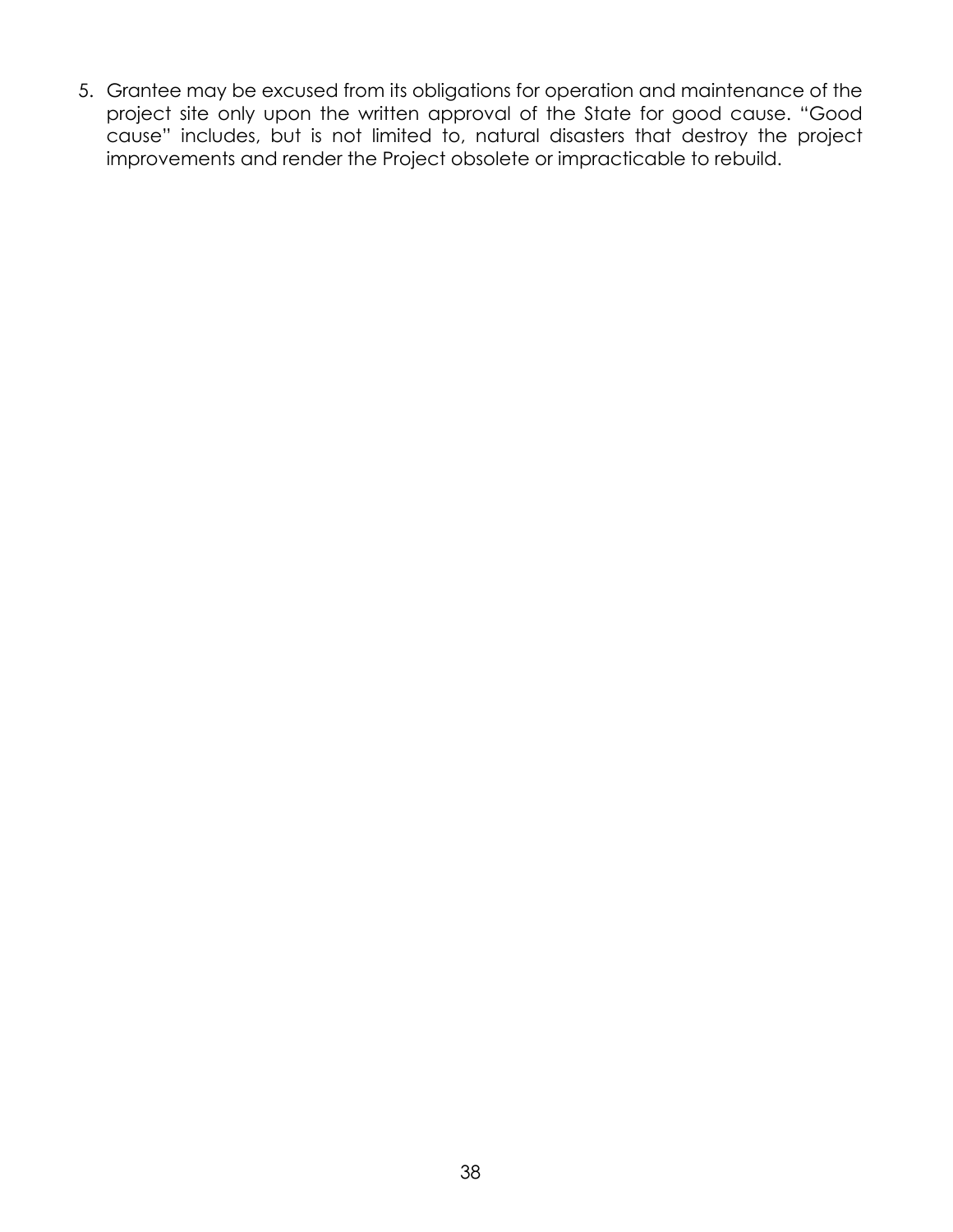5. Grantee may be excused from its obligations for operation and maintenance of the project site only upon the written approval of the State for good cause. "Good cause" includes, but is not limited to, natural disasters that destroy the project improvements and render the Project obsolete or impracticable to rebuild.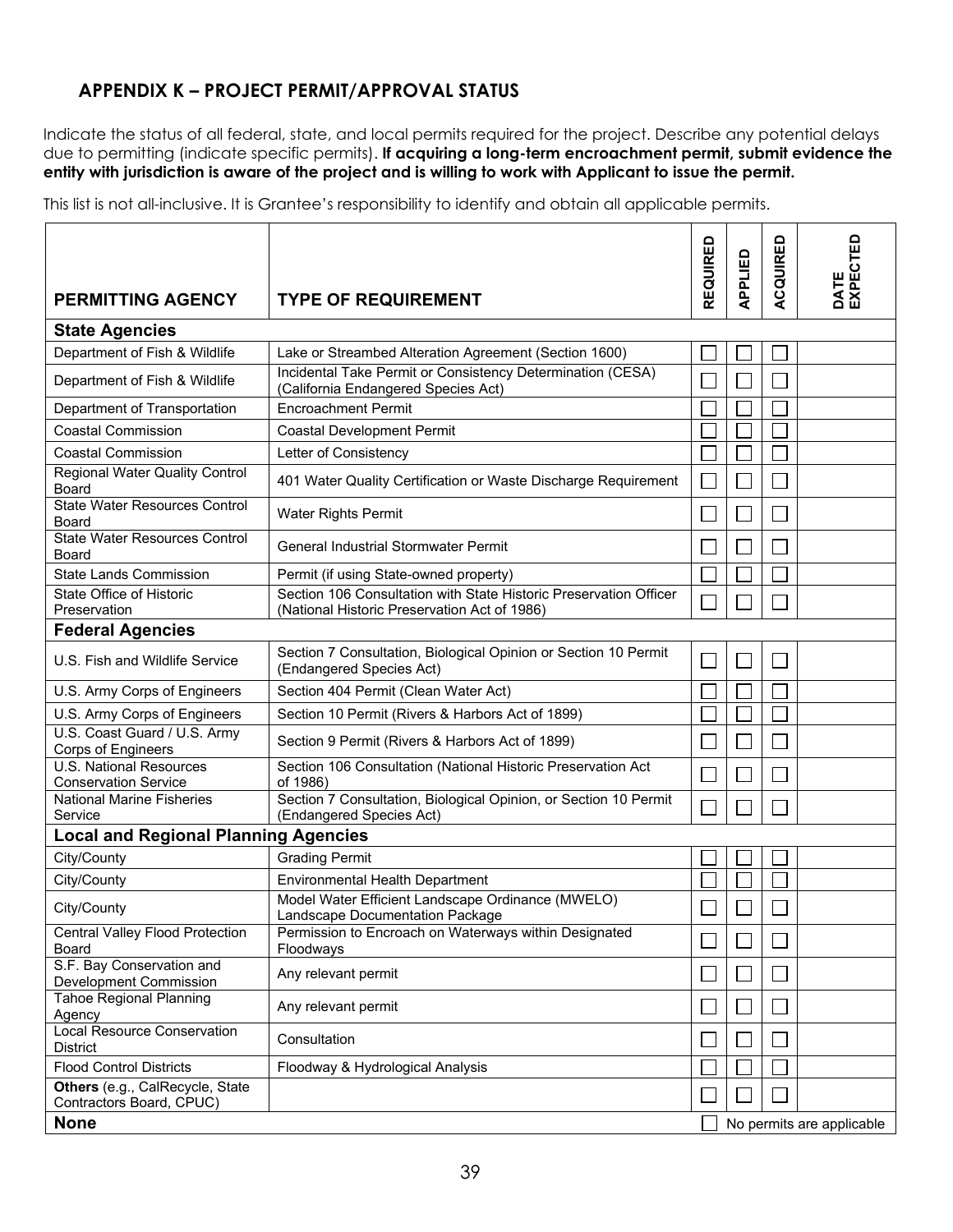# **APPENDIX K – PROJECT PERMIT/APPROVAL STATUS**

Indicate the status of all federal, state, and local permits required for the project. Describe any potential delays due to permitting (indicate specific permits). **If acquiring a long-term encroachment permit, submit evidence the entity with jurisdiction is aware of the project and is willing to work with Applicant to issue the permit.**

This list is not all-inclusive. It is Grantee's responsibility to identify and obtain all applicable permits.

| <b>PERMITTING AGENCY</b>                                      | <b>TYPE OF REQUIREMENT</b>                                                                                        | REQUIRED | APPLIED | ACQUIRED | DATE<br>EXPECTED          |
|---------------------------------------------------------------|-------------------------------------------------------------------------------------------------------------------|----------|---------|----------|---------------------------|
| <b>State Agencies</b>                                         |                                                                                                                   |          |         |          |                           |
| Department of Fish & Wildlife                                 | Lake or Streambed Alteration Agreement (Section 1600)                                                             |          |         |          |                           |
| Department of Fish & Wildlife                                 | Incidental Take Permit or Consistency Determination (CESA)<br>(California Endangered Species Act)                 |          |         |          |                           |
| Department of Transportation                                  | <b>Encroachment Permit</b>                                                                                        |          |         |          |                           |
| <b>Coastal Commission</b>                                     | <b>Coastal Development Permit</b>                                                                                 |          |         |          |                           |
| <b>Coastal Commission</b>                                     | Letter of Consistency                                                                                             |          |         |          |                           |
| <b>Regional Water Quality Control</b><br><b>Board</b>         | 401 Water Quality Certification or Waste Discharge Requirement                                                    |          |         |          |                           |
| <b>State Water Resources Control</b><br>Board                 | Water Rights Permit                                                                                               |          |         |          |                           |
| <b>State Water Resources Control</b><br>Board                 | <b>General Industrial Stormwater Permit</b>                                                                       |          |         |          |                           |
| <b>State Lands Commission</b>                                 | Permit (if using State-owned property)                                                                            |          |         |          |                           |
| <b>State Office of Historic</b><br>Preservation               | Section 106 Consultation with State Historic Preservation Officer<br>(National Historic Preservation Act of 1986) |          |         |          |                           |
| <b>Federal Agencies</b>                                       |                                                                                                                   |          |         |          |                           |
| U.S. Fish and Wildlife Service                                | Section 7 Consultation, Biological Opinion or Section 10 Permit<br>(Endangered Species Act)                       |          |         |          |                           |
| U.S. Army Corps of Engineers                                  | Section 404 Permit (Clean Water Act)                                                                              |          |         |          |                           |
| U.S. Army Corps of Engineers                                  | Section 10 Permit (Rivers & Harbors Act of 1899)                                                                  |          |         |          |                           |
| U.S. Coast Guard / U.S. Army<br>Corps of Engineers            | Section 9 Permit (Rivers & Harbors Act of 1899)                                                                   |          |         |          |                           |
| <b>U.S. National Resources</b><br><b>Conservation Service</b> | Section 106 Consultation (National Historic Preservation Act<br>of 1986)                                          |          |         |          |                           |
| <b>National Marine Fisheries</b><br>Service                   | Section 7 Consultation, Biological Opinion, or Section 10 Permit<br>(Endangered Species Act)                      |          |         |          |                           |
| <b>Local and Regional Planning Agencies</b>                   |                                                                                                                   |          |         |          |                           |
| City/County                                                   | <b>Grading Permit</b>                                                                                             |          |         |          |                           |
| City/County                                                   | <b>Environmental Health Department</b>                                                                            |          |         |          |                           |
| City/County                                                   | Model Water Efficient Landscape Ordinance (MWELO)<br>Landscape Documentation Package                              |          |         |          |                           |
| <b>Central Valley Flood Protection</b><br>Board               | Permission to Encroach on Waterways within Designated<br>Floodways                                                |          |         |          |                           |
| S.F. Bay Conservation and<br>Development Commission           | Any relevant permit                                                                                               |          |         |          |                           |
| <b>Tahoe Regional Planning</b><br>Agency                      | Any relevant permit                                                                                               |          |         |          |                           |
| <b>Local Resource Conservation</b><br>District                | Consultation                                                                                                      |          |         |          |                           |
| <b>Flood Control Districts</b>                                | Floodway & Hydrological Analysis                                                                                  |          |         |          |                           |
| Others (e.g., CalRecycle, State<br>Contractors Board, CPUC)   |                                                                                                                   |          |         |          |                           |
| <b>None</b>                                                   |                                                                                                                   |          |         |          | No permits are applicable |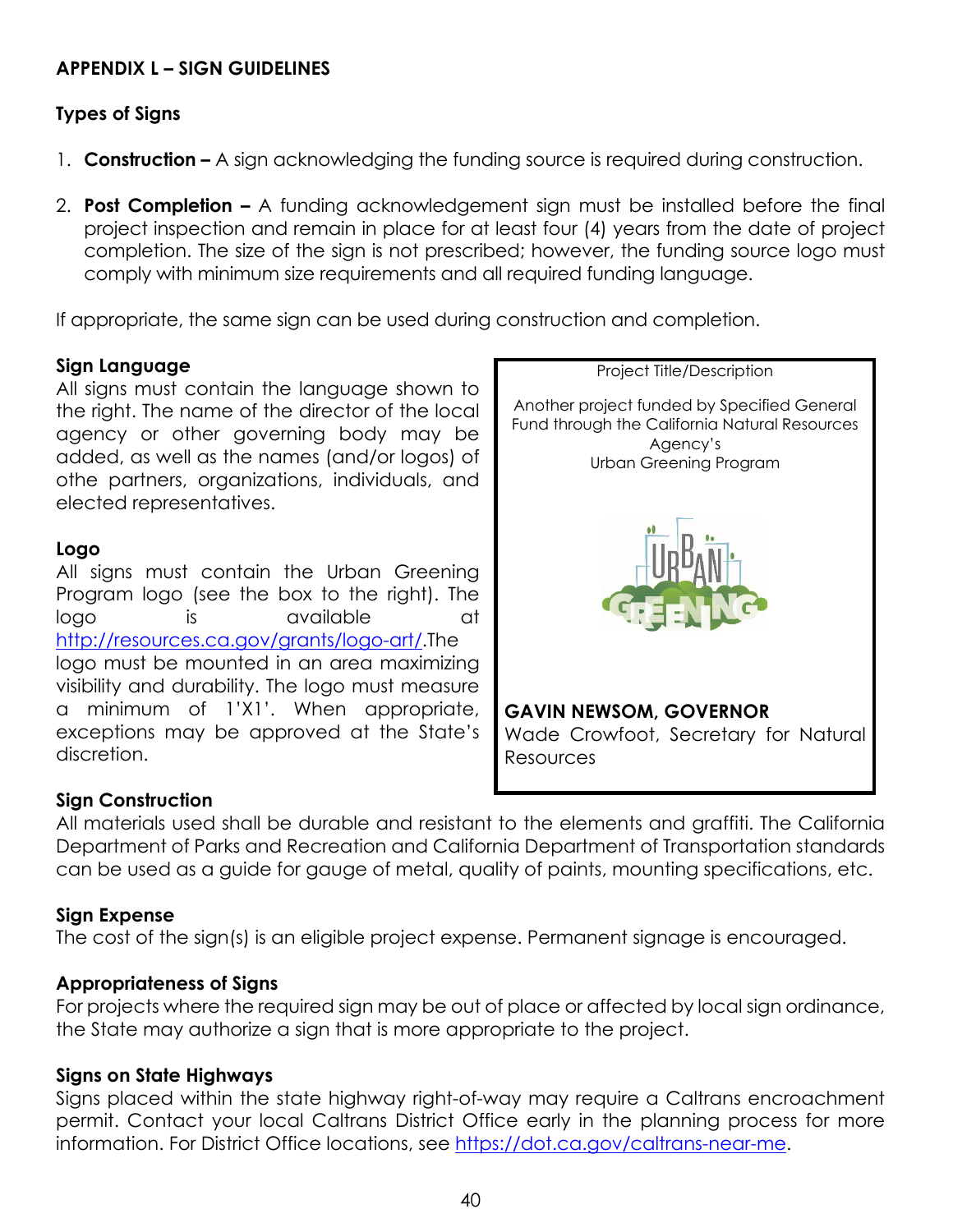# **APPENDIX L – SIGN GUIDELINES**

# **Types of Signs**

- 1. **Construction –** A sign acknowledging the funding source is required during construction.
- 2. **Post Completion –** A funding acknowledgement sign must be installed before the final project inspection and remain in place for at least four (4) years from the date of project completion. The size of the sign is not prescribed; however, the funding source logo must comply with minimum size requirements and all required funding language.

If appropriate, the same sign can be used during construction and completion.

#### **Sign Language**

All signs must contain the language shown to the right. The name of the director of the local agency or other governing body may be added, as well as the names (and/or logos) of othe partners, organizations, individuals, and elected representatives.

#### **Logo**

All signs must contain the Urban Greening Program logo (see the box to the right). The logo is available at [http://resources.ca.gov/grants/logo-art/.](http://resources.ca.gov/grants/logo-art/)The logo must be mounted in an area maximizing visibility and durability. The logo must measure a minimum of 1'X1'. When appropriate, exceptions may be approved at the State's discretion.



# **Sign Construction**

All materials used shall be durable and resistant to the elements and graffiti. The California Department of Parks and Recreation and California Department of Transportation standards can be used as a guide for gauge of metal, quality of paints, mounting specifications, etc.

### **Sign Expense**

The cost of the sign(s) is an eligible project expense. Permanent signage is encouraged.

### **Appropriateness of Signs**

For projects where the required sign may be out of place or affected by local sign ordinance, the State may authorize a sign that is more appropriate to the project.

### **Signs on State Highways**

Signs placed within the state highway right-of-way may require a Caltrans encroachment permit. Contact your local Caltrans District Office early in the planning process for more information. For District Office locations, see [https://dot.ca.gov/caltrans-near-me.](https://dot.ca.gov/caltrans-near-me)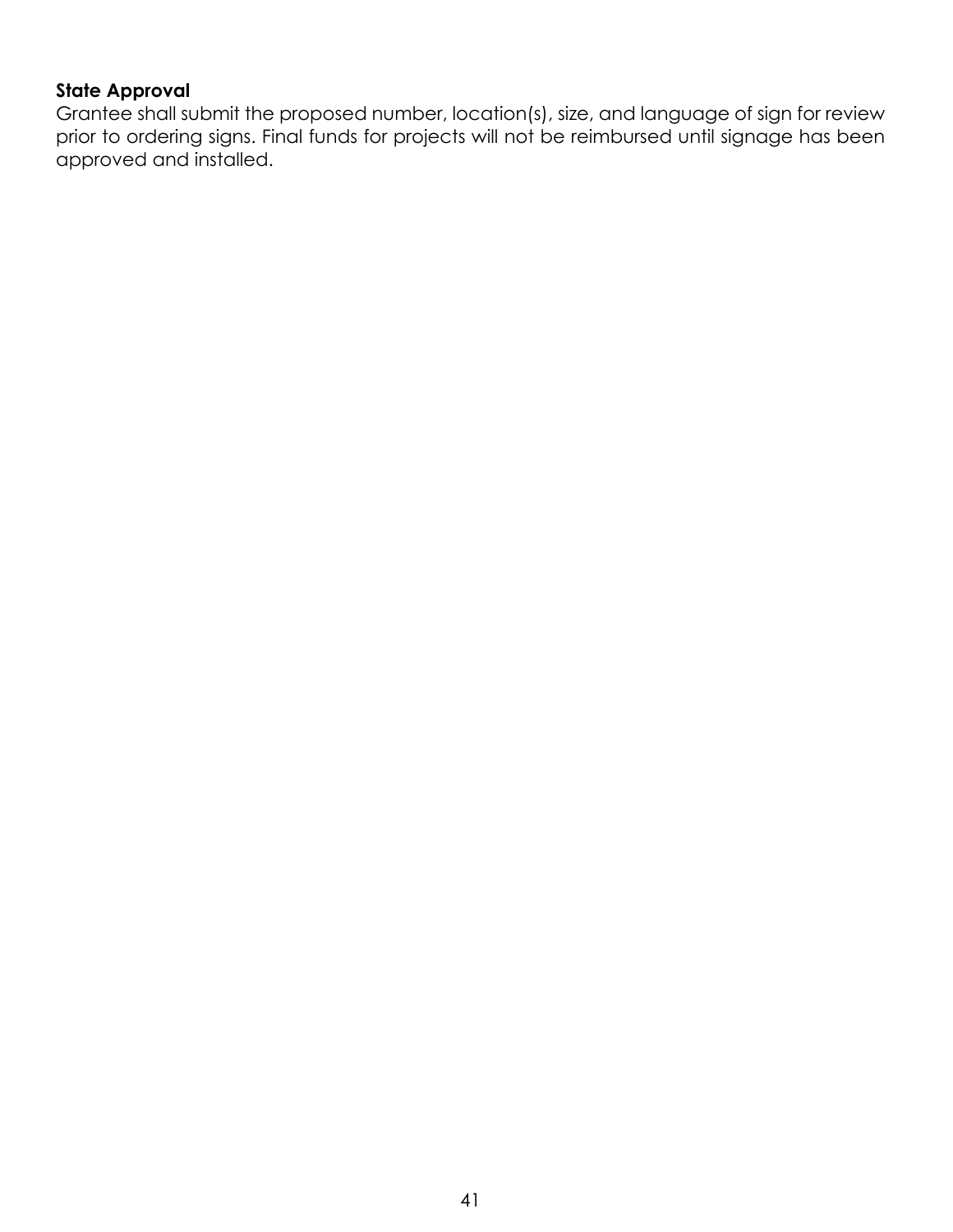# **State Approval**

Grantee shall submit the proposed number, location(s), size, and language of sign for review prior to ordering signs. Final funds for projects will not be reimbursed until signage has been approved and installed.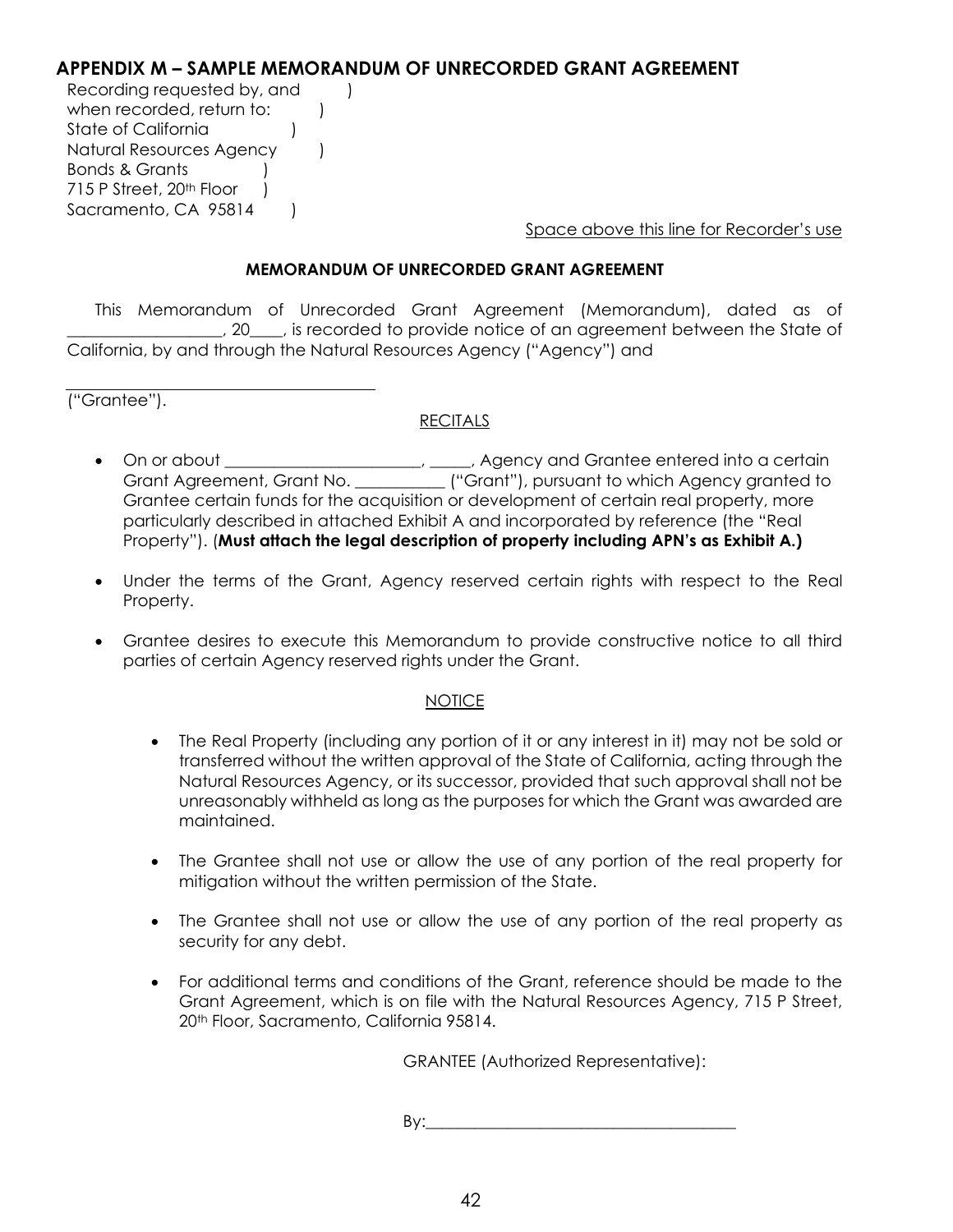#### **APPENDIX M – SAMPLE MEMORANDUM OF UNRECORDED GRANT AGREEMENT**

Recording requested by, and  $\qquad)$ when recorded, return to:  $|$ State of California (1) Natural Resources Agency (a) Bonds & Grants ) 715 P Street, 20<sup>th</sup> Floor ) Sacramento, CA 95814 )

Space above this line for Recorder's use

#### **MEMORANDUM OF UNRECORDED GRANT AGREEMENT**

This Memorandum of Unrecorded Grant Agreement (Memorandum), dated as of  $\Box$ , 20 $\Box$ , is recorded to provide notice of an agreement between the State of California, by and through the Natural Resources Agency ("Agency") and

("Grantee").

#### RECITALS

- On or about \_\_\_\_\_\_\_\_\_\_\_\_\_\_\_\_\_\_\_\_\_\_\_, \_\_\_\_\_, Agency and Grantee entered into a certain Grant Agreement, Grant No. \_\_\_\_\_\_\_\_\_\_\_ ("Grant"), pursuant to which Agency granted to Grantee certain funds for the acquisition or development of certain real property, more particularly described in attached Exhibit A and incorporated by reference (the "Real Property"). (**Must attach the legal description of property including APN's as Exhibit A.)**
- Under the terms of the Grant, Agency reserved certain rights with respect to the Real Property.
- Grantee desires to execute this Memorandum to provide constructive notice to all third parties of certain Agency reserved rights under the Grant.

#### **NOTICE**

- The Real Property (including any portion of it or any interest in it) may not be sold or transferred without the written approval of the State of California, acting through the Natural Resources Agency, or its successor, provided that such approval shall not be unreasonably withheld as long as the purposes for which the Grant was awarded are maintained.
- The Grantee shall not use or allow the use of any portion of the real property for mitigation without the written permission of the State.
- The Grantee shall not use or allow the use of any portion of the real property as security for any debt.
- For additional terms and conditions of the Grant, reference should be made to the Grant Agreement, which is on file with the Natural Resources Agency, 715 P Street, 20<sup>th</sup> Floor, Sacramento, California 95814.

GRANTEE (Authorized Representative):

 $\mathsf{By:}$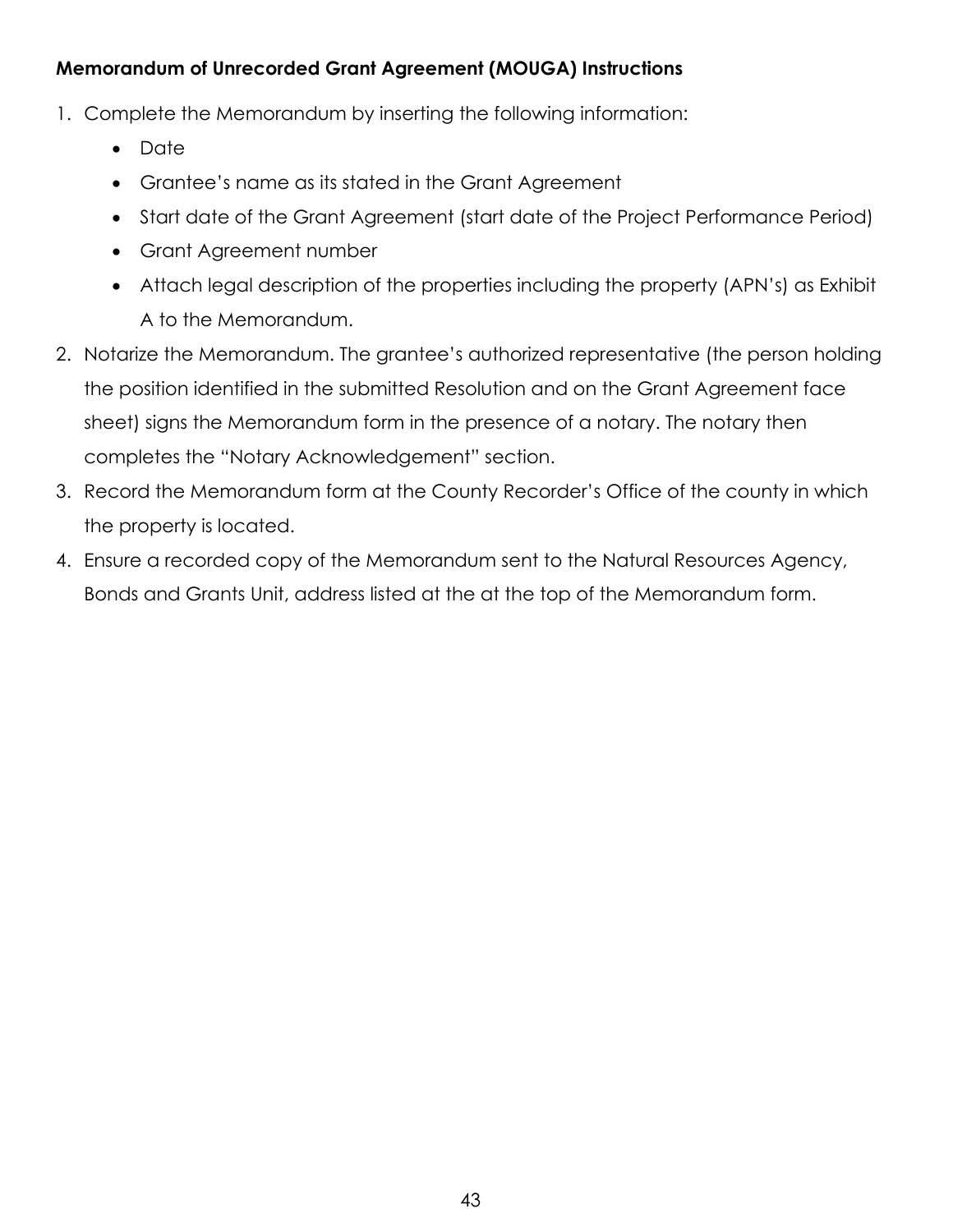# **Memorandum of Unrecorded Grant Agreement (MOUGA) Instructions**

- 1. Complete the Memorandum by inserting the following information:
	- Date
	- Grantee's name as its stated in the Grant Agreement
	- Start date of the Grant Agreement (start date of the Project Performance Period)
	- Grant Agreement number
	- Attach legal description of the properties including the property (APN's) as Exhibit A to the Memorandum.
- 2. Notarize the Memorandum. The grantee's authorized representative (the person holding the position identified in the submitted Resolution and on the Grant Agreement face sheet) signs the Memorandum form in the presence of a notary. The notary then completes the "Notary Acknowledgement" section.
- 3. Record the Memorandum form at the County Recorder's Office of the county in which the property is located.
- 4. Ensure a recorded copy of the Memorandum sent to the Natural Resources Agency, Bonds and Grants Unit, address listed at the at the top of the Memorandum form.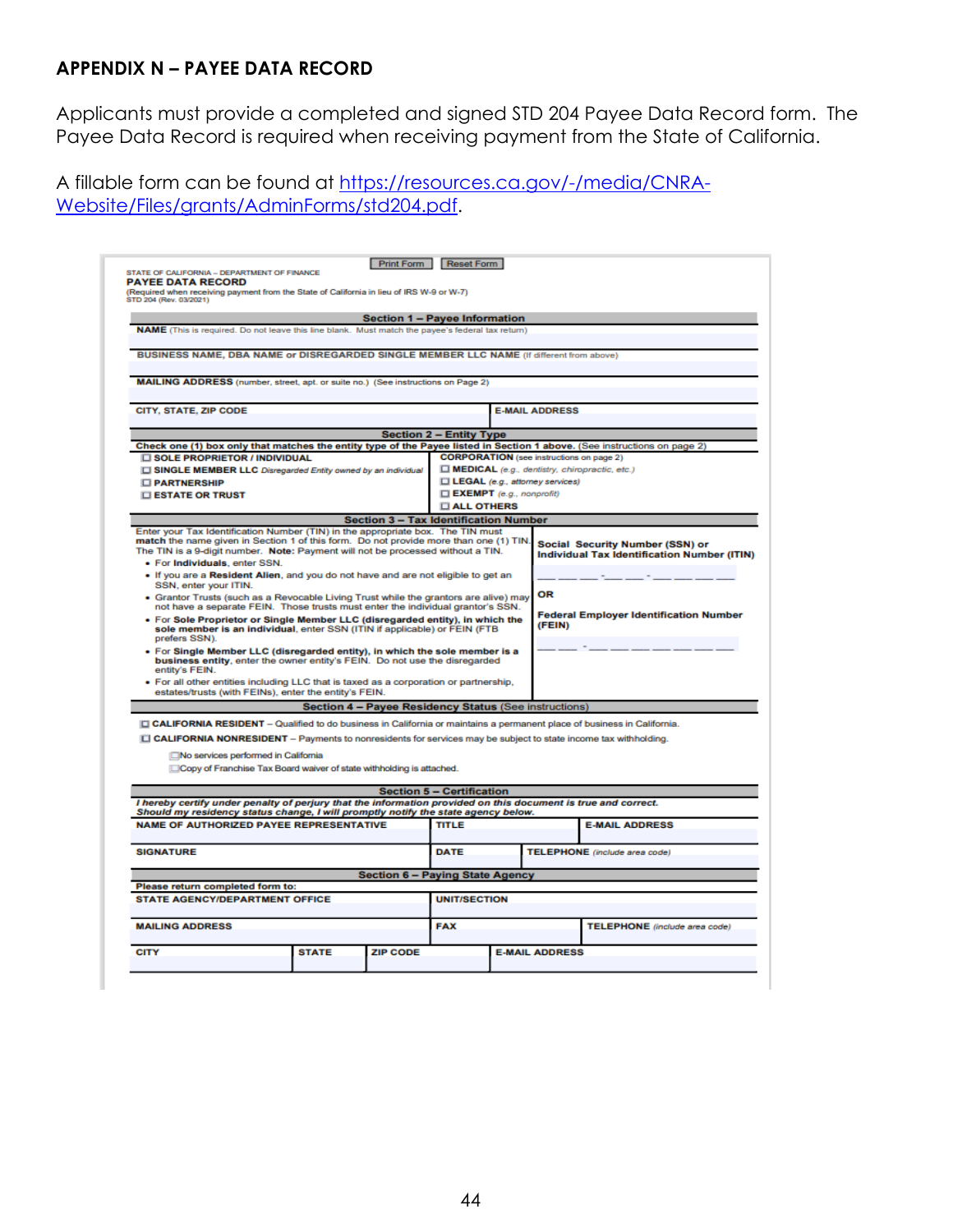### **APPENDIX N – PAYEE DATA RECORD**

Applicants must provide a completed and signed STD 204 Payee Data Record form. The Payee Data Record is required when receiving payment from the State of California.

A fillable form can be found at [https://resources.ca.gov/-/media/CNRA-](https://resources.ca.gov/-/media/CNRA-Website/Files/grants/AdminForms/std204.pdf)[Website/Files/grants/AdminForms/std204.pdf.](https://resources.ca.gov/-/media/CNRA-Website/Files/grants/AdminForms/std204.pdf)

| Print Form   Reset Form<br>STATE OF CALIFORNIA - DEPARTMENT OF FINANCE<br><b>PAYEE DATA RECORD</b>                                                                          |                                                                                                  |                                                       |                                  |  |                                                         |                                                    |  |  |  |
|-----------------------------------------------------------------------------------------------------------------------------------------------------------------------------|--------------------------------------------------------------------------------------------------|-------------------------------------------------------|----------------------------------|--|---------------------------------------------------------|----------------------------------------------------|--|--|--|
| (Required when receiving payment from the State of California in lieu of IRS W-9 or W-7)<br>STD 204 (Rev. 03/2021)                                                          |                                                                                                  |                                                       |                                  |  |                                                         |                                                    |  |  |  |
| <b>Section 1 - Payee Information</b>                                                                                                                                        |                                                                                                  |                                                       |                                  |  |                                                         |                                                    |  |  |  |
|                                                                                                                                                                             | NAME (This is required. Do not leave this line blank. Must match the payee's federal tax return) |                                                       |                                  |  |                                                         |                                                    |  |  |  |
| BUSINESS NAME, DBA NAME or DISREGARDED SINGLE MEMBER LLC NAME (If different from above)                                                                                     |                                                                                                  |                                                       |                                  |  |                                                         |                                                    |  |  |  |
|                                                                                                                                                                             |                                                                                                  |                                                       |                                  |  |                                                         |                                                    |  |  |  |
| MAILING ADDRESS (number, street, apt. or suite no.) (See instructions on Page 2)                                                                                            |                                                                                                  |                                                       |                                  |  |                                                         |                                                    |  |  |  |
| <b>E-MAIL ADDRESS</b><br>CITY, STATE, ZIP CODE                                                                                                                              |                                                                                                  |                                                       |                                  |  |                                                         |                                                    |  |  |  |
|                                                                                                                                                                             |                                                                                                  |                                                       |                                  |  |                                                         |                                                    |  |  |  |
| Check one (1) box only that matches the entity type of the Payee listed in Section 1 above. (See instructions on page 2)                                                    |                                                                                                  |                                                       | <b>Section 2 - Entity Type</b>   |  |                                                         |                                                    |  |  |  |
| SOLE PROPRIETOR / INDIVIDUAL                                                                                                                                                |                                                                                                  |                                                       |                                  |  | <b>CORPORATION</b> (see instructions on page 2)         |                                                    |  |  |  |
| SINGLE MEMBER LLC Disregarded Entity owned by an individual                                                                                                                 |                                                                                                  |                                                       |                                  |  |                                                         | MEDICAL (e.g., dentistry, chiropractic, etc.)      |  |  |  |
| <b>D</b> PARTNERSHIP                                                                                                                                                        |                                                                                                  |                                                       |                                  |  | $\Box$ LEGAL (e.g., attorney services)                  |                                                    |  |  |  |
| <b>ESTATE OR TRUST</b>                                                                                                                                                      |                                                                                                  |                                                       | EXEMPT (e.g., nonprofit)         |  |                                                         |                                                    |  |  |  |
|                                                                                                                                                                             |                                                                                                  |                                                       | <b>DALL OTHERS</b>               |  |                                                         |                                                    |  |  |  |
|                                                                                                                                                                             |                                                                                                  | <b>Section 3 - Tax Identification Number</b>          |                                  |  |                                                         |                                                    |  |  |  |
| Enter your Tax Identification Number (TIN) in the appropriate box. The TIN must                                                                                             |                                                                                                  |                                                       |                                  |  |                                                         |                                                    |  |  |  |
| match the name given in Section 1 of this form. Do not provide more than one (1) TIN.                                                                                       |                                                                                                  |                                                       |                                  |  |                                                         | Social Security Number (SSN) or                    |  |  |  |
| The TIN is a 9-digit number. Note: Payment will not be processed without a TIN.                                                                                             |                                                                                                  |                                                       |                                  |  |                                                         | <b>Individual Tax Identification Number (ITIN)</b> |  |  |  |
| · For Individuals, enter SSN.                                                                                                                                               |                                                                                                  |                                                       |                                  |  |                                                         |                                                    |  |  |  |
| . If you are a Resident Alien, and you do not have and are not eligible to get an<br>SSN, enter your ITIN.                                                                  |                                                                                                  |                                                       |                                  |  |                                                         |                                                    |  |  |  |
| · Grantor Trusts (such as a Revocable Living Trust while the grantors are alive) may<br>not have a separate FEIN. Those trusts must enter the individual grantor's SSN.     |                                                                                                  |                                                       |                                  |  | OR                                                      |                                                    |  |  |  |
| • For Sole Proprietor or Single Member LLC (disregarded entity), in which the<br>sole member is an individual, enter SSN (ITIN if applicable) or FEIN (FTB<br>prefers SSN). |                                                                                                  |                                                       |                                  |  | <b>Federal Employer Identification Number</b><br>(FEIN) |                                                    |  |  |  |
| • For Single Member LLC (disregarded entity), in which the sole member is a<br>business entity, enter the owner entity's FEIN. Do not use the disregarded<br>entity's FEIN. |                                                                                                  |                                                       |                                  |  |                                                         |                                                    |  |  |  |
| • For all other entities including LLC that is taxed as a corporation or partnership,<br>estates/trusts (with FEINs), enter the entity's FEIN.                              |                                                                                                  |                                                       |                                  |  |                                                         |                                                    |  |  |  |
|                                                                                                                                                                             |                                                                                                  | Section 4 - Payee Residency Status (See instructions) |                                  |  |                                                         |                                                    |  |  |  |
| CALIFORNIA RESIDENT - Qualified to do business in California or maintains a permanent place of business in California.                                                      |                                                                                                  |                                                       |                                  |  |                                                         |                                                    |  |  |  |
| CALIFORNIA NONRESIDENT - Payments to nonresidents for services may be subject to state income tax withholding.                                                              |                                                                                                  |                                                       |                                  |  |                                                         |                                                    |  |  |  |
|                                                                                                                                                                             |                                                                                                  |                                                       |                                  |  |                                                         |                                                    |  |  |  |
| No services performed in California<br>Copy of Franchise Tax Board waiver of state withholding is attached.                                                                 |                                                                                                  |                                                       |                                  |  |                                                         |                                                    |  |  |  |
|                                                                                                                                                                             |                                                                                                  |                                                       | <b>Section 5 - Certification</b> |  |                                                         |                                                    |  |  |  |
| I hereby certify under penalty of perjury that the information provided on this document is true and correct.                                                               |                                                                                                  |                                                       |                                  |  |                                                         |                                                    |  |  |  |
| Should my residency status change, I will promptly notify the state agency below.                                                                                           |                                                                                                  |                                                       |                                  |  |                                                         |                                                    |  |  |  |
| <b>NAME OF AUTHORIZED PAYEE REPRESENTATIVE</b>                                                                                                                              |                                                                                                  |                                                       | <b>TITLE</b>                     |  |                                                         | <b>E-MAIL ADDRESS</b>                              |  |  |  |
| <b>SIGNATURE</b>                                                                                                                                                            |                                                                                                  |                                                       | <b>DATE</b>                      |  |                                                         | TELEPHONE (include area code)                      |  |  |  |
|                                                                                                                                                                             |                                                                                                  | <b>Section 6 - Paying State Agency</b>                |                                  |  |                                                         |                                                    |  |  |  |
| Please return completed form to:                                                                                                                                            |                                                                                                  |                                                       |                                  |  |                                                         |                                                    |  |  |  |
| <b>STATE AGENCY/DEPARTMENT OFFICE</b>                                                                                                                                       | <b>UNIT/SECTION</b>                                                                              |                                                       |                                  |  |                                                         |                                                    |  |  |  |
| <b>MAILING ADDRESS</b>                                                                                                                                                      |                                                                                                  |                                                       | <b>FAX</b>                       |  |                                                         | TELEPHONE (include area code)                      |  |  |  |
| <b>CITY</b>                                                                                                                                                                 | <b>STATE</b>                                                                                     | <b>ZIP CODE</b>                                       |                                  |  | <b>E-MAIL ADDRESS</b>                                   |                                                    |  |  |  |
|                                                                                                                                                                             |                                                                                                  |                                                       |                                  |  |                                                         |                                                    |  |  |  |
|                                                                                                                                                                             |                                                                                                  |                                                       |                                  |  |                                                         |                                                    |  |  |  |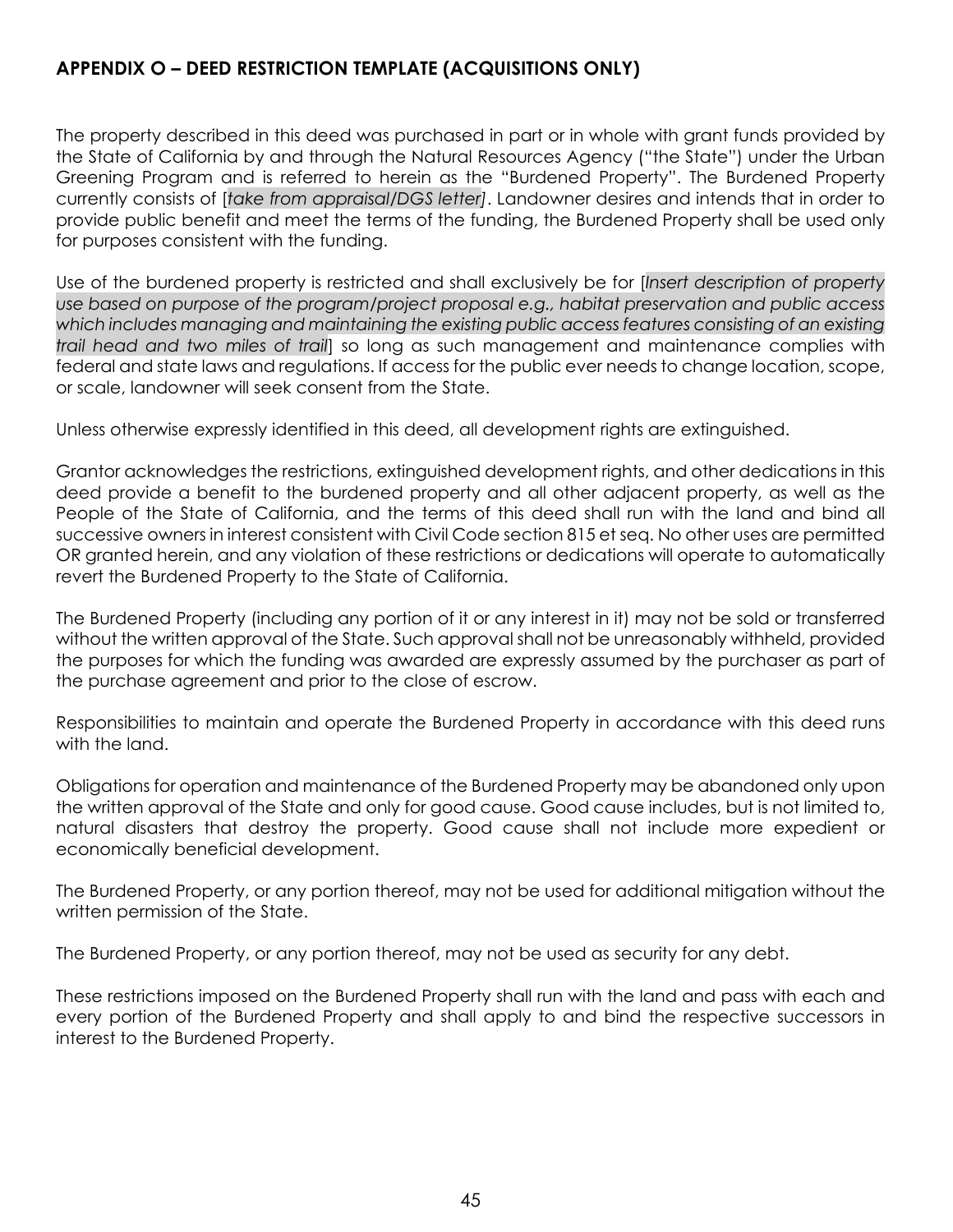# **APPENDIX O – DEED RESTRICTION TEMPLATE (ACQUISITIONS ONLY)**

The property described in this deed was purchased in part or in whole with grant funds provided by the State of California by and through the Natural Resources Agency ("the State") under the Urban Greening Program and is referred to herein as the "Burdened Property". The Burdened Property currently consists of [*take from appraisal/DGS letter]*. Landowner desires and intends that in order to provide public benefit and meet the terms of the funding, the Burdened Property shall be used only for purposes consistent with the funding.

Use of the burdened property is restricted and shall exclusively be for [*Insert description of property use based on purpose of the program/project proposal e.g., habitat preservation and public access*  which includes managing and maintaining the existing public access features consisting of an existing *trail head and two miles of trail*] so long as such management and maintenance complies with federal and state laws and regulations. If access for the public ever needs to change location, scope, or scale, landowner will seek consent from the State.

Unless otherwise expressly identified in this deed, all development rights are extinguished.

Grantor acknowledges the restrictions, extinguished development rights, and other dedications in this deed provide a benefit to the burdened property and all other adjacent property, as well as the People of the State of California, and the terms of this deed shall run with the land and bind all successive owners in interest consistent with Civil Code section 815 et seq. No other uses are permitted OR granted herein, and any violation of these restrictions or dedications will operate to automatically revert the Burdened Property to the State of California.

The Burdened Property (including any portion of it or any interest in it) may not be sold or transferred without the written approval of the State. Such approval shall not be unreasonably withheld, provided the purposes for which the funding was awarded are expressly assumed by the purchaser as part of the purchase agreement and prior to the close of escrow.

Responsibilities to maintain and operate the Burdened Property in accordance with this deed runs with the land.

Obligations for operation and maintenance of the Burdened Property may be abandoned only upon the written approval of the State and only for good cause. Good cause includes, but is not limited to, natural disasters that destroy the property. Good cause shall not include more expedient or economically beneficial development.

The Burdened Property, or any portion thereof, may not be used for additional mitigation without the written permission of the State.

The Burdened Property, or any portion thereof, may not be used as security for any debt.

These restrictions imposed on the Burdened Property shall run with the land and pass with each and every portion of the Burdened Property and shall apply to and bind the respective successors in interest to the Burdened Property.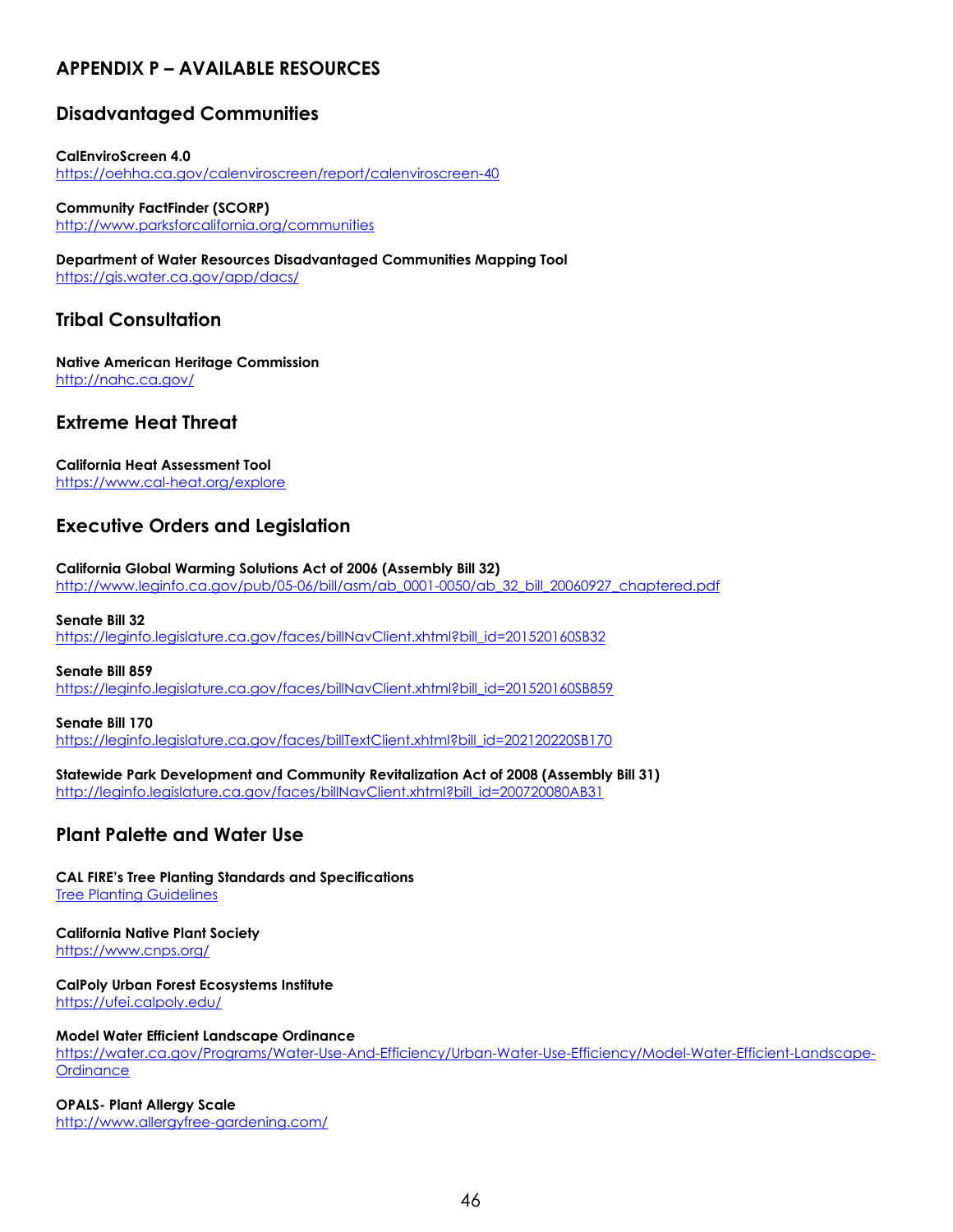### **APPENDIX P – AVAILABLE RESOURCES**

#### **Disadvantaged Communities**

#### **CalEnviroScreen 4.0**

<https://oehha.ca.gov/calenviroscreen/report/calenviroscreen-40>

#### **Community FactFinder (SCORP)**

<http://www.parksforcalifornia.org/communities>

**Department of Water Resources Disadvantaged Communities Mapping Tool** <https://gis.water.ca.gov/app/dacs/>

#### **Tribal Consultation**

**Native American Heritage Commission** <http://nahc.ca.gov/>

#### **Extreme Heat Threat**

#### **California Heat Assessment Tool** <https://www.cal-heat.org/explore>

#### **Executive Orders and Legislation**

#### **California Global Warming Solutions Act of 2006 (Assembly Bill 32)** [http://www.leginfo.ca.gov/pub/05-06/bill/asm/ab\\_0001-0050/ab\\_32\\_bill\\_20060927\\_chaptered.pdf](http://www.leginfo.ca.gov/pub/05-06/bill/asm/ab_0001-0050/ab_32_bill_20060927_chaptered.pdf)

**Senate Bill 32** [https://leginfo.legislature.ca.gov/faces/billNavClient.xhtml?bill\\_id=201520160SB32](https://leginfo.legislature.ca.gov/faces/billNavClient.xhtml?bill_id=201520160SB32)

**Senate Bill 859** [https://leginfo.legislature.ca.gov/faces/billNavClient.xhtml?bill\\_id=201520160SB859](https://leginfo.legislature.ca.gov/faces/billNavClient.xhtml?bill_id=201520160SB859)

#### **Senate Bill 170** [https://leginfo.legislature.ca.gov/faces/billTextClient.xhtml?bill\\_id=202120220SB170](https://leginfo.legislature.ca.gov/faces/billTextClient.xhtml?bill_id=202120220SB170)

**Statewide Park Development and Community Revitalization Act of 2008 (Assembly Bill 31)** [http://leginfo.legislature.ca.gov/faces/billNavClient.xhtml?bill\\_id=200720080AB31](http://leginfo.legislature.ca.gov/faces/billNavClient.xhtml?bill_id=200720080AB31)

#### **Plant Palette and Water Use**

**CAL FIRE's Tree Planting Standards and Specifications**  [Tree Planting Guidelines](https://californiareleaf.org/wp-content/uploads/2021/03/Tree-planting-guidelines_final.pdf)

#### **California Native Plant Society** <https://www.cnps.org/>

**CalPoly Urban Forest Ecosystems Institute** <https://ufei.calpoly.edu/>

**Model Water Efficient Landscape Ordinance**

[https://water.ca.gov/Programs/Water-Use-And-Efficiency/Urban-Water-Use-Efficiency/Model-Water-Efficient-Landscape-](https://water.ca.gov/Programs/Water-Use-And-Efficiency/Urban-Water-Use-Efficiency/Model-Water-Efficient-Landscape-Ordinance)**[Ordinance](https://water.ca.gov/Programs/Water-Use-And-Efficiency/Urban-Water-Use-Efficiency/Model-Water-Efficient-Landscape-Ordinance)** 

**OPALS- Plant Allergy Scale** <http://www.allergyfree-gardening.com/>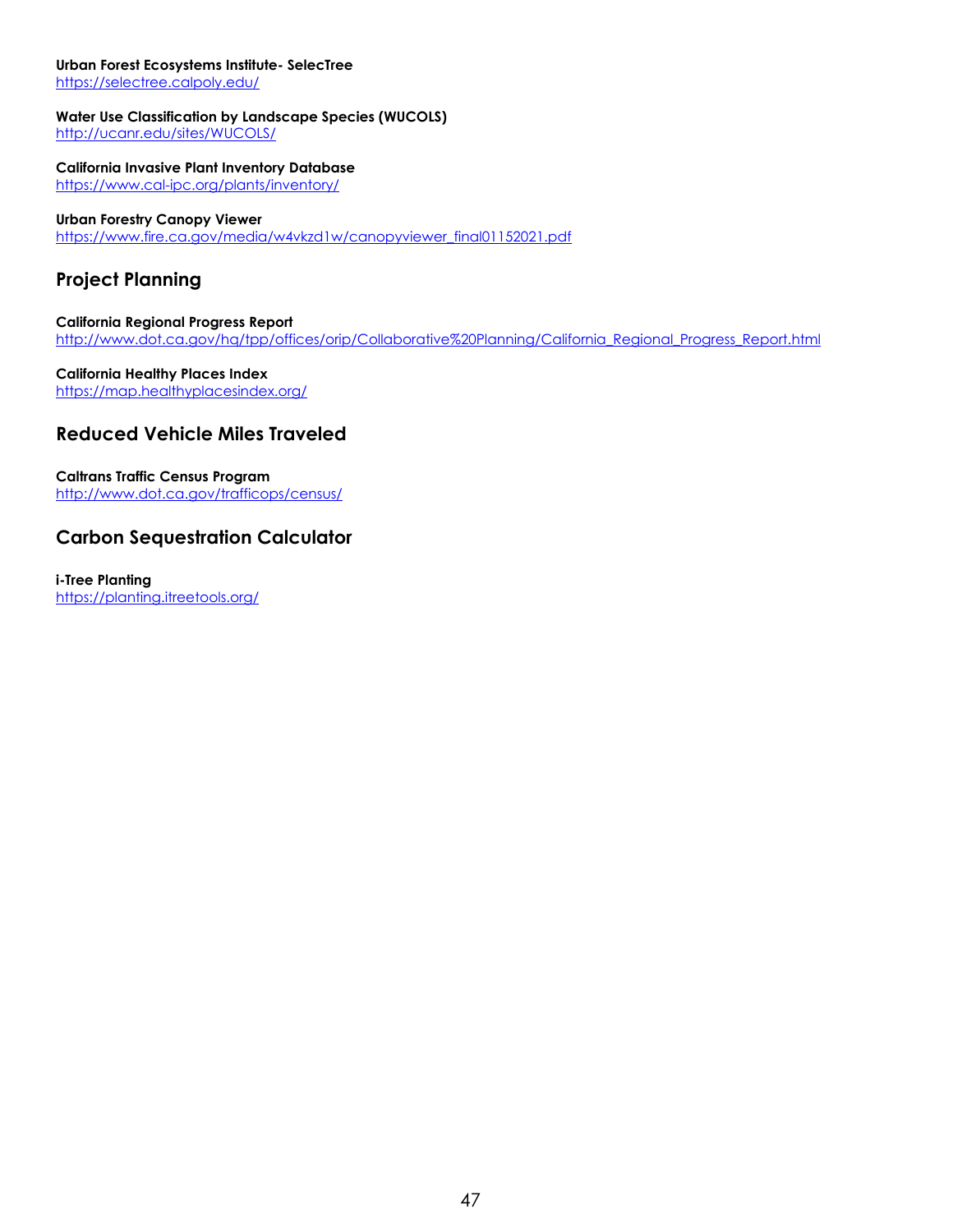#### **Urban Forest Ecosystems Institute- SelecTree**

<https://selectree.calpoly.edu/>

#### **Water Use Classification by Landscape Species (WUCOLS)**

<http://ucanr.edu/sites/WUCOLS/>

#### **California Invasive Plant Inventory Database**

<https://www.cal-ipc.org/plants/inventory/>

#### **Urban Forestry Canopy Viewer**

[https://www.fire.ca.gov/media/w4vkzd1w/canopyviewer\\_final01152021.pdf](https://www.fire.ca.gov/media/w4vkzd1w/canopyviewer_final01152021.pdf)

#### **Project Planning**

**California Regional Progress Report** [http://www.dot.ca.gov/hq/tpp/offices/orip/Collaborative%20Planning/California\\_Regional\\_Progress\\_Report.html](http://www.dot.ca.gov/hq/tpp/offices/orip/Collaborative%20Planning/California_Regional_Progress_Report.html)

#### **California Healthy Places Index**

<https://map.healthyplacesindex.org/>

#### **Reduced Vehicle Miles Traveled**

**Caltrans Traffic Census Program** <http://www.dot.ca.gov/trafficops/census/>

#### **Carbon Sequestration Calculator**

**i-Tree Planting** <https://planting.itreetools.org/>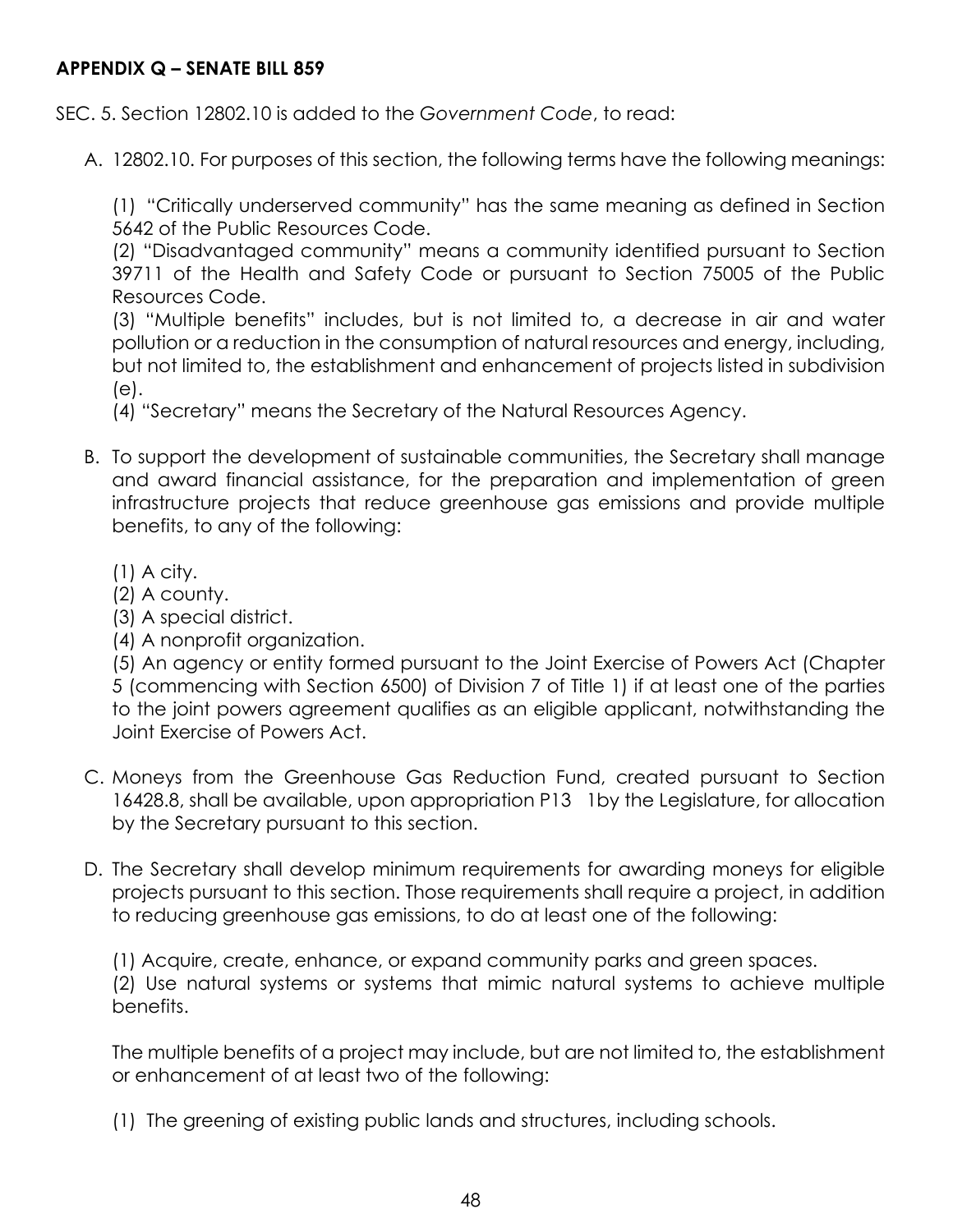### **APPENDIX Q – SENATE BILL 859**

SEC. 5. Section 12802.10 is added to the *Government Code*, to read:

A. 12802.10. For purposes of this section, the following terms have the following meanings:

(1) "Critically underserved community" has the same meaning as defined in Section 5642 of the Public Resources Code.

(2) "Disadvantaged community" means a community identified pursuant to Section 39711 of the Health and Safety Code or pursuant to Section 75005 of the Public Resources Code.

(3) "Multiple benefits" includes, but is not limited to, a decrease in air and water pollution or a reduction in the consumption of natural resources and energy, including, but not limited to, the establishment and enhancement of projects listed in subdivision (e).

- (4) "Secretary" means the Secretary of the Natural Resources Agency.
- B. To support the development of sustainable communities, the Secretary shall manage and award financial assistance, for the preparation and implementation of green infrastructure projects that reduce greenhouse gas emissions and provide multiple benefits, to any of the following:
	- (1) A city.
	- (2) A county.
	- (3) A special district.
	- (4) A nonprofit organization.

(5) An agency or entity formed pursuant to the Joint Exercise of Powers Act (Chapter 5 (commencing with Section 6500) of Division 7 of Title 1) if at least one of the parties to the joint powers agreement qualifies as an eligible applicant, notwithstanding the Joint Exercise of Powers Act.

- C. Moneys from the Greenhouse Gas Reduction Fund, created pursuant to Section 16428.8, shall be available, upon appropriation P13 1by the Legislature, for allocation by the Secretary pursuant to this section.
- D. The Secretary shall develop minimum requirements for awarding moneys for eligible projects pursuant to this section. Those requirements shall require a project, in addition to reducing greenhouse gas emissions, to do at least one of the following:

(1) Acquire, create, enhance, or expand community parks and green spaces.

(2) Use natural systems or systems that mimic natural systems to achieve multiple benefits.

The multiple benefits of a project may include, but are not limited to, the establishment or enhancement of at least two of the following:

(1) The greening of existing public lands and structures, including schools.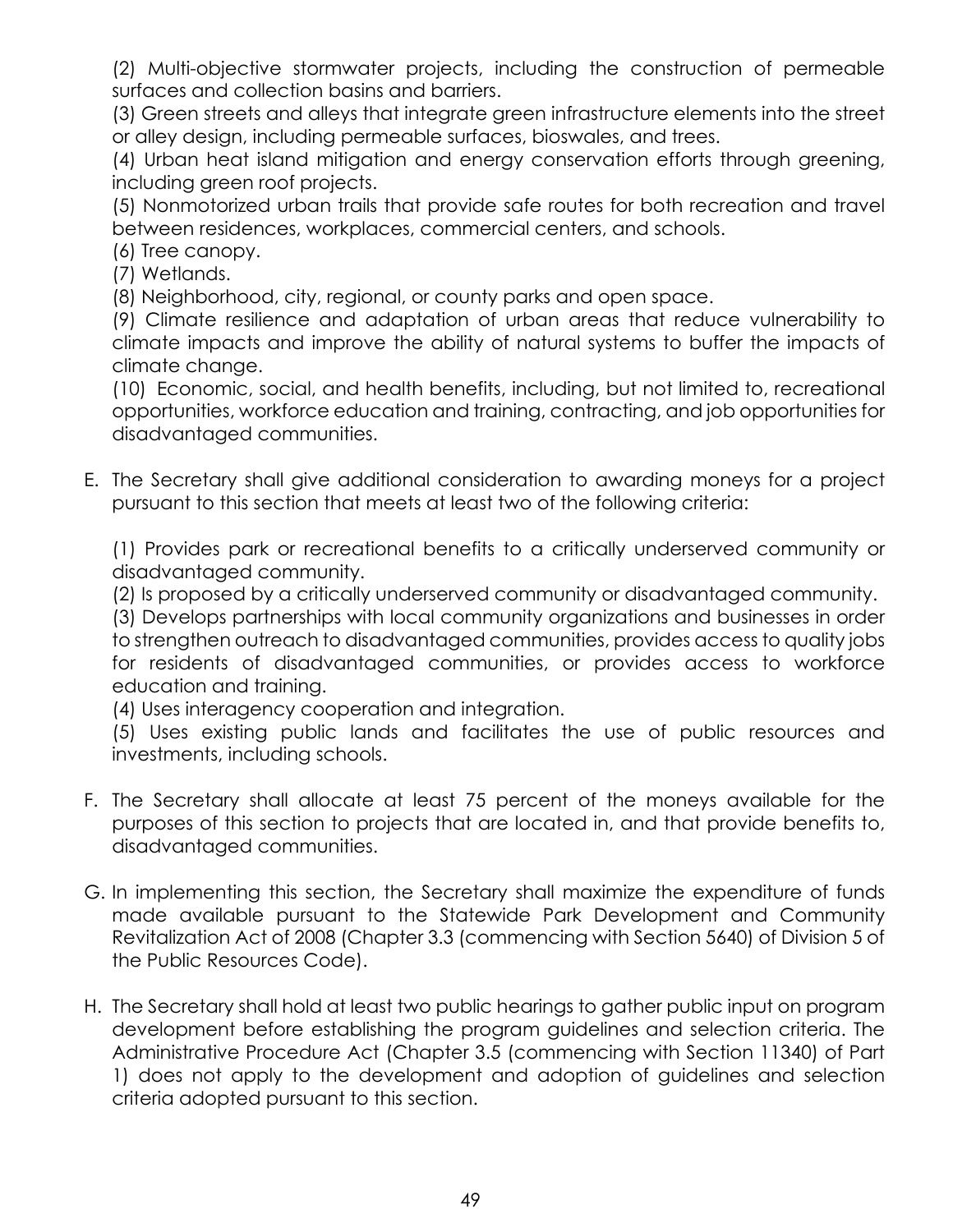(2) Multi-objective stormwater projects, including the construction of permeable surfaces and collection basins and barriers.

(3) Green streets and alleys that integrate green infrastructure elements into the street or alley design, including permeable surfaces, bioswales, and trees.

(4) Urban heat island mitigation and energy conservation efforts through greening, including green roof projects.

(5) Nonmotorized urban trails that provide safe routes for both recreation and travel between residences, workplaces, commercial centers, and schools.

(6) Tree canopy.

(7) Wetlands.

(8) Neighborhood, city, regional, or county parks and open space.

(9) Climate resilience and adaptation of urban areas that reduce vulnerability to climate impacts and improve the ability of natural systems to buffer the impacts of climate change.

(10) Economic, social, and health benefits, including, but not limited to, recreational opportunities, workforce education and training, contracting, and job opportunities for disadvantaged communities.

E. The Secretary shall give additional consideration to awarding moneys for a project pursuant to this section that meets at least two of the following criteria:

(1) Provides park or recreational benefits to a critically underserved community or disadvantaged community.

(2) Is proposed by a critically underserved community or disadvantaged community.

(3) Develops partnerships with local community organizations and businesses in order to strengthen outreach to disadvantaged communities, provides access to quality jobs for residents of disadvantaged communities, or provides access to workforce education and training.

(4) Uses interagency cooperation and integration.

(5) Uses existing public lands and facilitates the use of public resources and investments, including schools.

- F. The Secretary shall allocate at least 75 percent of the moneys available for the purposes of this section to projects that are located in, and that provide benefits to, disadvantaged communities.
- G. In implementing this section, the Secretary shall maximize the expenditure of funds made available pursuant to the Statewide Park Development and Community Revitalization Act of 2008 (Chapter 3.3 (commencing with Section 5640) of Division 5 of the Public Resources Code).
- H. The Secretary shall hold at least two public hearings to gather public input on program development before establishing the program guidelines and selection criteria. The Administrative Procedure Act (Chapter 3.5 (commencing with Section 11340) of Part 1) does not apply to the development and adoption of guidelines and selection criteria adopted pursuant to this section.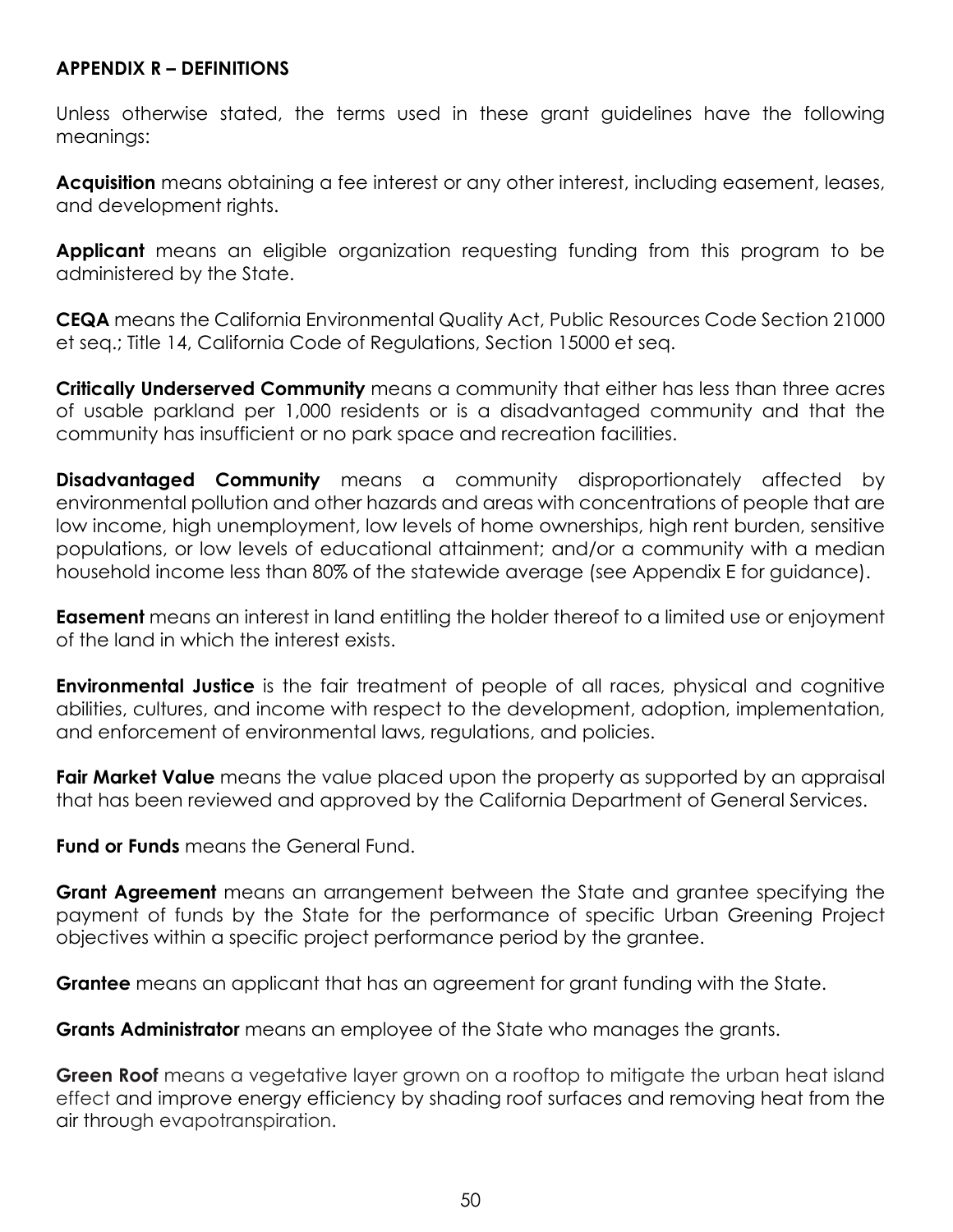### **APPENDIX R – DEFINITIONS**

Unless otherwise stated, the terms used in these grant guidelines have the following meanings:

**Acquisition** means obtaining a fee interest or any other interest, including easement, leases, and development rights.

**Applicant** means an eligible organization requesting funding from this program to be administered by the State.

**CEQA** means the California Environmental Quality Act, Public Resources Code Section 21000 et seq.; Title 14, California Code of Regulations, Section 15000 et seq.

**Critically Underserved Community** means a community that either has less than three acres of usable parkland per 1,000 residents or is a disadvantaged community and that the community has insufficient or no park space and recreation facilities.

**Disadvantaged Community** means a community disproportionately affected by environmental pollution and other hazards and areas with concentrations of people that are low income, high unemployment, low levels of home ownerships, high rent burden, sensitive populations, or low levels of educational attainment; and/or a community with a median household income less than 80% of the statewide average (see Appendix E for guidance).

**Easement** means an interest in land entitling the holder thereof to a limited use or enjoyment of the land in which the interest exists.

**Environmental Justice** is the fair treatment of people of all races, physical and cognitive abilities, cultures, and income with respect to the development, adoption, implementation, and enforcement of environmental laws, regulations, and policies.

**Fair Market Value** means the value placed upon the property as supported by an appraisal that has been reviewed and approved by the California Department of General Services.

**Fund or Funds** means the General Fund.

**Grant Agreement** means an arrangement between the State and grantee specifying the payment of funds by the State for the performance of specific Urban Greening Project objectives within a specific project performance period by the grantee.

**Grantee** means an applicant that has an agreement for grant funding with the State.

**Grants Administrator** means an employee of the State who manages the grants.

**Green Roof** means a vegetative layer grown on a rooftop to mitigate the urban heat island effect and improve energy efficiency by shading roof surfaces and removing heat from the air through evapotranspiration.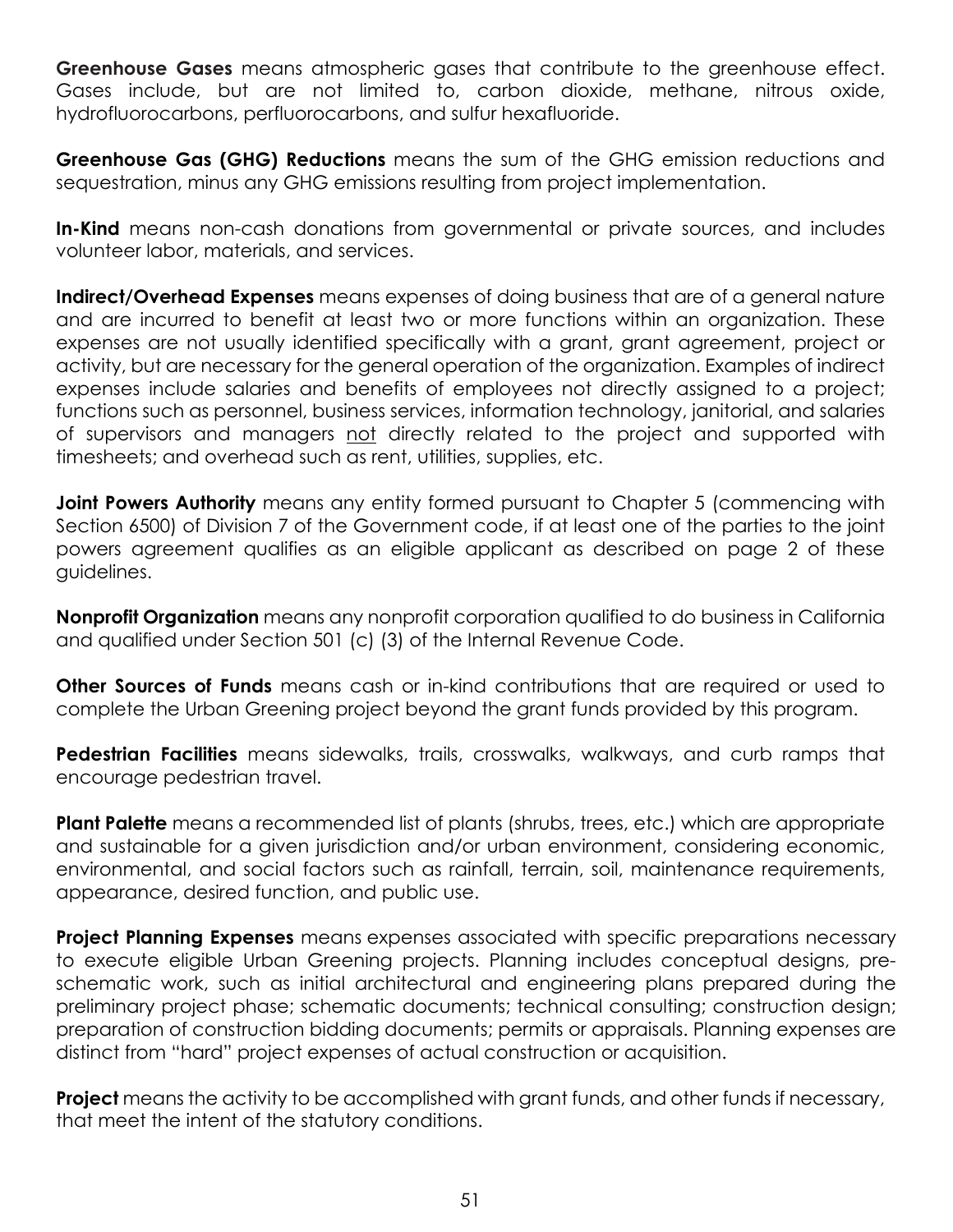**Greenhouse Gases** means atmospheric gases that contribute to the greenhouse effect. Gases include, but are not limited to, carbon dioxide, methane, nitrous oxide, hydrofluorocarbons, perfluorocarbons, and sulfur hexafluoride.

**Greenhouse Gas (GHG) Reductions** means the sum of the GHG emission reductions and sequestration, minus any GHG emissions resulting from project implementation.

**In-Kind** means non-cash donations from governmental or private sources, and includes volunteer labor, materials, and services.

**Indirect/Overhead Expenses** means expenses of doing business that are of a general nature and are incurred to benefit at least two or more functions within an organization. These expenses are not usually identified specifically with a grant, grant agreement, project or activity, but are necessary for the general operation of the organization. Examples of indirect expenses include salaries and benefits of employees not directly assigned to a project; functions such as personnel, business services, information technology, janitorial, and salaries of supervisors and managers not directly related to the project and supported with timesheets; and overhead such as rent, utilities, supplies, etc.

**Joint Powers Authority** means any entity formed pursuant to Chapter 5 (commencing with Section 6500) of Division 7 of the Government code, if at least one of the parties to the joint powers agreement qualifies as an eligible applicant as described on page 2 of these guidelines.

**Nonprofit Organization** means any nonprofit corporation qualified to do business in California and qualified under Section 501 (c) (3) of the Internal Revenue Code.

**Other Sources of Funds** means cash or in-kind contributions that are required or used to complete the Urban Greening project beyond the grant funds provided by this program.

**Pedestrian Facilities** means sidewalks, trails, crosswalks, walkways, and curb ramps that encourage pedestrian travel.

**Plant Palette** means a recommended list of plants (shrubs, trees, etc.) which are appropriate and sustainable for a given jurisdiction and/or urban environment, considering economic, environmental, and social factors such as rainfall, terrain, soil, maintenance requirements, appearance, desired function, and public use.

**Project Planning Expenses** means expenses associated with specific preparations necessary to execute eligible Urban Greening projects. Planning includes conceptual designs, preschematic work, such as initial architectural and engineering plans prepared during the preliminary project phase; schematic documents; technical consulting; construction design; preparation of construction bidding documents; permits or appraisals. Planning expenses are distinct from "hard" project expenses of actual construction or acquisition.

**Project** means the activity to be accomplished with grant funds, and other funds if necessary, that meet the intent of the statutory conditions.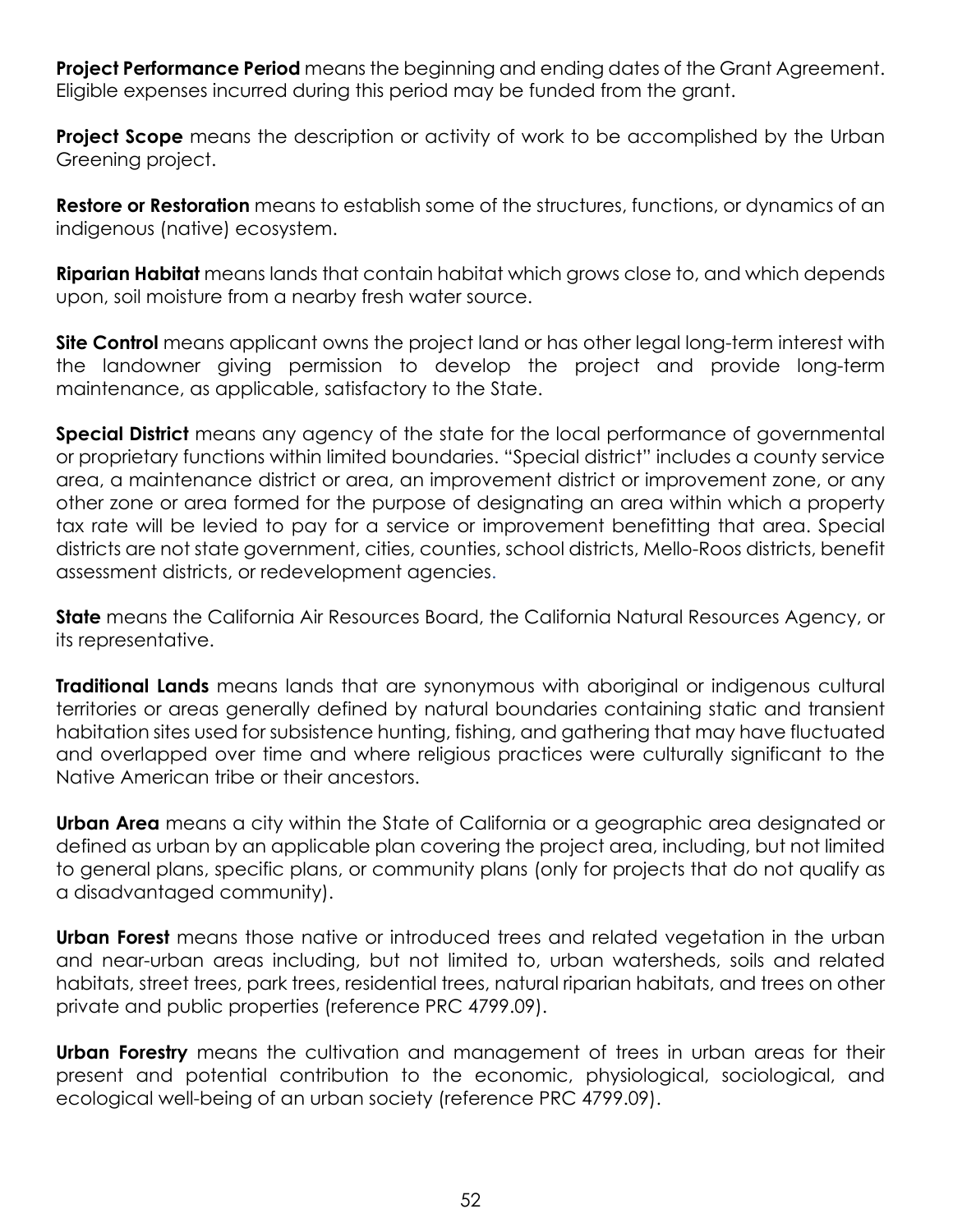**Project Performance Period** means the beginning and ending dates of the Grant Agreement. Eligible expenses incurred during this period may be funded from the grant.

**Project Scope** means the description or activity of work to be accomplished by the Urban Greening project.

**Restore or Restoration** means to establish some of the structures, functions, or dynamics of an indigenous (native) ecosystem.

**Riparian Habitat** means lands that contain habitat which grows close to, and which depends upon, soil moisture from a nearby fresh water source.

**Site Control** means applicant owns the project land or has other legal long-term interest with the landowner giving permission to develop the project and provide long-term maintenance, as applicable, satisfactory to the State.

**Special District** means any agency of the state for the local performance of governmental or proprietary functions within limited boundaries. "Special district" includes a county service area, a maintenance district or area, an improvement district or improvement zone, or any other zone or area formed for the purpose of designating an area within which a property tax rate will be levied to pay for a service or improvement benefitting that area. Special districts are not state government, cities, counties, school districts, Mello-Roos districts, benefit assessment districts, or redevelopment agencies.

**State** means the California Air Resources Board, the California Natural Resources Agency, or its representative.

**Traditional Lands** means lands that are synonymous with aboriginal or indigenous cultural territories or areas generally defined by natural boundaries containing static and transient habitation sites used for subsistence hunting, fishing, and gathering that may have fluctuated and overlapped over time and where religious practices were culturally significant to the Native American tribe or their ancestors.

**Urban Area** means a city within the State of California or a geographic area designated or defined as urban by an applicable plan covering the project area, including, but not limited to general plans, specific plans, or community plans (only for projects that do not qualify as a disadvantaged community).

**Urban Forest** means those native or introduced trees and related vegetation in the urban and near-urban areas including, but not limited to, urban watersheds, soils and related habitats, street trees, park trees, residential trees, natural riparian habitats, and trees on other private and public properties (reference PRC 4799.09).

**Urban Forestry** means the cultivation and management of trees in urban areas for their present and potential contribution to the economic, physiological, sociological, and ecological well-being of an urban society (reference PRC 4799.09).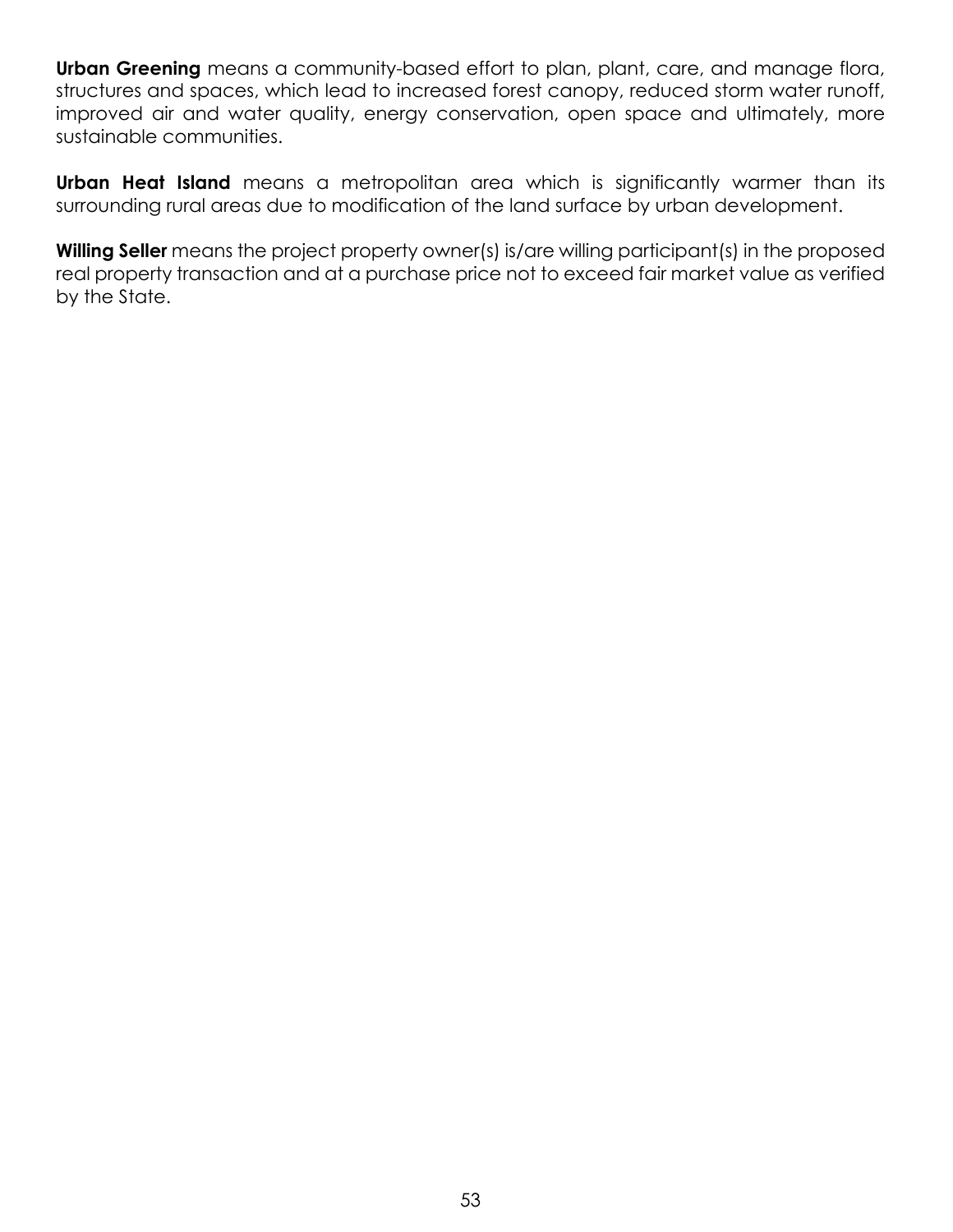**Urban Greening** means a community-based effort to plan, plant, care, and manage flora, structures and spaces, which lead to increased forest canopy, reduced storm water runoff, improved air and water quality, energy conservation, open space and ultimately, more sustainable communities.

**Urban Heat Island** means a [metropolitan area](http://en.wikipedia.org/wiki/Metropolitan_area) which is significantly warmer than its surrounding [rural areas](http://en.wikipedia.org/wiki/Rural_area) due to modification of the land surface by [urban development.](http://en.wikipedia.org/wiki/Urban_planning)

**Willing Seller** means the project property owner(s) is/are willing participant(s) in the proposed real property transaction and at a purchase price not to exceed fair market value as verified by the State.